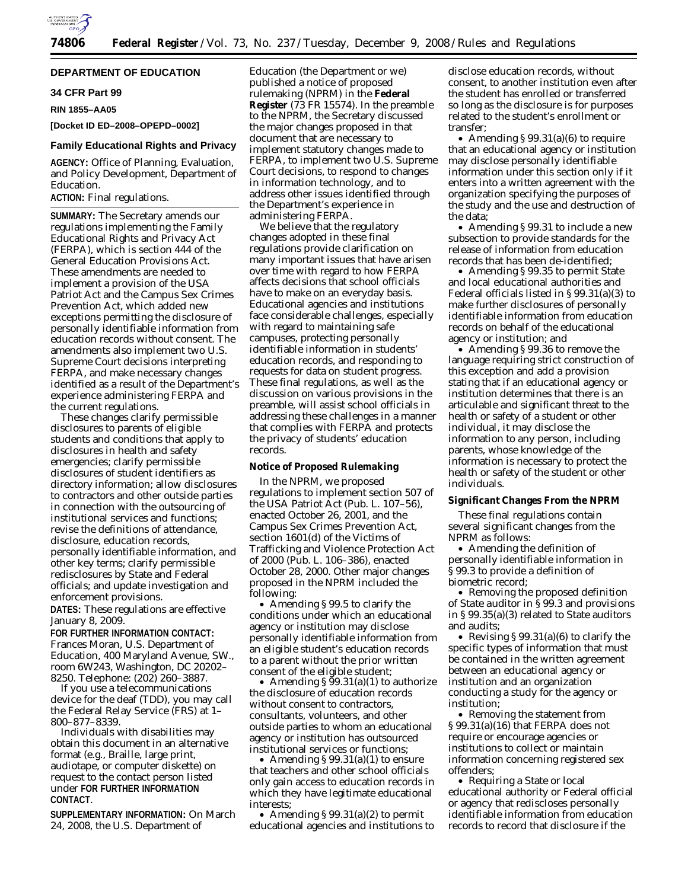# **DEPARTMENT OF EDUCATION**

# **34 CFR Part 99**

**RIN 1855–AA05** 

## **[Docket ID ED–2008–OPEPD–0002]**

# **Family Educational Rights and Privacy**

**AGENCY:** Office of Planning, Evaluation, and Policy Development, Department of Education.

# **ACTION:** Final regulations.

**SUMMARY:** The Secretary amends our regulations implementing the Family Educational Rights and Privacy Act (FERPA), which is section 444 of the General Education Provisions Act. These amendments are needed to implement a provision of the USA Patriot Act and the Campus Sex Crimes Prevention Act, which added new exceptions permitting the disclosure of personally identifiable information from education records without consent. The amendments also implement two U.S. Supreme Court decisions interpreting FERPA, and make necessary changes identified as a result of the Department's experience administering FERPA and the current regulations.

These changes clarify permissible disclosures to parents of eligible students and conditions that apply to disclosures in health and safety emergencies; clarify permissible disclosures of student identifiers as *directory information;* allow disclosures to contractors and other outside parties in connection with the outsourcing of institutional services and functions; revise the definitions of *attendance, disclosure, education records, personally identifiable information,* and other key terms; clarify permissible redisclosures by State and Federal officials; and update investigation and enforcement provisions.

**DATES:** These regulations are effective January 8, 2009.

**FOR FURTHER INFORMATION CONTACT:**  Frances Moran, U.S. Department of Education, 400 Maryland Avenue, SW., room 6W243, Washington, DC 20202– 8250. Telephone: (202) 260–3887.

If you use a telecommunications device for the deaf (TDD), you may call the Federal Relay Service (FRS) at 1– 800–877–8339.

Individuals with disabilities may obtain this document in an alternative format (*e.g.*, Braille, large print, audiotape, or computer diskette) on request to the contact person listed under **FOR FURTHER INFORMATION CONTACT**.

**SUPPLEMENTARY INFORMATION:** On March 24, 2008, the U.S. Department of

Education (the Department or we) published a notice of proposed rulemaking (NPRM) in the **Federal Register** (73 FR 15574). In the preamble to the NPRM, the Secretary discussed the major changes proposed in that document that are necessary to implement statutory changes made to FERPA, to implement two U.S. Supreme Court decisions, to respond to changes in information technology, and to address other issues identified through the Department's experience in administering FERPA.

We believe that the regulatory changes adopted in these final regulations provide clarification on many important issues that have arisen over time with regard to how FERPA affects decisions that school officials have to make on an everyday basis. Educational agencies and institutions face considerable challenges, especially with regard to maintaining safe campuses, protecting personally identifiable information in students' education records, and responding to requests for data on student progress. These final regulations, as well as the discussion on various provisions in the preamble, will assist school officials in addressing these challenges in a manner that complies with FERPA and protects the privacy of students' education records.

### **Notice of Proposed Rulemaking**

In the NPRM, we proposed regulations to implement section 507 of the USA Patriot Act (Pub. L. 107–56), enacted October 26, 2001, and the Campus Sex Crimes Prevention Act, section 1601(d) of the Victims of Trafficking and Violence Protection Act of 2000 (Pub. L. 106–386), enacted October 28, 2000. Other major changes proposed in the NPRM included the following:

• Amending § 99.5 to clarify the conditions under which an educational agency or institution may disclose personally identifiable information from an eligible student's education records to a parent without the prior written consent of the eligible student;

• Amending  $\S$  99.31(a)(1) to authorize the disclosure of education records without consent to contractors, consultants, volunteers, and other outside parties to whom an educational agency or institution has outsourced institutional services or functions;

• Amending § 99.31(a)(1) to ensure that teachers and other school officials only gain access to education records in which they have legitimate educational interests;

• Amending § 99.31(a)(2) to permit educational agencies and institutions to

disclose education records, without consent, to another institution even after the student has enrolled or transferred so long as the disclosure is for purposes related to the student's enrollment or transfer;

• Amending § 99.31(a)(6) to require that an educational agency or institution may disclose personally identifiable information under this section only if it enters into a written agreement with the organization specifying the purposes of the study and the use and destruction of the data;

• Amending § 99.31 to include a new subsection to provide standards for the release of information from education records that has been de-identified;

• Amending § 99.35 to permit State and local educational authorities and Federal officials listed in § 99.31(a)(3) to make further disclosures of personally identifiable information from education records on behalf of the educational agency or institution; and

• Amending § 99.36 to remove the language requiring strict construction of this exception and add a provision stating that if an educational agency or institution determines that there is an articulable and significant threat to the health or safety of a student or other individual, it may disclose the information to any person, including parents, whose knowledge of the information is necessary to protect the health or safety of the student or other individuals.

# **Significant Changes From the NPRM**

These final regulations contain several significant changes from the NPRM as follows:

• Amending the definition of *personally identifiable information* in § 99.3 to provide a definition of *biometric record;* 

• Removing the proposed definition of *State auditor* in § 99.3 and provisions in § 99.35(a)(3) related to State auditors and audits;

• Revising § 99.31(a)(6) to clarify the specific types of information that must be contained in the written agreement between an educational agency or institution and an organization conducting a study for the agency or institution;

• Removing the statement from § 99.31(a)(16) that FERPA does not require or encourage agencies or institutions to collect or maintain information concerning registered sex offenders;

• Requiring a State or local educational authority or Federal official or agency that rediscloses personally identifiable information from education records to record that disclosure if the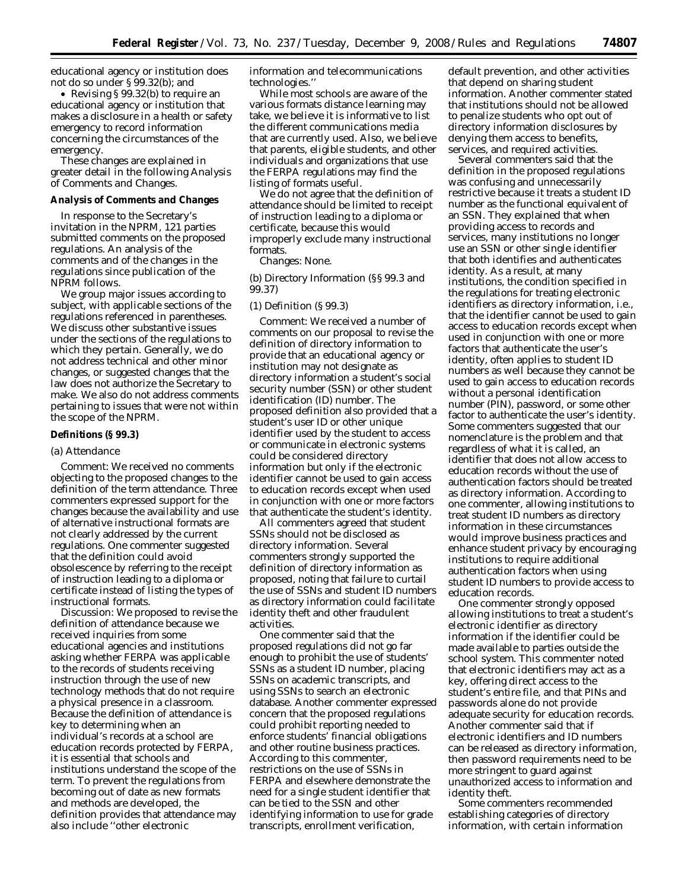educational agency or institution does not do so under § 99.32(b); and

• Revising § 99.32(b) to require an educational agency or institution that makes a disclosure in a health or safety emergency to record information concerning the circumstances of the emergency.

These changes are explained in greater detail in the following *Analysis of Comments and Changes.* 

#### **Analysis of Comments and Changes**

In response to the Secretary's invitation in the NPRM, 121 parties submitted comments on the proposed regulations. An analysis of the comments and of the changes in the regulations since publication of the NPRM follows.

We group major issues according to subject, with applicable sections of the regulations referenced in parentheses. We discuss other substantive issues under the sections of the regulations to which they pertain. Generally, we do not address technical and other minor changes, or suggested changes that the law does not authorize the Secretary to make. We also do not address comments pertaining to issues that were not within the scope of the NPRM.

#### **Definitions (§ 99.3)**

#### *(a) Attendance*

*Comment:* We received no comments objecting to the proposed changes to the definition of the term *attendance.* Three commenters expressed support for the changes because the availability and use of alternative instructional formats are not clearly addressed by the current regulations. One commenter suggested that the definition could avoid obsolescence by referring to the receipt of instruction leading to a diploma or certificate instead of listing the types of instructional formats.

*Discussion:* We proposed to revise the definition of *attendance* because we received inquiries from some educational agencies and institutions asking whether FERPA was applicable to the records of students receiving instruction through the use of new technology methods that do not require a physical presence in a classroom. Because the definition of *attendance* is key to determining when an individual's records at a school are education records protected by FERPA, it is essential that schools and institutions understand the scope of the term. To prevent the regulations from becoming out of date as new formats and methods are developed, the definition provides that attendance may also include ''other electronic

information and telecommunications technologies.''

While most schools are aware of the various formats distance learning may take, we believe it is informative to list the different communications media that are currently used. Also, we believe that parents, eligible students, and other individuals and organizations that use the FERPA regulations may find the listing of formats useful.

We do not agree that the definition of *attendance* should be limited to receipt of instruction leading to a diploma or certificate, because this would improperly exclude many instructional formats.

*Changes:* None.

*(b) Directory Information (§§ 99.3 and 99.37)* 

### (1) Definition (§ 99.3)

*Comment:* We received a number of comments on our proposal to revise the definition of *directory information* to provide that an educational agency or institution may not designate as directory information a student's social security number (SSN) or other student identification (ID) number. The proposed definition also provided that a student's user ID or other unique identifier used by the student to access or communicate in electronic systems could be considered directory information but only if the electronic identifier cannot be used to gain access to education records except when used in conjunction with one or more factors that authenticate the student's identity.

All commenters agreed that student SSNs should not be disclosed as directory information. Several commenters strongly supported the definition of *directory information* as proposed, noting that failure to curtail the use of SSNs and student ID numbers as directory information could facilitate identity theft and other fraudulent activities.

One commenter said that the proposed regulations did not go far enough to prohibit the use of students' SSNs as a student ID number, placing SSNs on academic transcripts, and using SSNs to search an electronic database. Another commenter expressed concern that the proposed regulations could prohibit reporting needed to enforce students' financial obligations and other routine business practices. According to this commenter, restrictions on the use of SSNs in FERPA and elsewhere demonstrate the need for a single student identifier that can be tied to the SSN and other identifying information to use for grade transcripts, enrollment verification,

default prevention, and other activities that depend on sharing student information. Another commenter stated that institutions should not be allowed to penalize students who opt out of directory information disclosures by denying them access to benefits, services, and required activities.

Several commenters said that the definition in the proposed regulations was confusing and unnecessarily restrictive because it treats a student ID number as the functional equivalent of an SSN. They explained that when providing access to records and services, many institutions no longer use an SSN or other single identifier that both identifies and authenticates identity. As a result, at many institutions, the condition specified in the regulations for treating electronic identifiers as directory information, *i.e.*, that the identifier cannot be used to gain access to education records except when used in conjunction with one or more factors that authenticate the user's identity, often applies to student ID numbers as well because they cannot be used to gain access to education records without a personal identification number (PIN), password, or some other factor to authenticate the user's identity. Some commenters suggested that our nomenclature is the problem and that regardless of what it is called, an identifier that does not allow access to education records without the use of authentication factors should be treated as directory information. According to one commenter, allowing institutions to treat student ID numbers as directory information in these circumstances would improve business practices and enhance student privacy by encouraging institutions to require additional authentication factors when using student ID numbers to provide access to education records.

One commenter strongly opposed allowing institutions to treat a student's electronic identifier as directory information if the identifier could be made available to parties outside the school system. This commenter noted that electronic identifiers may act as a key, offering direct access to the student's entire file, and that PINs and passwords alone do not provide adequate security for education records. Another commenter said that if electronic identifiers and ID numbers can be released as directory information, then password requirements need to be more stringent to guard against unauthorized access to information and identity theft.

Some commenters recommended establishing categories of directory information, with certain information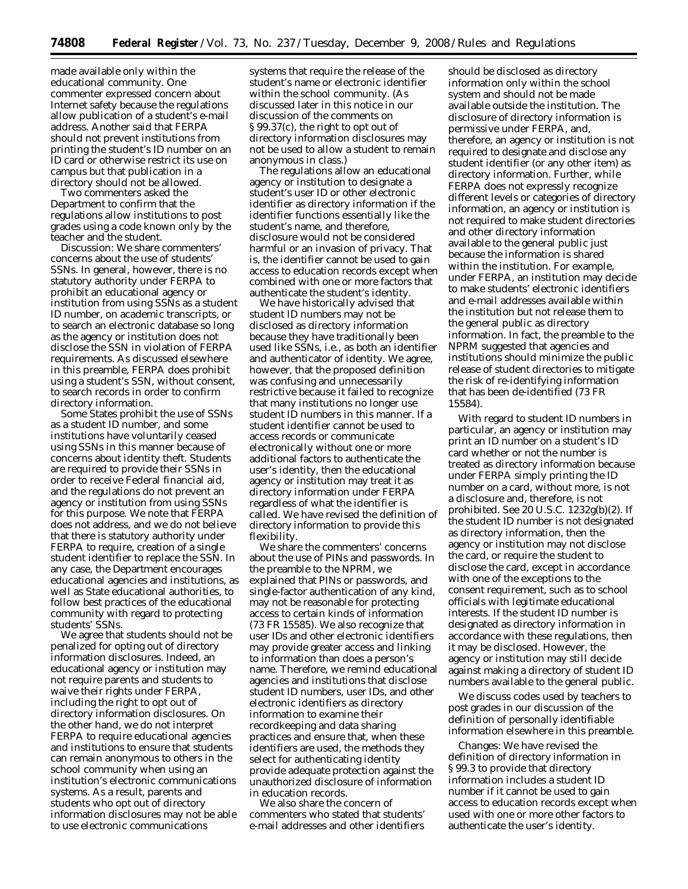made available only within the educational community. One commenter expressed concern about Internet safety because the regulations allow publication of a student's e-mail address. Another said that FERPA should not prevent institutions from printing the student's ID number on an ID card or otherwise restrict its use on campus but that publication in a directory should not be allowed.

Two commenters asked the Department to confirm that the regulations allow institutions to post grades using a code known only by the teacher and the student.

*Discussion:* We share commenters' concerns about the use of students' SSNs. In general, however, there is no statutory authority under FERPA to prohibit an educational agency or institution from using SSNs as a student ID number, on academic transcripts, or to search an electronic database so long as the agency or institution does not disclose the SSN in violation of FERPA requirements. As discussed elsewhere in this preamble, FERPA does prohibit using a student's SSN, without consent, to search records in order to confirm directory information.

Some States prohibit the use of SSNs as a student ID number, and some institutions have voluntarily ceased using SSNs in this manner because of concerns about identity theft. Students are required to provide their SSNs in order to receive Federal financial aid, and the regulations do not prevent an agency or institution from using SSNs for this purpose. We note that FERPA does not address, and we do not believe that there is statutory authority under FERPA to require, creation of a single student identifier to replace the SSN. In any case, the Department encourages educational agencies and institutions, as well as State educational authorities, to follow best practices of the educational community with regard to protecting students' SSNs.

We agree that students should not be penalized for opting out of directory information disclosures. Indeed, an educational agency or institution may not require parents and students to waive their rights under FERPA, including the right to opt out of directory information disclosures. On the other hand, we do not interpret FERPA to require educational agencies and institutions to ensure that students can remain anonymous to others in the school community when using an institution's electronic communications systems. As a result, parents and students who opt out of directory information disclosures may not be able to use electronic communications

systems that require the release of the student's name or electronic identifier within the school community. (As discussed later in this notice in our discussion of the comments on § 99.37(c), the right to opt out of directory information disclosures may not be used to allow a student to remain anonymous in class.)

The regulations allow an educational agency or institution to designate a student's user ID or other electronic identifier as directory information if the identifier functions essentially like the student's name, and therefore, disclosure would not be considered harmful or an invasion of privacy. That is, the identifier cannot be used to gain access to education records except when combined with one or more factors that authenticate the student's identity.

We have historically advised that student ID numbers may not be disclosed as directory information because they have traditionally been used like SSNs, *i.e.*, as both an identifier and authenticator of identity. We agree, however, that the proposed definition was confusing and unnecessarily restrictive because it failed to recognize that many institutions no longer use student ID numbers in this manner. If a student identifier cannot be used to access records or communicate electronically without one or more additional factors to authenticate the user's identity, then the educational agency or institution may treat it as directory information under FERPA regardless of what the identifier is called. We have revised the definition of *directory information* to provide this flexibility.

We share the commenters' concerns about the use of PINs and passwords. In the preamble to the NPRM, we explained that PINs or passwords, and single-factor authentication of any kind, may not be reasonable for protecting access to certain kinds of information (73 FR 15585). We also recognize that user IDs and other electronic identifiers may provide greater access and linking to information than does a person's name. Therefore, we remind educational agencies and institutions that disclose student ID numbers, user IDs, and other electronic identifiers as directory information to examine their recordkeeping and data sharing practices and ensure that, when these identifiers are used, the methods they select for authenticating identity provide adequate protection against the unauthorized disclosure of information in education records.

We also share the concern of commenters who stated that students' e-mail addresses and other identifiers

should be disclosed as directory information only within the school system and should not be made available outside the institution. The disclosure of directory information is permissive under FERPA, and, therefore, an agency or institution is not required to designate and disclose any student identifier (or any other item) as directory information. Further, while FERPA does not expressly recognize different levels or categories of directory information, an agency or institution is not required to make student directories and other directory information available to the general public just because the information is shared within the institution. For example, under FERPA, an institution may decide to make students' electronic identifiers and e-mail addresses available within the institution but not release them to the general public as directory information. In fact, the preamble to the NPRM suggested that agencies and institutions should minimize the public release of student directories to mitigate the risk of re-identifying information that has been de-identified (73 FR 15584).

With regard to student ID numbers in particular, an agency or institution may print an ID number on a student's ID card whether or not the number is treated as directory information because under FERPA simply printing the ID number on a card, without more, is not a disclosure and, therefore, is not prohibited. *See* 20 U.S.C. 1232g(b)(2). If the student ID number is not designated as directory information, then the agency or institution may not disclose the card, or require the student to disclose the card, except in accordance with one of the exceptions to the consent requirement, such as to school officials with legitimate educational interests. If the student ID number is designated as directory information in accordance with these regulations, then it may be disclosed. However, the agency or institution may still decide against making a directory of student ID numbers available to the general public.

We discuss codes used by teachers to post grades in our discussion of the definition of *personally identifiable information* elsewhere in this preamble.

*Changes:* We have revised the definition of *directory information* in § 99.3 to provide that directory information includes a student ID number if it cannot be used to gain access to education records except when used with one or more other factors to authenticate the user's identity.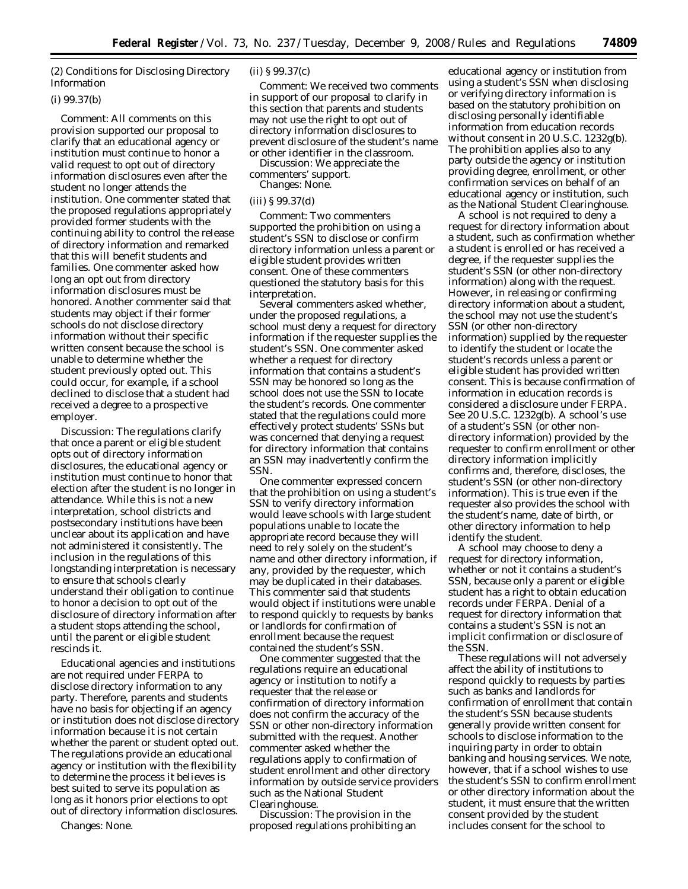(2) Conditions for Disclosing Directory Information

# (i) 99.37(b)

*Comment:* All comments on this provision supported our proposal to clarify that an educational agency or institution must continue to honor a valid request to opt out of directory information disclosures even after the student no longer attends the institution. One commenter stated that the proposed regulations appropriately provided former students with the continuing ability to control the release of directory information and remarked that this will benefit students and families. One commenter asked how long an opt out from directory information disclosures must be honored. Another commenter said that students may object if their former schools do not disclose directory information without their specific written consent because the school is unable to determine whether the student previously opted out. This could occur, for example, if a school declined to disclose that a student had received a degree to a prospective employer.

*Discussion:* The regulations clarify that once a parent or eligible student opts out of directory information disclosures, the educational agency or institution must continue to honor that election after the student is no longer in attendance. While this is not a new interpretation, school districts and postsecondary institutions have been unclear about its application and have not administered it consistently. The inclusion in the regulations of this longstanding interpretation is necessary to ensure that schools clearly understand their obligation to continue to honor a decision to opt out of the disclosure of directory information after a student stops attending the school, until the parent or eligible student rescinds it.

Educational agencies and institutions are not required under FERPA to disclose directory information to any party. Therefore, parents and students have no basis for objecting if an agency or institution does not disclose directory information because it is not certain whether the parent or student opted out. The regulations provide an educational agency or institution with the flexibility to determine the process it believes is best suited to serve its population as long as it honors prior elections to opt out of directory information disclosures.

*Changes:* None.

# (ii) § 99.37(c)

*Comment:* We received two comments in support of our proposal to clarify in this section that parents and students may not use the right to opt out of directory information disclosures to prevent disclosure of the student's name or other identifier in the classroom.

*Discussion:* We appreciate the commenters' support.

*Changes:* None.

# (iii) § 99.37(d)

*Comment:* Two commenters supported the prohibition on using a student's SSN to disclose or confirm directory information unless a parent or eligible student provides written consent. One of these commenters questioned the statutory basis for this interpretation.

Several commenters asked whether, under the proposed regulations, a school must deny a request for directory information if the requester supplies the student's SSN. One commenter asked whether a request for directory information that contains a student's SSN may be honored so long as the school does not use the SSN to locate the student's records. One commenter stated that the regulations could more effectively protect students' SSNs but was concerned that denying a request for directory information that contains an SSN may inadvertently confirm the SSN.

One commenter expressed concern that the prohibition on using a student's SSN to verify directory information would leave schools with large student populations unable to locate the appropriate record because they will need to rely solely on the student's name and other directory information, if any, provided by the requester, which may be duplicated in their databases. This commenter said that students would object if institutions were unable to respond quickly to requests by banks or landlords for confirmation of enrollment because the request contained the student's SSN.

One commenter suggested that the regulations require an educational agency or institution to notify a requester that the release or confirmation of directory information does not confirm the accuracy of the SSN or other non-directory information submitted with the request. Another commenter asked whether the regulations apply to confirmation of student enrollment and other directory information by outside service providers such as the National Student Clearinghouse.

*Discussion:* The provision in the proposed regulations prohibiting an

educational agency or institution from using a student's SSN when disclosing or verifying directory information is based on the statutory prohibition on disclosing personally identifiable information from education records without consent in 20 U.S.C. 1232g(b). The prohibition applies also to any party outside the agency or institution providing degree, enrollment, or other confirmation services on behalf of an educational agency or institution, such as the National Student Clearinghouse.

A school is not required to deny a request for directory information about a student, such as confirmation whether a student is enrolled or has received a degree, if the requester supplies the student's SSN (or other non-directory information) along with the request. However, in releasing or confirming directory information about a student, the school may not use the student's SSN (or other non-directory information) supplied by the requester to identify the student or locate the student's records unless a parent or eligible student has provided written consent. This is because confirmation of information in education records is considered a disclosure under FERPA. See 20 U.S.C. 1232g(b). A school's use of a student's SSN (or other nondirectory information) provided by the requester to confirm enrollment or other directory information implicitly confirms and, therefore, discloses, the student's SSN (or other non-directory information). This is true even if the requester also provides the school with the student's name, date of birth, or other directory information to help identify the student.

A school may choose to deny a request for directory information, whether or not it contains a student's SSN, because only a parent or eligible student has a right to obtain education records under FERPA. Denial of a request for directory information that contains a student's SSN is not an implicit confirmation or disclosure of the SSN.

These regulations will not adversely affect the ability of institutions to respond quickly to requests by parties such as banks and landlords for confirmation of enrollment that contain the student's SSN because students generally provide written consent for schools to disclose information to the inquiring party in order to obtain banking and housing services. We note, however, that if a school wishes to use the student's SSN to confirm enrollment or other directory information about the student, it must ensure that the written consent provided by the student includes consent for the school to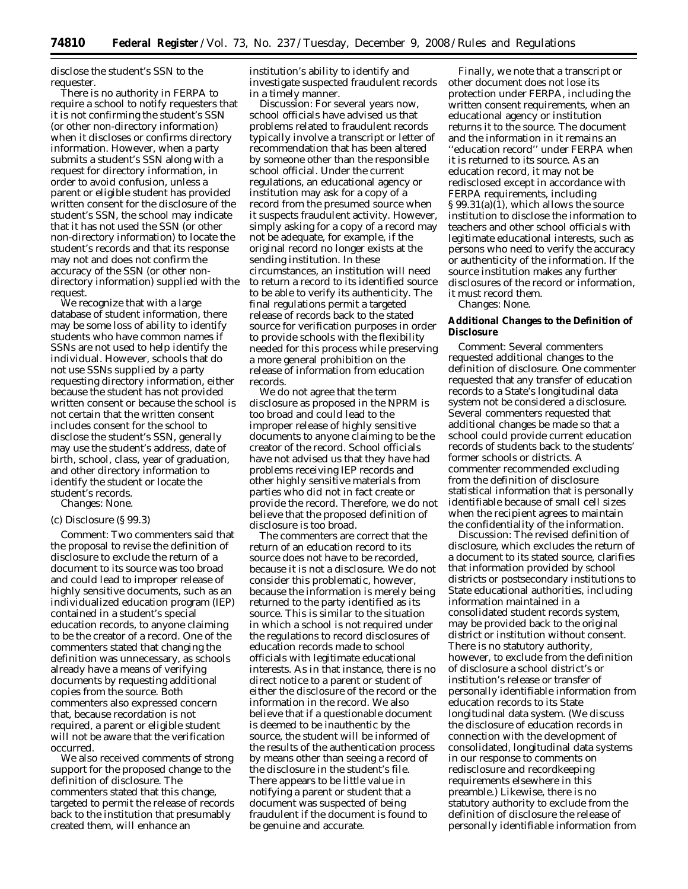disclose the student's SSN to the requester.

There is no authority in FERPA to require a school to notify requesters that it is not confirming the student's SSN (or other non-directory information) when it discloses or confirms directory information. However, when a party submits a student's SSN along with a request for directory information, in order to avoid confusion, unless a parent or eligible student has provided written consent for the disclosure of the student's SSN, the school may indicate that it has not used the SSN (or other non-directory information) to locate the student's records and that its response may not and does not confirm the accuracy of the SSN (or other nondirectory information) supplied with the request.

We recognize that with a large database of student information, there may be some loss of ability to identify students who have common names if SSNs are not used to help identify the individual. However, schools that do not use SSNs supplied by a party requesting directory information, either because the student has not provided written consent or because the school is not certain that the written consent includes consent for the school to disclose the student's SSN, generally may use the student's address, date of birth, school, class, year of graduation, and other directory information to identify the student or locate the student's records.

*Changes:* None.

#### *(c) Disclosure (§ 99.3)*

*Comment:* Two commenters said that the proposal to revise the definition of *disclosure* to exclude the return of a document to its source was too broad and could lead to improper release of highly sensitive documents, such as an individualized education program (IEP) contained in a student's special education records, to anyone claiming to be the creator of a record. One of the commenters stated that changing the definition was unnecessary, as schools already have a means of verifying documents by requesting additional copies from the source. Both commenters also expressed concern that, because recordation is not required, a parent or eligible student will not be aware that the verification occurred.

We also received comments of strong support for the proposed change to the definition of *disclosure*. The commenters stated that this change, targeted to permit the release of records back to the institution that presumably created them, will enhance an

institution's ability to identify and investigate suspected fraudulent records in a timely manner.

*Discussion:* For several years now, school officials have advised us that problems related to fraudulent records typically involve a transcript or letter of recommendation that has been altered by someone other than the responsible school official. Under the current regulations, an educational agency or institution may ask for a copy of a record from the presumed source when it suspects fraudulent activity. However, simply asking for a copy of a record may not be adequate, for example, if the original record no longer exists at the sending institution. In these circumstances, an institution will need to return a record to its identified source to be able to verify its authenticity. The final regulations permit a targeted release of records back to the stated source for verification purposes in order to provide schools with the flexibility needed for this process while preserving a more general prohibition on the release of information from education records.

We do not agree that the term disclosure as proposed in the NPRM is too broad and could lead to the improper release of highly sensitive documents to anyone claiming to be the creator of the record. School officials have not advised us that they have had problems receiving IEP records and other highly sensitive materials from parties who did not in fact create or provide the record. Therefore, we do not believe that the proposed definition of disclosure is too broad.

The commenters are correct that the return of an education record to its source does not have to be recorded, because it is not a disclosure. We do not consider this problematic, however, because the information is merely being returned to the party identified as its source. This is similar to the situation in which a school is not required under the regulations to record disclosures of education records made to school officials with legitimate educational interests. As in that instance, there is no direct notice to a parent or student of either the disclosure of the record or the information in the record. We also believe that if a questionable document is deemed to be inauthentic by the source, the student will be informed of the results of the authentication process by means other than seeing a record of the disclosure in the student's file. There appears to be little value in notifying a parent or student that a document was suspected of being fraudulent if the document is found to be genuine and accurate.

Finally, we note that a transcript or other document does not lose its protection under FERPA, including the written consent requirements, when an educational agency or institution returns it to the source. The document and the information in it remains an ''education record'' under FERPA when it is returned to its source. As an education record, it may not be redisclosed except in accordance with FERPA requirements, including § 99.31(a)(1), which allows the source institution to disclose the information to teachers and other school officials with legitimate educational interests, such as persons who need to verify the accuracy or authenticity of the information. If the source institution makes any further disclosures of the record or information, it must record them.

*Changes:* None.

# **Additional Changes to the Definition of Disclosure**

*Comment:* Several commenters requested additional changes to the definition of *disclosure*. One commenter requested that any transfer of education records to a State's longitudinal data system not be considered a disclosure. Several commenters requested that additional changes be made so that a school could provide current education records of students back to the students' former schools or districts. A commenter recommended excluding from the definition of *disclosure*  statistical information that is personally identifiable because of small cell sizes when the recipient agrees to maintain the confidentiality of the information.

*Discussion:* The revised definition of *disclosure*, which excludes the return of a document to its stated source, clarifies that information provided by school districts or postsecondary institutions to State educational authorities, including information maintained in a consolidated student records system, may be provided back to the original district or institution without consent. There is no statutory authority, however, to exclude from the definition of *disclosure* a school district's or institution's release or transfer of personally identifiable information from education records to its State longitudinal data system. (We discuss the *disclosure* of education records in connection with the development of consolidated, longitudinal data systems in our response to comments on redisclosure and recordkeeping requirements elsewhere in this preamble.) Likewise, there is no statutory authority to exclude from the definition of disclosure the release of personally identifiable information from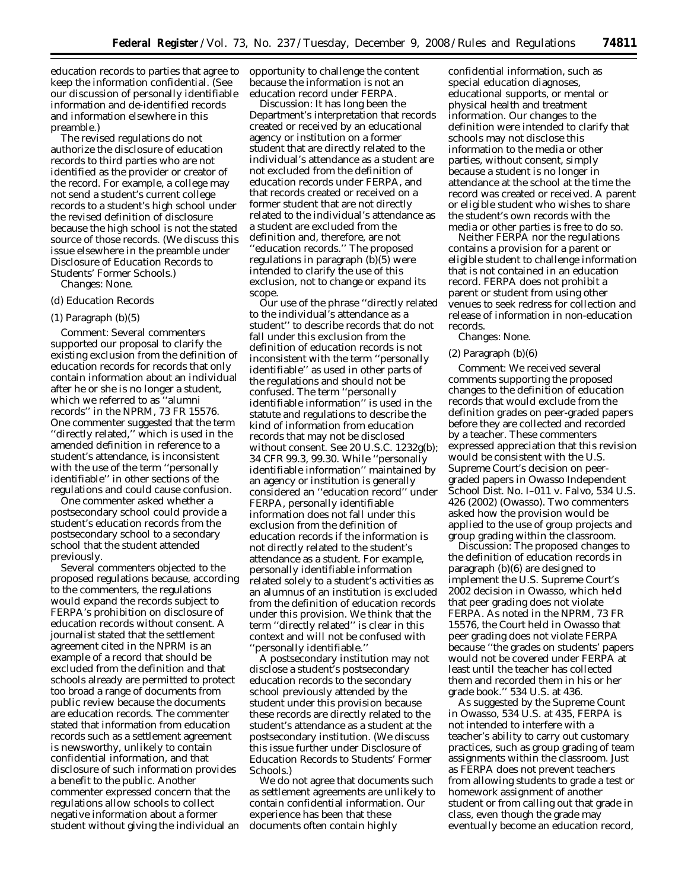education records to parties that agree to keep the information confidential. (See our discussion of personally identifiable information and de-identified records and information elsewhere in this preamble.)

The revised regulations do not authorize the disclosure of education records to third parties who are not identified as the provider or creator of the record. For example, a college may not send a student's current college records to a student's high school under the revised definition of *disclosure*  because the high school is not the stated source of those records. (We discuss this issue elsewhere in the preamble under *Disclosure of Education Records to Students' Former Schools*.)

*Changes:* None.

### *(d) Education Records*

#### (1) Paragraph (b)(5)

*Comment:* Several commenters supported our proposal to clarify the existing exclusion from the definition of *education records* for records that only contain information about an individual after he or she is no longer a student, which we referred to as ''alumni records'' in the NPRM, 73 FR 15576. One commenter suggested that the term ''directly related,'' which is used in the amended definition in reference to a student's attendance, is inconsistent with the use of the term ''personally identifiable'' in other sections of the regulations and could cause confusion.

One commenter asked whether a postsecondary school could provide a student's education records from the postsecondary school to a secondary school that the student attended previously.

Several commenters objected to the proposed regulations because, according to the commenters, the regulations would expand the records subject to FERPA's prohibition on disclosure of education records without consent. A journalist stated that the settlement agreement cited in the NPRM is an example of a record that should be excluded from the definition and that schools already are permitted to protect too broad a range of documents from public review because the documents are education records. The commenter stated that information from education records such as a settlement agreement is newsworthy, unlikely to contain confidential information, and that disclosure of such information provides a benefit to the public. Another commenter expressed concern that the regulations allow schools to collect negative information about a former student without giving the individual an opportunity to challenge the content because the information is not an education record under FERPA.

*Discussion:* It has long been the Department's interpretation that records created or received by an educational agency or institution on a former student that are directly related to the individual's attendance as a student are not excluded from the definition of *education records* under FERPA, and that records created or received on a former student that are not directly related to the individual's attendance as a student are excluded from the definition and, therefore, are not ''education records.'' The proposed regulations in paragraph (b)(5) were intended to clarify the use of this exclusion, not to change or expand its scope.

Our use of the phrase ''directly related to the individual's attendance as a student'' to describe records that do not fall under this exclusion from the definition of *education records* is not inconsistent with the term ''personally identifiable'' as used in other parts of the regulations and should not be confused. The term ''personally identifiable information'' is used in the statute and regulations to describe the kind of information from education records that may not be disclosed without consent. *See* 20 U.S.C. 1232g(b); 34 CFR 99.3, 99.30. While ''personally identifiable information'' maintained by an agency or institution is generally considered an ''education record'' under FERPA, personally identifiable information does not fall under this exclusion from the definition of education records if the information is not directly related to the student's attendance as a student. For example, personally identifiable information related solely to a student's activities as an alumnus of an institution is excluded from the definition of education records under this provision. We think that the term ''directly related'' is clear in this context and will not be confused with 'personally identifiable.'

A postsecondary institution may not disclose a student's postsecondary education records to the secondary school previously attended by the student under this provision because these records are directly related to the student's attendance as a student at the postsecondary institution. (We discuss this issue further under *Disclosure of Education Records to Students' Former Schools.*)

We do not agree that documents such as settlement agreements are unlikely to contain confidential information. Our experience has been that these documents often contain highly

confidential information, such as special education diagnoses, educational supports, or mental or physical health and treatment information. Our changes to the definition were intended to clarify that schools may not disclose this information to the media or other parties, without consent, simply because a student is no longer in attendance at the school at the time the record was created or received. A parent or eligible student who wishes to share the student's own records with the media or other parties is free to do so.

Neither FERPA nor the regulations contains a provision for a parent or eligible student to challenge information that is not contained in an education record. FERPA does not prohibit a parent or student from using other venues to seek redress for collection and release of information in non-education records.

# *Changes:* None.

#### (2) Paragraph (b)(6)

*Comment:* We received several comments supporting the proposed changes to the definition of *education records* that would exclude from the definition grades on peer-graded papers before they are collected and recorded by a teacher. These commenters expressed appreciation that this revision would be consistent with the U.S. Supreme Court's decision on peergraded papers in *Owasso Independent School Dist. No. I–011* v. *Falvo*, 534 U.S. 426 (2002) (*Owasso*). Two commenters asked how the provision would be applied to the use of group projects and group grading within the classroom.

*Discussion:* The proposed changes to the definition of *education records* in paragraph (b)(6) are designed to implement the U.S. Supreme Court's 2002 decision in *Owasso*, which held that peer grading does not violate FERPA. As noted in the NPRM, 73 FR 15576, the Court held in *Owasso* that peer grading does not violate FERPA because ''the grades on students' papers would not be covered under FERPA at least until the teacher has collected them and recorded them in his or her grade book.'' 534 U.S. at 436.

As suggested by the Supreme Count in *Owasso*, 534 U.S. at 435, FERPA is not intended to interfere with a teacher's ability to carry out customary practices, such as group grading of team assignments within the classroom. Just as FERPA does not prevent teachers from allowing students to grade a test or homework assignment of another student or from calling out that grade in class, even though the grade may eventually become an education record,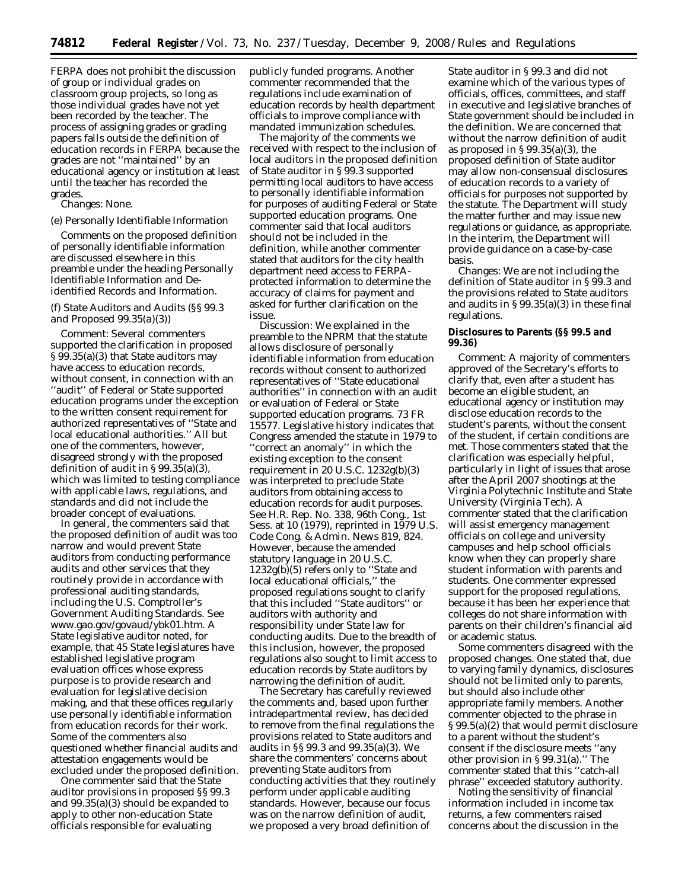FERPA does not prohibit the discussion of group or individual grades on classroom group projects, so long as those individual grades have not yet been recorded by the teacher. The process of assigning grades or grading papers falls outside the definition of *education records* in FERPA because the grades are not ''maintained'' by an educational agency or institution at least until the teacher has recorded the grades.

*Changes:* None.

# *(e) Personally Identifiable Information*

Comments on the proposed definition of *personally identifiable information*  are discussed elsewhere in this preamble under the heading *Personally Identifiable Information and Deidentified Records and Information.* 

# *(f) State Auditors and Audits (§§ 99.3 and Proposed 99.35(a)(3))*

*Comment:* Several commenters supported the clarification in proposed § 99.35(a)(3) that State auditors may have access to education records, without consent, in connection with an ''audit'' of Federal or State supported education programs under the exception to the written consent requirement for authorized representatives of ''State and local educational authorities.'' All but one of the commenters, however, disagreed strongly with the proposed definition of *audit* in § 99.35(a)(3), which was limited to testing compliance with applicable laws, regulations, and standards and did not include the broader concept of evaluations.

In general, the commenters said that the proposed definition of *audit* was too narrow and would prevent State auditors from conducting performance audits and other services that they routinely provide in accordance with professional auditing standards, including the U.S. Comptroller's Government Auditing Standards. *See www.gao.gov/govaud/ybk01.htm.* A State legislative auditor noted, for example, that 45 State legislatures have established legislative program evaluation offices whose express purpose is to provide research and evaluation for legislative decision making, and that these offices regularly use personally identifiable information from education records for their work. Some of the commenters also questioned whether financial audits and attestation engagements would be excluded under the proposed definition.

One commenter said that the State auditor provisions in proposed §§ 99.3 and 99.35(a)(3) should be expanded to apply to other non-education State officials responsible for evaluating

publicly funded programs. Another commenter recommended that the regulations include examination of education records by health department officials to improve compliance with mandated immunization schedules.

The majority of the comments we received with respect to the inclusion of local auditors in the proposed definition of *State auditor* in § 99.3 supported permitting local auditors to have access to personally identifiable information for purposes of auditing Federal or State supported education programs. One commenter said that local auditors should not be included in the definition, while another commenter stated that auditors for the city health department need access to FERPAprotected information to determine the accuracy of claims for payment and asked for further clarification on the issue.

*Discussion:* We explained in the preamble to the NPRM that the statute allows disclosure of personally identifiable information from education records without consent to authorized representatives of ''State educational authorities'' in connection with an audit or evaluation of Federal or State supported education programs. 73 FR 15577. Legislative history indicates that Congress amended the statute in 1979 to ''correct an anomaly'' in which the existing exception to the consent requirement in 20 U.S.C. 1232g(b)(3) was interpreted to preclude State auditors from obtaining access to education records for audit purposes. *See* H.R. Rep. No. 338, 96th Cong., 1st Sess. at 10 (1979), *reprinted in* 1979 U.S. Code Cong. & Admin. News 819, 824. However, because the amended statutory language in 20 U.S.C. 1232g(b)(5) refers only to ''State and local educational officials,'' the proposed regulations sought to clarify that this included ''State auditors'' or auditors with authority and responsibility under State law for conducting audits. Due to the breadth of this inclusion, however, the proposed regulations also sought to limit access to education records by State auditors by narrowing the definition of *audit.* 

The Secretary has carefully reviewed the comments and, based upon further intradepartmental review, has decided to remove from the final regulations the provisions related to State auditors and audits in §§ 99.3 and 99.35(a)(3). We share the commenters' concerns about preventing State auditors from conducting activities that they routinely perform under applicable auditing standards. However, because our focus was on the narrow definition of *audit*, we proposed a very broad definition of

*State auditor* in § 99.3 and did not examine which of the various types of officials, offices, committees, and staff in executive and legislative branches of State government should be included in the definition. We are concerned that without the narrow definition of *audit*  as proposed in § 99.35(a)(3), the proposed definition of *State auditor*  may allow non-consensual disclosures of education records to a variety of officials for purposes not supported by the statute. The Department will study the matter further and may issue new regulations or guidance, as appropriate. In the interim, the Department will provide guidance on a case-by-case basis.

*Changes:* We are not including the definition of *State auditor* in § 99.3 and the provisions related to State auditors and audits in § 99.35(a)(3) in these final regulations.

# **Disclosures to Parents (§§ 99.5 and 99.36)**

*Comment:* A majority of commenters approved of the Secretary's efforts to clarify that, even after a student has become an eligible student, an educational agency or institution may disclose education records to the student's parents, without the consent of the student, if certain conditions are met. Those commenters stated that the clarification was especially helpful, particularly in light of issues that arose after the April 2007 shootings at the Virginia Polytechnic Institute and State University (Virginia Tech). A commenter stated that the clarification will assist emergency management officials on college and university campuses and help school officials know when they can properly share student information with parents and students. One commenter expressed support for the proposed regulations, because it has been her experience that colleges do not share information with parents on their children's financial aid or academic status.

Some commenters disagreed with the proposed changes. One stated that, due to varying family dynamics, disclosures should not be limited only to parents, but should also include other appropriate family members. Another commenter objected to the phrase in § 99.5(a)(2) that would permit disclosure to a parent without the student's consent if the disclosure meets ''any other provision in § 99.31(a).'' The commenter stated that this ''catch-all phrase'' exceeded statutory authority.

Noting the sensitivity of financial information included in income tax returns, a few commenters raised concerns about the discussion in the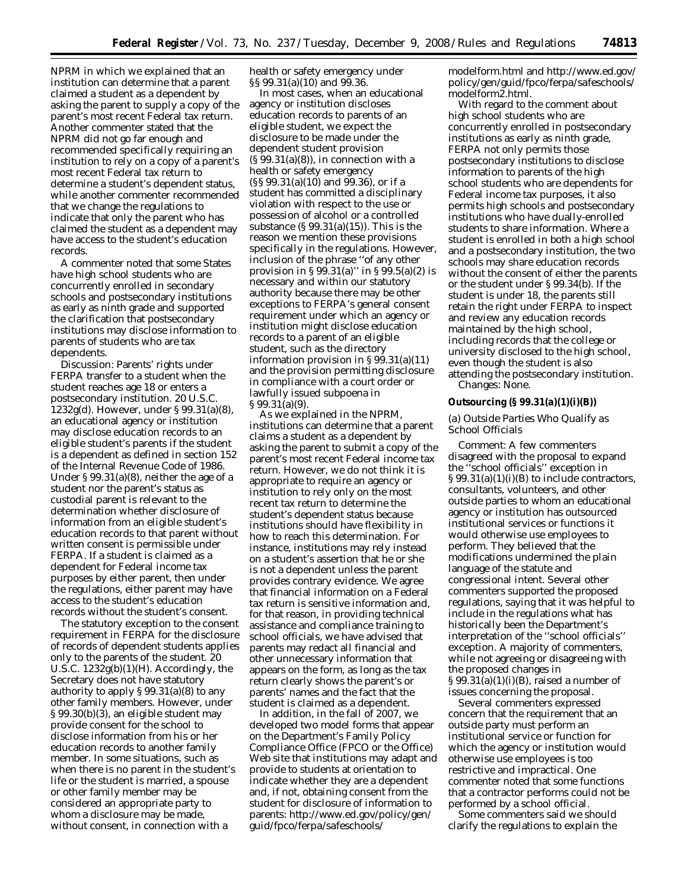NPRM in which we explained that an institution can determine that a parent claimed a student as a dependent by asking the parent to supply a copy of the parent's most recent Federal tax return. Another commenter stated that the NPRM did not go far enough and recommended specifically requiring an institution to rely on a copy of a parent's most recent Federal tax return to determine a student's dependent status, while another commenter recommended that we change the regulations to indicate that only the parent who has claimed the student as a dependent may have access to the student's education records.

A commenter noted that some States have high school students who are concurrently enrolled in secondary schools and postsecondary institutions as early as ninth grade and supported the clarification that postsecondary institutions may disclose information to parents of students who are tax dependents.

*Discussion:* Parents' rights under FERPA transfer to a student when the student reaches age 18 or enters a postsecondary institution. 20 U.S.C. 1232g(d). However, under § 99.31(a)(8), an educational agency or institution may disclose education records to an eligible student's parents if the student is a dependent as defined in section 152 of the Internal Revenue Code of 1986. Under § 99.31(a)(8), neither the age of a student nor the parent's status as custodial parent is relevant to the determination whether disclosure of information from an eligible student's education records to that parent without written consent is permissible under FERPA. If a student is claimed as a dependent for Federal income tax purposes by either parent, then under the regulations, either parent may have access to the student's education records without the student's consent.

The statutory exception to the consent requirement in FERPA for the disclosure of records of dependent students applies only to the parents of the student. 20 U.S.C. 1232g(b)(1)(H). Accordingly, the Secretary does not have statutory authority to apply § 99.31(a)(8) to any other family members. However, under § 99.30(b)(3), an eligible student may provide consent for the school to disclose information from his or her education records to another family member. In some situations, such as when there is no parent in the student's life or the student is married, a spouse or other family member may be considered an appropriate party to whom a disclosure may be made, without consent, in connection with a

health or safety emergency under §§ 99.31(a)(10) and 99.36.

In most cases, when an educational agency or institution discloses education records to parents of an eligible student, we expect the disclosure to be made under the dependent student provision  $(S 99.31(a)(8))$ , in connection with a health or safety emergency (§§ 99.31(a)(10) and 99.36), or if a student has committed a disciplinary violation with respect to the use or possession of alcohol or a controlled substance  $(S 99.31(a)(15))$ . This is the reason we mention these provisions specifically in the regulations. However, inclusion of the phrase ''of any other provision in § 99.31(a)'' in § 99.5(a)(2) is necessary and within our statutory authority because there may be other exceptions to FERPA's general consent requirement under which an agency or institution might disclose education records to a parent of an eligible student, such as the directory information provision in § 99.31(a)(11) and the provision permitting disclosure in compliance with a court order or lawfully issued subpoena in § 99.31(a)(9).

As we explained in the NPRM, institutions can determine that a parent claims a student as a dependent by asking the parent to submit a copy of the parent's most recent Federal income tax return. However, we do not think it is appropriate to require an agency or institution to rely only on the most recent tax return to determine the student's dependent status because institutions should have flexibility in how to reach this determination. For instance, institutions may rely instead on a student's assertion that he or she is not a dependent unless the parent provides contrary evidence. We agree that financial information on a Federal tax return is sensitive information and, for that reason, in providing technical assistance and compliance training to school officials, we have advised that parents may redact all financial and other unnecessary information that appears on the form, as long as the tax return clearly shows the parent's or parents' names and the fact that the student is claimed as a dependent.

In addition, in the fall of 2007, we developed two model forms that appear on the Department's Family Policy Compliance Office (FPCO or the Office) Web site that institutions may adapt and provide to students at orientation to indicate whether they are a dependent and, if not, obtaining consent from the student for disclosure of information to parents: *http://www.ed.gov/policy/gen/ guid/fpco/ferpa/safeschools/* 

*modelform.html* and *http://www.ed.gov/ policy/gen/guid/fpco/ferpa/safeschools/ modelform2.html.* 

With regard to the comment about high school students who are concurrently enrolled in postsecondary institutions as early as ninth grade, FERPA not only permits those postsecondary institutions to disclose information to parents of the high school students who are dependents for Federal income tax purposes, it also permits high schools and postsecondary institutions who have dually-enrolled students to share information. Where a student is enrolled in both a high school and a postsecondary institution, the two schools may share education records without the consent of either the parents or the student under § 99.34(b). If the student is under 18, the parents still retain the right under FERPA to inspect and review any education records maintained by the high school, including records that the college or university disclosed to the high school, even though the student is also attending the postsecondary institution. *Changes:* None.

### **Outsourcing (§ 99.31(a)(1)(i)(B))**

# *(a) Outside Parties Who Qualify as School Officials*

*Comment:* A few commenters disagreed with the proposal to expand the ''school officials'' exception in  $\S 99.31(a)(1)(i)(B)$  to include contractors, consultants, volunteers, and other outside parties to whom an educational agency or institution has outsourced institutional services or functions it would otherwise use employees to perform. They believed that the modifications undermined the plain language of the statute and congressional intent. Several other commenters supported the proposed regulations, saying that it was helpful to include in the regulations what has historically been the Department's interpretation of the ''school officials'' exception. A majority of commenters, while not agreeing or disagreeing with the proposed changes in  $\S 99.31(a)(1)(i)(B)$ , raised a number of issues concerning the proposal.

Several commenters expressed concern that the requirement that an outside party must perform an institutional service or function for which the agency or institution would otherwise use employees is too restrictive and impractical. One commenter noted that some functions that a contractor performs could not be performed by a school official.

Some commenters said we should clarify the regulations to explain the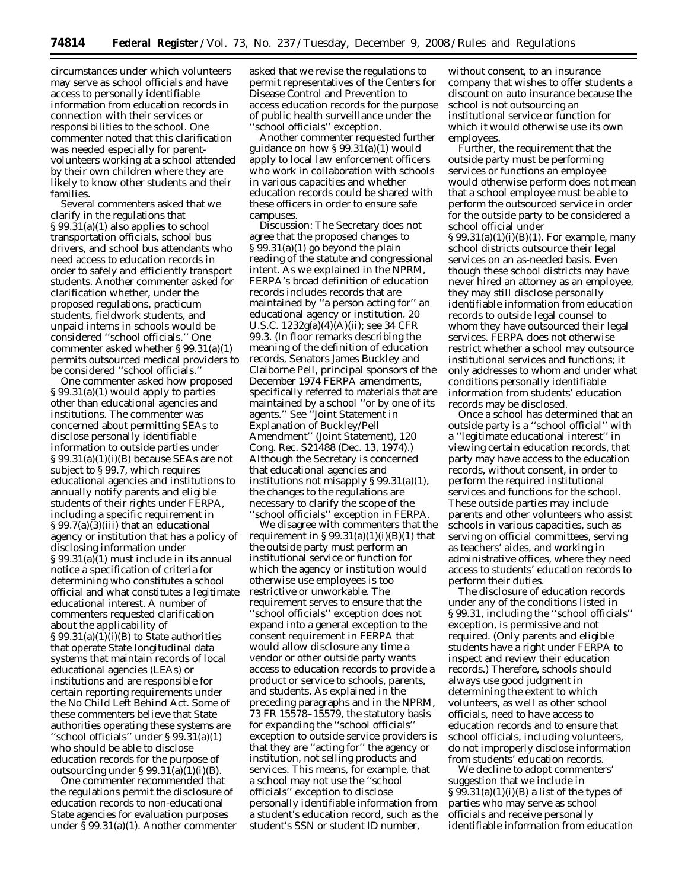circumstances under which volunteers may serve as school officials and have access to personally identifiable information from education records in connection with their services or responsibilities to the school. One commenter noted that this clarification was needed especially for parentvolunteers working at a school attended by their own children where they are likely to know other students and their families.

Several commenters asked that we clarify in the regulations that § 99.31(a)(1) also applies to school transportation officials, school bus drivers, and school bus attendants who need access to education records in order to safely and efficiently transport students. Another commenter asked for clarification whether, under the proposed regulations, practicum students, fieldwork students, and unpaid interns in schools would be considered ''school officials.'' One commenter asked whether § 99.31(a)(1) permits outsourced medical providers to be considered ''school officials.''

One commenter asked how proposed § 99.31(a)(1) would apply to parties other than educational agencies and institutions. The commenter was concerned about permitting SEAs to disclose personally identifiable information to outside parties under § 99.31(a)(1)(i)(B) because SEAs are not subject to § 99.7, which requires educational agencies and institutions to annually notify parents and eligible students of their rights under FERPA, including a specific requirement in § 99.7(a)(3)(iii) that an educational agency or institution that has a policy of disclosing information under § 99.31(a)(1) must include in its annual notice a specification of criteria for determining who constitutes a school official and what constitutes a legitimate educational interest. A number of commenters requested clarification about the applicability of  $\S 99.31(a)(1)(i)(B)$  to State authorities that operate State longitudinal data systems that maintain records of local educational agencies (LEAs) or institutions and are responsible for certain reporting requirements under the No Child Left Behind Act. Some of these commenters believe that State authorities operating these systems are ''school officials'' under § 99.31(a)(1) who should be able to disclose education records for the purpose of outsourcing under  $\S 99.31(a)(1)(i)(B)$ .

One commenter recommended that the regulations permit the disclosure of education records to non-educational State agencies for evaluation purposes under § 99.31(a)(1). Another commenter asked that we revise the regulations to permit representatives of the Centers for Disease Control and Prevention to access education records for the purpose of public health surveillance under the ''school officials'' exception.

Another commenter requested further guidance on how § 99.31(a)(1) would apply to local law enforcement officers who work in collaboration with schools in various capacities and whether education records could be shared with these officers in order to ensure safe campuses.

*Discussion:* The Secretary does not agree that the proposed changes to § 99.31(a)(1) go beyond the plain reading of the statute and congressional intent. As we explained in the NPRM, FERPA's broad definition of *education records* includes records that are maintained by ''a person acting for'' an educational agency or institution. 20 U.S.C. 1232g(a)(4)(A)(ii); *see* 34 CFR 99.3. (In floor remarks describing the meaning of the definition of *education records,* Senators James Buckley and Claiborne Pell, principal sponsors of the December 1974 FERPA amendments, specifically referred to materials that are maintained by a school ''or by one of its agents.'' See ''Joint Statement in Explanation of Buckley/Pell Amendment'' (Joint Statement), 120 Cong. Rec. S21488 (Dec. 13, 1974).) Although the Secretary is concerned that educational agencies and institutions not misapply § 99.31(a)(1), the changes to the regulations are necessary to clarify the scope of the ''school officials'' exception in FERPA.

We disagree with commenters that the requirement in  $\S 99.31(a)(1)(i)(B)(1)$  that the outside party must perform an institutional service or function for which the agency or institution would otherwise use employees is too restrictive or unworkable. The requirement serves to ensure that the ''school officials'' exception does not expand into a general exception to the consent requirement in FERPA that would allow disclosure any time a vendor or other outside party wants access to education records to provide a product or service to schools, parents, and students. As explained in the preceding paragraphs and in the NPRM, 73 FR 15578–15579, the statutory basis for expanding the ''school officials'' exception to outside service providers is that they are ''acting for'' the agency or institution, not selling products and services. This means, for example, that a school may not use the ''school officials'' exception to disclose personally identifiable information from a student's education record, such as the student's SSN or student ID number,

without consent, to an insurance company that wishes to offer students a discount on auto insurance because the school is not outsourcing an institutional service or function for which it would otherwise use its own employees.

Further, the requirement that the outside party must be performing services or functions an employee would otherwise perform does not mean that a school employee must be able to perform the outsourced service in order for the outside party to be considered a school official under

§ 99.31(a)(1)(i)(B)(*1*). For example, many school districts outsource their legal services on an as-needed basis. Even though these school districts may have never hired an attorney as an employee, they may still disclose personally identifiable information from education records to outside legal counsel to whom they have outsourced their legal services. FERPA does not otherwise restrict whether a school may outsource institutional services and functions; it only addresses to whom and under what conditions personally identifiable information from students' education records may be disclosed.

Once a school has determined that an outside party is a ''school official'' with a ''legitimate educational interest'' in viewing certain education records, that party may have access to the education records, without consent, in order to perform the required institutional services and functions for the school. These outside parties may include parents and other volunteers who assist schools in various capacities, such as serving on official committees, serving as teachers' aides, and working in administrative offices, where they need access to students' education records to perform their duties.

The disclosure of education records under any of the conditions listed in § 99.31, including the ''school officials'' exception, is permissive and not required. (Only parents and eligible students have a right under FERPA to inspect and review their education records.) Therefore, schools should always use good judgment in determining the extent to which volunteers, as well as other school officials, need to have access to education records and to ensure that school officials, including volunteers, do not improperly disclose information from students' education records.

We decline to adopt commenters' suggestion that we include in  $\S 99.31(a)(1)(i)(B)$  a list of the types of parties who may serve as school officials and receive personally identifiable information from education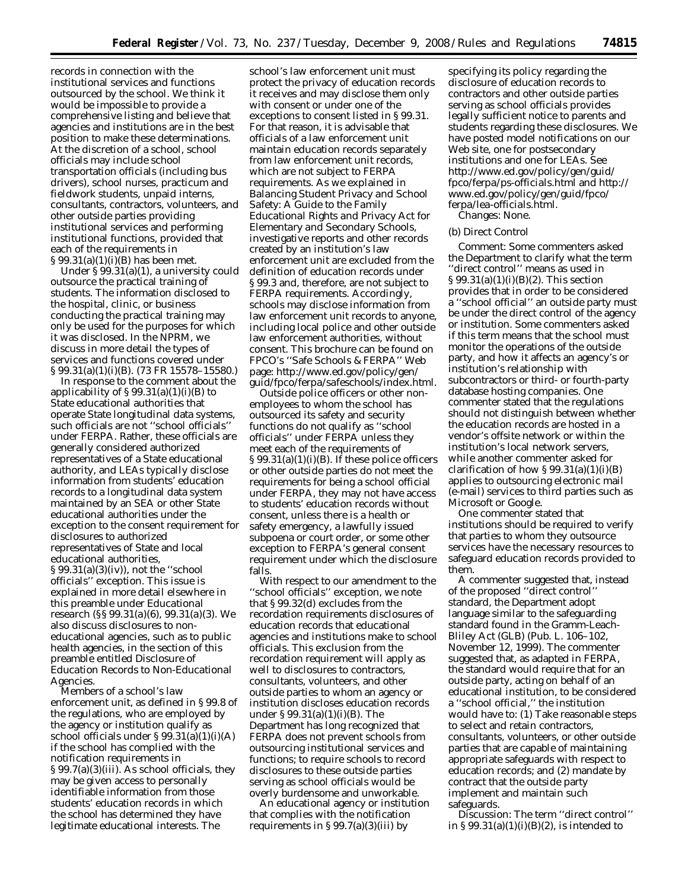records in connection with the institutional services and functions outsourced by the school. We think it would be impossible to provide a comprehensive listing and believe that agencies and institutions are in the best position to make these determinations. At the discretion of a school, school officials may include school transportation officials (including bus drivers), school nurses, practicum and fieldwork students, unpaid interns, consultants, contractors, volunteers, and other outside parties providing institutional services and performing institutional functions, provided that each of the requirements in § 99.31(a)(1)(i)(B) has been met.

Under § 99.31(a)(1), a university could outsource the practical training of students. The information disclosed to the hospital, clinic, or business conducting the practical training may only be used for the purposes for which it was disclosed. In the NPRM, we discuss in more detail the types of services and functions covered under § 99.31(a)(1)(i)(B). (73 FR 15578-15580.)

In response to the comment about the applicability of  $\S 99.31(a)(1)(i)(B)$  to State educational authorities that operate State longitudinal data systems, such officials are not ''school officials'' under FERPA. Rather, these officials are generally considered authorized representatives of a State educational authority, and LEAs typically disclose information from students' education records to a longitudinal data system maintained by an SEA or other State educational authorities under the exception to the consent requirement for disclosures to authorized representatives of State and local educational authorities, § 99.31(a)(3)(iv)), not the "school officials'' exception. This issue is explained in more detail elsewhere in this preamble under *Educational research (§§ 99.31(a)(6), 99.31(a)(3).* We also discuss disclosures to noneducational agencies, such as to public health agencies, in the section of this preamble entitled *Disclosure of Education Records to Non-Educational Agencies.* 

Members of a school's *law enforcement unit,* as defined in § 99.8 of the regulations, who are employed by the agency or institution qualify as school officials under § 99.31(a)(1)(i)(A) if the school has complied with the notification requirements in § 99.7(a)(3)(iii). As school officials, they may be given access to personally identifiable information from those students' education records in which the school has determined they have legitimate educational interests. The

school's law enforcement unit must protect the privacy of education records it receives and may disclose them only with consent or under one of the exceptions to consent listed in § 99.31. For that reason, it is advisable that officials of a law enforcement unit maintain education records separately from law enforcement unit records, which are not subject to FERPA requirements. As we explained in *Balancing Student Privacy and School Safety: A Guide to the Family Educational Rights and Privacy Act for Elementary and Secondary Schools,*  investigative reports and other records created by an institution's law enforcement unit are excluded from the definition of *education records* under § 99.3 and, therefore, are not subject to FERPA requirements. Accordingly, schools may disclose information from law enforcement unit records to anyone, including local police and other outside law enforcement authorities, without consent. This brochure can be found on FPCO's ''Safe Schools & FERPA'' Web page: *http://www.ed.gov/policy/gen/ guid/fpco/ferpa/safeschools/index.html.* 

Outside police officers or other nonemployees to whom the school has outsourced its safety and security functions do not qualify as ''school officials'' under FERPA unless they meet each of the requirements of § 99.31(a)(1)(i)(B). If these police officers or other outside parties do not meet the requirements for being a school official under FERPA, they may not have access to students' education records without consent, unless there is a health or safety emergency, a lawfully issued subpoena or court order, or some other exception to FERPA's general consent requirement under which the disclosure falls.

With respect to our amendment to the ''school officials'' exception, we note that § 99.32(d) excludes from the recordation requirements disclosures of education records that educational agencies and institutions make to school officials. This exclusion from the recordation requirement will apply as well to disclosures to contractors, consultants, volunteers, and other outside parties to whom an agency or institution discloses education records under § 99.31(a)(1)(i)(B). The Department has long recognized that FERPA does not prevent schools from outsourcing institutional services and functions; to require schools to record disclosures to these outside parties serving as school officials would be overly burdensome and unworkable.

An educational agency or institution that complies with the notification requirements in  $\S 99.7(a)(3)(iii)$  by

specifying its policy regarding the disclosure of education records to contractors and other outside parties serving as school officials provides legally sufficient notice to parents and students regarding these disclosures. We have posted model notifications on our Web site, one for postsecondary institutions and one for LEAs. See *http://www.ed.gov/policy/gen/guid/ fpco/ferpa/ps-officials.html* and *http:// www.ed.gov/policy/gen/guid/fpco/ ferpa/lea-officials.html.* 

*Changes:* None.

# *(b) Direct Control*

*Comment:* Some commenters asked the Department to clarify what the term ''direct control'' means as used in § 99.31(a)(1)(i)(B)(*2)*. This section provides that in order to be considered a ''school official'' an outside party must be under the direct control of the agency or institution. Some commenters asked if this term means that the school must monitor the operations of the outside party, and how it affects an agency's or institution's relationship with subcontractors or third- or fourth-party database hosting companies. One commenter stated that the regulations should not distinguish between whether the education records are hosted in a vendor's offsite network or within the institution's local network servers, while another commenter asked for clarification of how  $\S 99.31(a)(1)(i)(B)$ applies to outsourcing electronic mail (e-mail) services to third parties such as Microsoft or Google.

One commenter stated that institutions should be required to verify that parties to whom they outsource services have the necessary resources to safeguard education records provided to them.

A commenter suggested that, instead of the proposed ''direct control'' standard, the Department adopt language similar to the safeguarding standard found in the Gramm-Leach-Bliley Act (GLB) (Pub. L. 106–102, November 12, 1999). The commenter suggested that, as adapted in FERPA, the standard would require that for an outside party, acting on behalf of an educational institution, to be considered a ''school official,'' the institution would have to: (1) Take reasonable steps to select and retain contractors, consultants, volunteers, or other outside parties that are capable of maintaining appropriate safeguards with respect to education records; and (2) mandate by contract that the outside party implement and maintain such safeguards.

*Discussion:* The term ''direct control'' in § 99.31(a)(1)(i)(B)(*2*), is intended to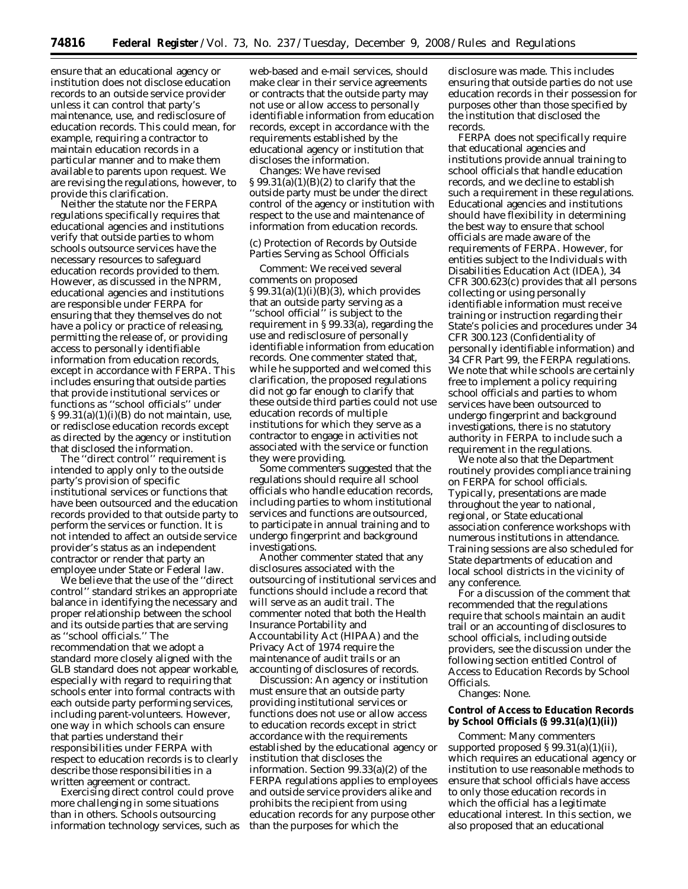ensure that an educational agency or institution does not disclose education records to an outside service provider unless it can control that party's maintenance, use, and redisclosure of education records. This could mean, for example, requiring a contractor to maintain education records in a particular manner and to make them available to parents upon request. We are revising the regulations, however, to provide this clarification.

Neither the statute nor the FERPA regulations specifically requires that educational agencies and institutions verify that outside parties to whom schools outsource services have the necessary resources to safeguard education records provided to them. However, as discussed in the NPRM, educational agencies and institutions are responsible under FERPA for ensuring that they themselves do not have a policy or practice of releasing, permitting the release of, or providing access to personally identifiable information from education records, except in accordance with FERPA. This includes ensuring that outside parties that provide institutional services or functions as ''school officials'' under  $\S 99.31(a)(1)(i)(B)$  do not maintain, use, or redisclose education records except as directed by the agency or institution that disclosed the information.

The ''direct control'' requirement is intended to apply only to the outside party's provision of specific institutional services or functions that have been outsourced and the education records provided to that outside party to perform the services or function. It is not intended to affect an outside service provider's status as an independent contractor or render that party an employee under State or Federal law.

We believe that the use of the ''direct control'' standard strikes an appropriate balance in identifying the necessary and proper relationship between the school and its outside parties that are serving as ''school officials.'' The recommendation that we adopt a standard more closely aligned with the GLB standard does not appear workable, especially with regard to requiring that schools enter into formal contracts with each outside party performing services, including parent-volunteers. However, one way in which schools can ensure that parties understand their responsibilities under FERPA with respect to education records is to clearly describe those responsibilities in a written agreement or contract.

Exercising direct control could prove more challenging in some situations than in others. Schools outsourcing information technology services, such as

web-based and e-mail services, should make clear in their service agreements or contracts that the outside party may not use or allow access to personally identifiable information from education records, except in accordance with the requirements established by the educational agency or institution that discloses the information.

*Changes:* We have revised § 99.31(a)(1)(B)(*2*) to clarify that the outside party must be under the direct control of the agency or institution with respect to the use and maintenance of information from education records.

# *(c) Protection of Records by Outside Parties Serving as School Officials*

*Comment:* We received several comments on proposed § 99.31(a)(1)(i)(B)(*3*), which provides that an outside party serving as a ''school official'' is subject to the requirement in § 99.33(a), regarding the use and redisclosure of personally identifiable information from education records. One commenter stated that, while he supported and welcomed this clarification, the proposed regulations did not go far enough to clarify that these outside third parties could not use education records of multiple institutions for which they serve as a contractor to engage in activities not associated with the service or function they were providing.

Some commenters suggested that the regulations should require all school officials who handle education records, including parties to whom institutional services and functions are outsourced, to participate in annual training and to undergo fingerprint and background investigations.

Another commenter stated that any disclosures associated with the outsourcing of institutional services and functions should include a record that will serve as an audit trail. The commenter noted that both the Health Insurance Portability and Accountability Act (HIPAA) and the Privacy Act of 1974 require the maintenance of audit trails or an accounting of disclosures of records.

*Discussion:* An agency or institution must ensure that an outside party providing institutional services or functions does not use or allow access to education records except in strict accordance with the requirements established by the educational agency or institution that discloses the information. Section 99.33(a)(2) of the FERPA regulations applies to employees and outside service providers alike and prohibits the recipient from using education records for any purpose other than the purposes for which the

disclosure was made. This includes ensuring that outside parties do not use education records in their possession for purposes other than those specified by the institution that disclosed the records.

FERPA does not specifically require that educational agencies and institutions provide annual training to school officials that handle education records, and we decline to establish such a requirement in these regulations. Educational agencies and institutions should have flexibility in determining the best way to ensure that school officials are made aware of the requirements of FERPA. However, for entities subject to the Individuals with Disabilities Education Act (IDEA), 34 CFR 300.623(c) provides that all persons collecting or using personally identifiable information must receive training or instruction regarding their State's policies and procedures under 34 CFR 300.123 (Confidentiality of personally identifiable information) and 34 CFR Part 99, the FERPA regulations. We note that while schools are certainly free to implement a policy requiring school officials and parties to whom services have been outsourced to undergo fingerprint and background investigations, there is no statutory authority in FERPA to include such a requirement in the regulations.

We note also that the Department routinely provides compliance training on FERPA for school officials. Typically, presentations are made throughout the year to national, regional, or State educational association conference workshops with numerous institutions in attendance. Training sessions are also scheduled for State departments of education and local school districts in the vicinity of any conference.

For a discussion of the comment that recommended that the regulations require that schools maintain an audit trail or an accounting of disclosures to school officials, including outside providers, see the discussion under the following section entitled *Control of Access to Education Records by School Officials*.

*Changes:* None.

## **Control of Access to Education Records by School Officials (§ 99.31(a)(1)(ii))**

*Comment:* Many commenters supported proposed § 99.31(a)(1)(ii), which requires an educational agency or institution to use reasonable methods to ensure that school officials have access to only those education records in which the official has a legitimate educational interest. In this section, we also proposed that an educational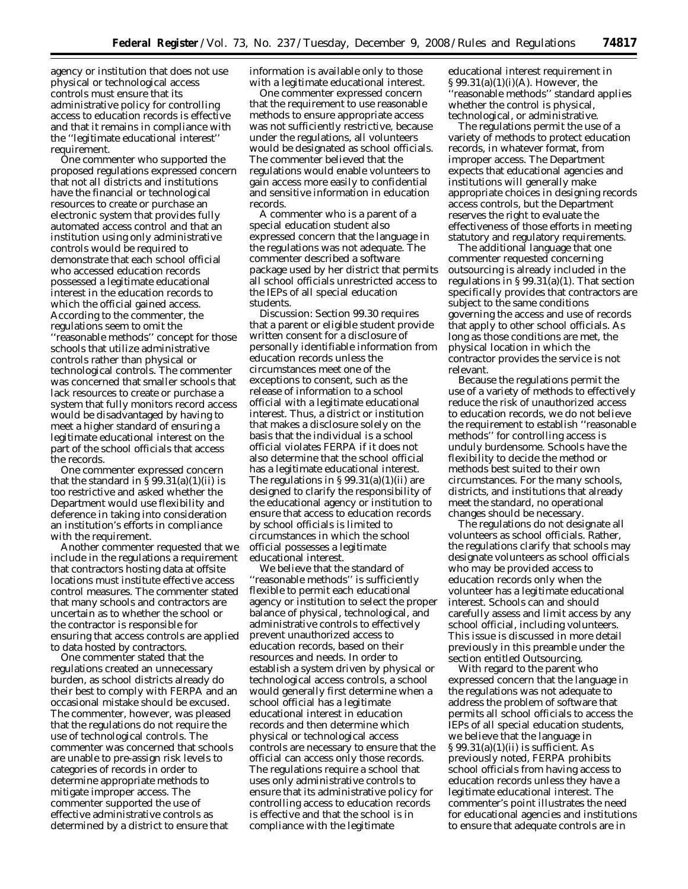agency or institution that does not use physical or technological access controls must ensure that its administrative policy for controlling access to education records is effective and that it remains in compliance with the ''legitimate educational interest'' requirement.

One commenter who supported the proposed regulations expressed concern that not all districts and institutions have the financial or technological resources to create or purchase an electronic system that provides fully automated access control and that an institution using only administrative controls would be required to demonstrate that each school official who accessed education records possessed a legitimate educational interest in the education records to which the official gained access. According to the commenter, the regulations seem to omit the ''reasonable methods'' concept for those schools that utilize administrative controls rather than physical or technological controls. The commenter was concerned that smaller schools that lack resources to create or purchase a system that fully monitors record access would be disadvantaged by having to meet a higher standard of ensuring a legitimate educational interest on the part of the school officials that access the records.

One commenter expressed concern that the standard in  $\S 99.31(a)(1)(ii)$  is too restrictive and asked whether the Department would use flexibility and deference in taking into consideration an institution's efforts in compliance with the requirement.

Another commenter requested that we include in the regulations a requirement that contractors hosting data at offsite locations must institute effective access control measures. The commenter stated that many schools and contractors are uncertain as to whether the school or the contractor is responsible for ensuring that access controls are applied to data hosted by contractors.

One commenter stated that the regulations created an unnecessary burden, as school districts already do their best to comply with FERPA and an occasional mistake should be excused. The commenter, however, was pleased that the regulations do not require the use of technological controls. The commenter was concerned that schools are unable to pre-assign risk levels to categories of records in order to determine appropriate methods to mitigate improper access. The commenter supported the use of effective administrative controls as determined by a district to ensure that

information is available only to those with a legitimate educational interest.

One commenter expressed concern that the requirement to use reasonable methods to ensure appropriate access was not sufficiently restrictive, because under the regulations, all volunteers would be designated as school officials. The commenter believed that the regulations would enable volunteers to gain access more easily to confidential and sensitive information in education records.

A commenter who is a parent of a special education student also expressed concern that the language in the regulations was not adequate. The commenter described a software package used by her district that permits all school officials unrestricted access to the IEPs of all special education students.

*Discussion:* Section 99.30 requires that a parent or eligible student provide written consent for a disclosure of personally identifiable information from education records unless the circumstances meet one of the exceptions to consent, such as the release of information to a school official with a legitimate educational interest. Thus, a district or institution that makes a disclosure solely on the basis that the individual is a school official violates FERPA if it does not also determine that the school official has a legitimate educational interest. The regulations in  $\S 99.31(a)(1)(ii)$  are designed to clarify the responsibility of the educational agency or institution to ensure that access to education records by school officials is limited to circumstances in which the school official possesses a legitimate educational interest.

We believe that the standard of ''reasonable methods'' is sufficiently flexible to permit each educational agency or institution to select the proper balance of physical, technological, and administrative controls to effectively prevent unauthorized access to education records, based on their resources and needs. In order to establish a system driven by physical or technological access controls, a school would generally first determine when a school official has a legitimate educational interest in education records and then determine which physical or technological access controls are necessary to ensure that the official can access only those records. The regulations require a school that uses only administrative controls to ensure that its administrative policy for controlling access to education records is effective and that the school is in compliance with the legitimate

educational interest requirement in  $\S 99.31(a)(1)(i)(A)$ . However, the 'reasonable methods'' standard applies whether the control is physical, technological, or administrative.

The regulations permit the use of a variety of methods to protect education records, in whatever format, from improper access. The Department expects that educational agencies and institutions will generally make appropriate choices in designing records access controls, but the Department reserves the right to evaluate the effectiveness of those efforts in meeting statutory and regulatory requirements.

The additional language that one commenter requested concerning outsourcing is already included in the regulations in  $\S 99.31(a)(1)$ . That section specifically provides that contractors are subject to the same conditions governing the access and use of records that apply to other school officials. As long as those conditions are met, the physical location in which the contractor provides the service is not relevant.

Because the regulations permit the use of a variety of methods to effectively reduce the risk of unauthorized access to education records, we do not believe the requirement to establish ''reasonable methods'' for controlling access is unduly burdensome. Schools have the flexibility to decide the method or methods best suited to their own circumstances. For the many schools, districts, and institutions that already meet the standard, no operational changes should be necessary.

The regulations do not designate all volunteers as school officials. Rather, the regulations clarify that schools may designate volunteers as school officials who may be provided access to education records only when the volunteer has a legitimate educational interest. Schools can and should carefully assess and limit access by any school official, including volunteers. This issue is discussed in more detail previously in this preamble under the section entitled *Outsourcing*.

With regard to the parent who expressed concern that the language in the regulations was not adequate to address the problem of software that permits all school officials to access the IEPs of all special education students, we believe that the language in  $\S 99.31(a)(1)(ii)$  is sufficient. As previously noted, FERPA prohibits school officials from having access to education records unless they have a legitimate educational interest. The commenter's point illustrates the need for educational agencies and institutions to ensure that adequate controls are in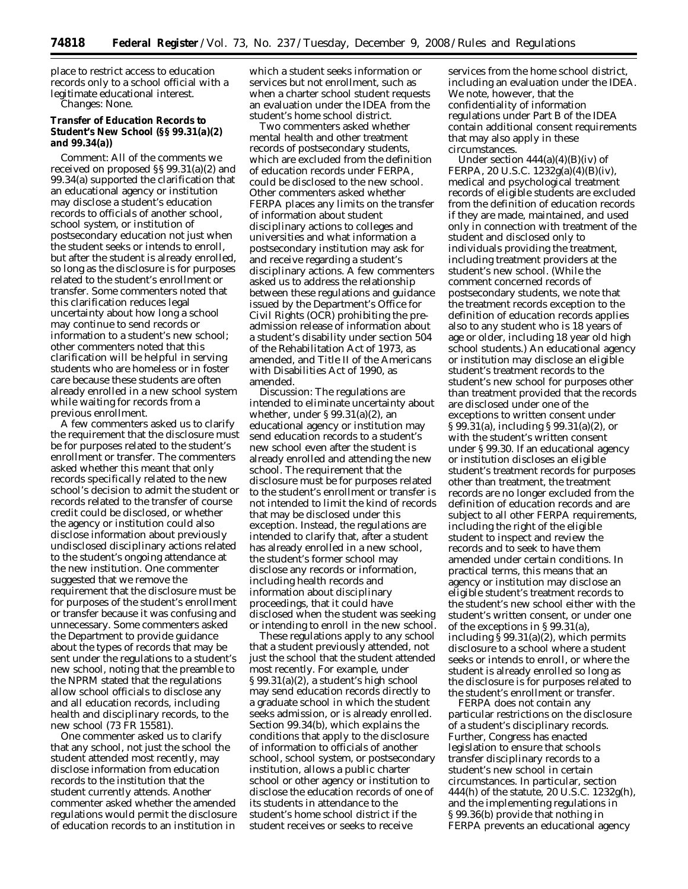place to restrict access to education records only to a school official with a legitimate educational interest. *Changes:* None.

# **Transfer of Education Records to Student's New School (§§ 99.31(a)(2) and 99.34(a))**

*Comment:* All of the comments we received on proposed §§ 99.31(a)(2) and 99.34(a) supported the clarification that an educational agency or institution may disclose a student's education records to officials of another school, school system, or institution of postsecondary education not just when the student seeks or intends to enroll, but after the student is already enrolled, so long as the disclosure is for purposes related to the student's enrollment or transfer. Some commenters noted that this clarification reduces legal uncertainty about how long a school may continue to send records or information to a student's new school; other commenters noted that this clarification will be helpful in serving students who are homeless or in foster care because these students are often already enrolled in a new school system while waiting for records from a previous enrollment.

A few commenters asked us to clarify the requirement that the disclosure must be for purposes related to the student's enrollment or transfer. The commenters asked whether this meant that only records specifically related to the new school's decision to admit the student or records related to the transfer of course credit could be disclosed, or whether the agency or institution could also disclose information about previously undisclosed disciplinary actions related to the student's ongoing attendance at the new institution. One commenter suggested that we remove the requirement that the disclosure must be for purposes of the student's enrollment or transfer because it was confusing and unnecessary. Some commenters asked the Department to provide guidance about the types of records that may be sent under the regulations to a student's new school, noting that the preamble to the NPRM stated that the regulations allow school officials to disclose any and all education records, including health and disciplinary records, to the new school (73 FR 15581).

One commenter asked us to clarify that any school, not just the school the student attended most recently, may disclose information from education records to the institution that the student currently attends. Another commenter asked whether the amended regulations would permit the disclosure of education records to an institution in

which a student seeks information or services but not enrollment, such as when a charter school student requests an evaluation under the IDEA from the student's home school district.

Two commenters asked whether mental health and other treatment records of postsecondary students, which are excluded from the definition of *education records* under FERPA, could be disclosed to the new school. Other commenters asked whether FERPA places any limits on the transfer of information about student disciplinary actions to colleges and universities and what information a postsecondary institution may ask for and receive regarding a student's disciplinary actions. A few commenters asked us to address the relationship between these regulations and guidance issued by the Department's Office for Civil Rights (OCR) prohibiting the preadmission release of information about a student's disability under section 504 of the Rehabilitation Act of 1973, as amended, and Title II of the Americans with Disabilities Act of 1990, as amended.

*Discussion:* The regulations are intended to eliminate uncertainty about whether, under § 99.31(a)(2), an educational agency or institution may send education records to a student's new school even after the student is already enrolled and attending the new school. The requirement that the disclosure must be for purposes related to the student's enrollment or transfer is not intended to limit the kind of records that may be disclosed under this exception. Instead, the regulations are intended to clarify that, after a student has already enrolled in a new school, the student's former school may disclose any records or information, including health records and information about disciplinary proceedings, that it could have disclosed when the student was seeking or intending to enroll in the new school.

These regulations apply to any school that a student previously attended, not just the school that the student attended most recently. For example, under § 99.31(a)(2), a student's high school may send education records directly to a graduate school in which the student seeks admission, or is already enrolled. Section 99.34(b), which explains the conditions that apply to the disclosure of information to officials of another school, school system, or postsecondary institution, allows a public charter school or other agency or institution to disclose the education records of one of its students in attendance to the student's home school district if the student receives or seeks to receive

services from the home school district, including an evaluation under the IDEA. We note, however, that the confidentiality of information regulations under Part B of the IDEA contain additional consent requirements that may also apply in these circumstances.

Under section  $444(a)(4)(B)(iv)$  of FERPA, 20 U.S.C. 1232g(a)(4)(B)(iv), medical and psychological treatment records of eligible students are excluded from the definition of *education records*  if they are made, maintained, and used only in connection with treatment of the student and disclosed only to individuals providing the treatment, including treatment providers at the student's new school. (While the comment concerned records of postsecondary students, we note that the treatment records exception to the definition of *education records* applies also to any student who is 18 years of age or older, including 18 year old high school students.) An educational agency or institution may disclose an eligible student's treatment records to the student's new school for purposes other than treatment provided that the records are disclosed under one of the exceptions to written consent under § 99.31(a), including § 99.31(a)(2), or with the student's written consent under § 99.30. If an educational agency or institution discloses an eligible student's treatment records for purposes other than treatment, the treatment records are no longer excluded from the definition of *education records* and are subject to all other FERPA requirements, including the right of the eligible student to inspect and review the records and to seek to have them amended under certain conditions. In practical terms, this means that an agency or institution may disclose an eligible student's treatment records to the student's new school either with the student's written consent, or under one of the exceptions in § 99.31(a), including  $\S 99.31(a)(2)$ , which permits disclosure to a school where a student seeks or intends to enroll, or where the student is already enrolled so long as the disclosure is for purposes related to the student's enrollment or transfer.

FERPA does not contain any particular restrictions on the disclosure of a student's disciplinary records. Further, Congress has enacted legislation to ensure that schools transfer disciplinary records to a student's new school in certain circumstances. In particular, section 444(h) of the statute, 20 U.S.C. 1232g(h), and the implementing regulations in § 99.36(b) provide that nothing in FERPA prevents an educational agency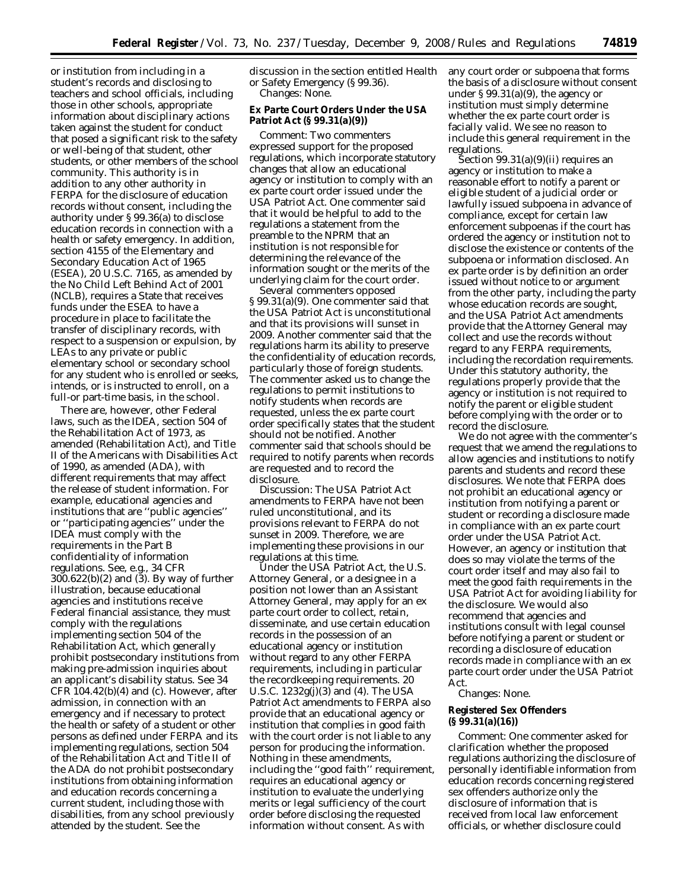or institution from including in a student's records and disclosing to teachers and school officials, including those in other schools, appropriate information about disciplinary actions taken against the student for conduct that posed a significant risk to the safety or well-being of that student, other students, or other members of the school community. This authority is in addition to any other authority in FERPA for the disclosure of education records without consent, including the authority under § 99.36(a) to disclose education records in connection with a health or safety emergency. In addition, section 4155 of the Elementary and Secondary Education Act of 1965 (ESEA), 20 U.S.C. 7165, as amended by the No Child Left Behind Act of 2001 (NCLB), requires a State that receives funds under the ESEA to have a procedure in place to facilitate the transfer of disciplinary records, with respect to a suspension or expulsion, by LEAs to any private or public elementary school or secondary school for any student who is enrolled or seeks, intends, or is instructed to enroll, on a full-or part-time basis, in the school.

There are, however, other Federal laws, such as the IDEA, section 504 of the Rehabilitation Act of 1973, as amended (Rehabilitation Act), and Title II of the Americans with Disabilities Act of 1990, as amended (ADA), with different requirements that may affect the release of student information. For example, educational agencies and institutions that are ''public agencies'' or ''participating agencies'' under the IDEA must comply with the requirements in the Part B confidentiality of information regulations. *See, e.g.,* 34 CFR 300.622(b)(2) and (3). By way of further illustration, because educational agencies and institutions receive Federal financial assistance, they must comply with the regulations implementing section 504 of the Rehabilitation Act, which generally prohibit postsecondary institutions from making pre-admission inquiries about an applicant's disability status. See 34 CFR  $104.42(b)(4)$  and (c). However, after admission, in connection with an emergency and if necessary to protect the health or safety of a student or other persons as defined under FERPA and its implementing regulations, section 504 of the Rehabilitation Act and Title II of the ADA do not prohibit postsecondary institutions from obtaining information and education records concerning a current student, including those with disabilities, from any school previously attended by the student. See the

discussion in the section entitled *Health or Safety Emergency (§ 99.36). Changes:* None.

# **Ex Parte Court Orders Under the USA Patriot Act (§ 99.31(a)(9))**

*Comment:* Two commenters expressed support for the proposed regulations, which incorporate statutory changes that allow an educational agency or institution to comply with an *ex parte* court order issued under the USA Patriot Act. One commenter said that it would be helpful to add to the regulations a statement from the preamble to the NPRM that an institution is not responsible for determining the relevance of the information sought or the merits of the underlying claim for the court order.

Several commenters opposed § 99.31(a)(9). One commenter said that the USA Patriot Act is unconstitutional and that its provisions will sunset in 2009. Another commenter said that the regulations harm its ability to preserve the confidentiality of education records, particularly those of foreign students. The commenter asked us to change the regulations to permit institutions to notify students when records are requested, unless the *ex parte* court order specifically states that the student should not be notified. Another commenter said that schools should be required to notify parents when records are requested and to record the disclosure.

*Discussion:* The USA Patriot Act amendments to FERPA have not been ruled unconstitutional, and its provisions relevant to FERPA do not sunset in 2009. Therefore, we are implementing these provisions in our regulations at this time.

Under the USA Patriot Act, the U.S. Attorney General, or a designee in a position not lower than an Assistant Attorney General, may apply for an *ex parte* court order to collect, retain, disseminate, and use certain education records in the possession of an educational agency or institution without regard to any other FERPA requirements, including in particular the recordkeeping requirements. 20 U.S.C. 1232g(j)(3) and (4). The USA Patriot Act amendments to FERPA also provide that an educational agency or institution that complies in good faith with the court order is not liable to any person for producing the information. Nothing in these amendments, including the ''good faith'' requirement, requires an educational agency or institution to evaluate the underlying merits or legal sufficiency of the court order before disclosing the requested information without consent. As with

any court order or subpoena that forms the basis of a disclosure without consent under  $\S 99.31(a)(9)$ , the agency or institution must simply determine whether the *ex parte* court order is facially valid. We see no reason to include this general requirement in the regulations.

Section 99.31(a)(9)(ii) requires an agency or institution to make a reasonable effort to notify a parent or eligible student of a judicial order or lawfully issued subpoena in advance of compliance, except for certain law enforcement subpoenas if the court has ordered the agency or institution not to disclose the existence or contents of the subpoena or information disclosed. An *ex parte* order is by definition an order issued without notice to or argument from the other party, including the party whose education records are sought, and the USA Patriot Act amendments provide that the Attorney General may collect and use the records without regard to any FERPA requirements, including the recordation requirements. Under this statutory authority, the regulations properly provide that the agency or institution is not required to notify the parent or eligible student before complying with the order or to record the disclosure.

We do not agree with the commenter's request that we amend the regulations to allow agencies and institutions to notify parents and students and record these disclosures. We note that FERPA does not prohibit an educational agency or institution from notifying a parent or student or recording a disclosure made in compliance with an *ex parte* court order under the USA Patriot Act. However, an agency or institution that does so may violate the terms of the court order itself and may also fail to meet the good faith requirements in the USA Patriot Act for avoiding liability for the disclosure. We would also recommend that agencies and institutions consult with legal counsel before notifying a parent or student or recording a disclosure of education records made in compliance with an *ex parte* court order under the USA Patriot Act.

*Changes:* None.

## **Registered Sex Offenders (§ 99.31(a)(16))**

*Comment:* One commenter asked for clarification whether the proposed regulations authorizing the disclosure of personally identifiable information from education records concerning registered sex offenders authorize only the disclosure of information that is received from local law enforcement officials, or whether disclosure could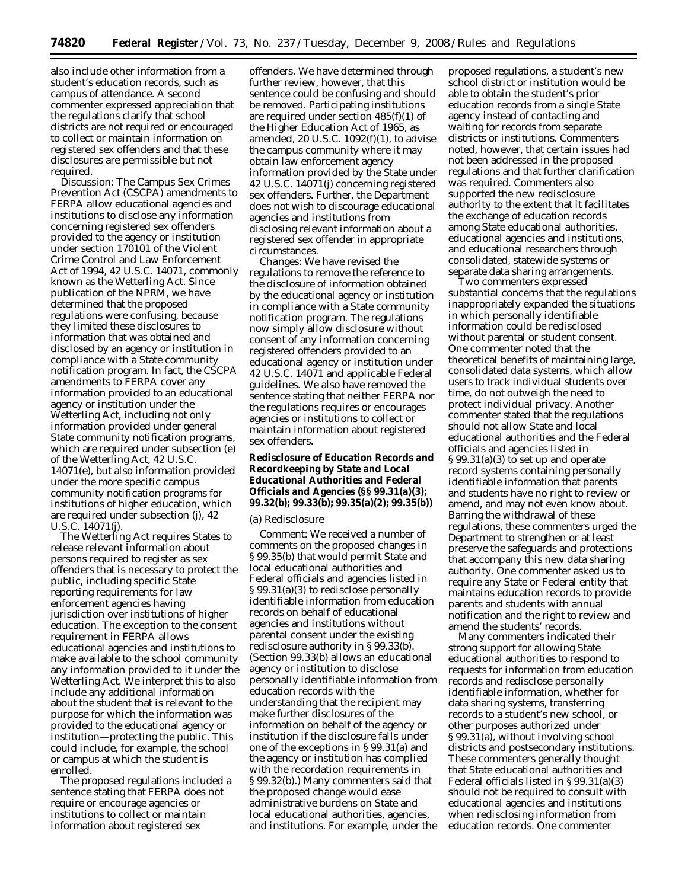also include other information from a student's education records, such as campus of attendance. A second commenter expressed appreciation that the regulations clarify that school districts are not required or encouraged to collect or maintain information on registered sex offenders and that these disclosures are permissible but not required.

*Discussion:* The Campus Sex Crimes Prevention Act (CSCPA) amendments to FERPA allow educational agencies and institutions to disclose any information concerning registered sex offenders provided to the agency or institution under section 170101 of the Violent Crime Control and Law Enforcement Act of 1994, 42 U.S.C. 14071, commonly known as the Wetterling Act. Since publication of the NPRM, we have determined that the proposed regulations were confusing, because they limited these disclosures to information that was obtained and disclosed by an agency or institution in compliance with a State community notification program. In fact, the CSCPA amendments to FERPA cover any information provided to an educational agency or institution under the Wetterling Act, including not only information provided under general State community notification programs, which are required under subsection (e) of the Wetterling Act, 42 U.S.C. 14071(e), but also information provided under the more specific campus community notification programs for institutions of higher education, which are required under subsection (j), 42 U.S.C. 14071(j).

The Wetterling Act requires States to release relevant information about persons required to register as sex offenders that is necessary to protect the public, including specific State reporting requirements for law enforcement agencies having jurisdiction over institutions of higher education. The exception to the consent requirement in FERPA allows educational agencies and institutions to make available to the school community any information provided to it under the Wetterling Act. We interpret this to also include any additional information about the student that is relevant to the purpose for which the information was provided to the educational agency or institution—protecting the public. This could include, for example, the school or campus at which the student is enrolled.

The proposed regulations included a sentence stating that FERPA does not require or encourage agencies or institutions to collect or maintain information about registered sex

offenders. We have determined through further review, however, that this sentence could be confusing and should be removed. Participating institutions are required under section 485(f)(1) of the Higher Education Act of 1965, as amended, 20 U.S.C. 1092(f)(1), to advise the campus community where it may obtain law enforcement agency information provided by the State under 42 U.S.C. 14071(j) concerning registered sex offenders. Further, the Department does not wish to discourage educational agencies and institutions from disclosing relevant information about a registered sex offender in appropriate circumstances.

*Changes:* We have revised the regulations to remove the reference to the disclosure of information obtained by the educational agency or institution in compliance with a State community notification program. The regulations now simply allow disclosure without consent of any information concerning registered offenders provided to an educational agency or institution under 42 U.S.C. 14071 and applicable Federal guidelines. We also have removed the sentence stating that neither FERPA nor the regulations requires or encourages agencies or institutions to collect or maintain information about registered sex offenders.

# **Redisclosure of Education Records and Recordkeeping by State and Local Educational Authorities and Federal Officials and Agencies (§§ 99.31(a)(3); 99.32(b); 99.33(b); 99.35(a)(2); 99.35(b))**

## *(a) Redisclosure*

*Comment:* We received a number of comments on the proposed changes in § 99.35(b) that would permit State and local educational authorities and Federal officials and agencies listed in § 99.31(a)(3) to redisclose personally identifiable information from education records on behalf of educational agencies and institutions without parental consent under the existing redisclosure authority in § 99.33(b). (Section 99.33(b) allows an educational agency or institution to disclose personally identifiable information from education records with the understanding that the recipient may make further disclosures of the information on behalf of the agency or institution if the disclosure falls under one of the exceptions in § 99.31(a) and the agency or institution has complied with the recordation requirements in § 99.32(b).) Many commenters said that the proposed change would ease administrative burdens on State and local educational authorities, agencies, and institutions. For example, under the

proposed regulations, a student's new school district or institution would be able to obtain the student's prior education records from a single State agency instead of contacting and waiting for records from separate districts or institutions. Commenters noted, however, that certain issues had not been addressed in the proposed regulations and that further clarification was required. Commenters also supported the new redisclosure authority to the extent that it facilitates the exchange of education records among State educational authorities, educational agencies and institutions, and educational researchers through consolidated, statewide systems or separate data sharing arrangements.

Two commenters expressed substantial concerns that the regulations inappropriately expanded the situations in which personally identifiable information could be redisclosed without parental or student consent. One commenter noted that the theoretical benefits of maintaining large, consolidated data systems, which allow users to track individual students over time, do not outweigh the need to protect individual privacy. Another commenter stated that the regulations should not allow State and local educational authorities and the Federal officials and agencies listed in § 99.31(a)(3) to set up and operate record systems containing personally identifiable information that parents and students have no right to review or amend, and may not even know about. Barring the withdrawal of these regulations, these commenters urged the Department to strengthen or at least preserve the safeguards and protections that accompany this new data sharing authority. One commenter asked us to require any State or Federal entity that maintains education records to provide parents and students with annual notification and the right to review and amend the students' records.

Many commenters indicated their strong support for allowing State educational authorities to respond to requests for information from education records and redisclose personally identifiable information, whether for data sharing systems, transferring records to a student's new school, or other purposes authorized under § 99.31(a), without involving school districts and postsecondary institutions. These commenters generally thought that State educational authorities and Federal officials listed in § 99.31(a)(3) should not be required to consult with educational agencies and institutions when redisclosing information from education records. One commenter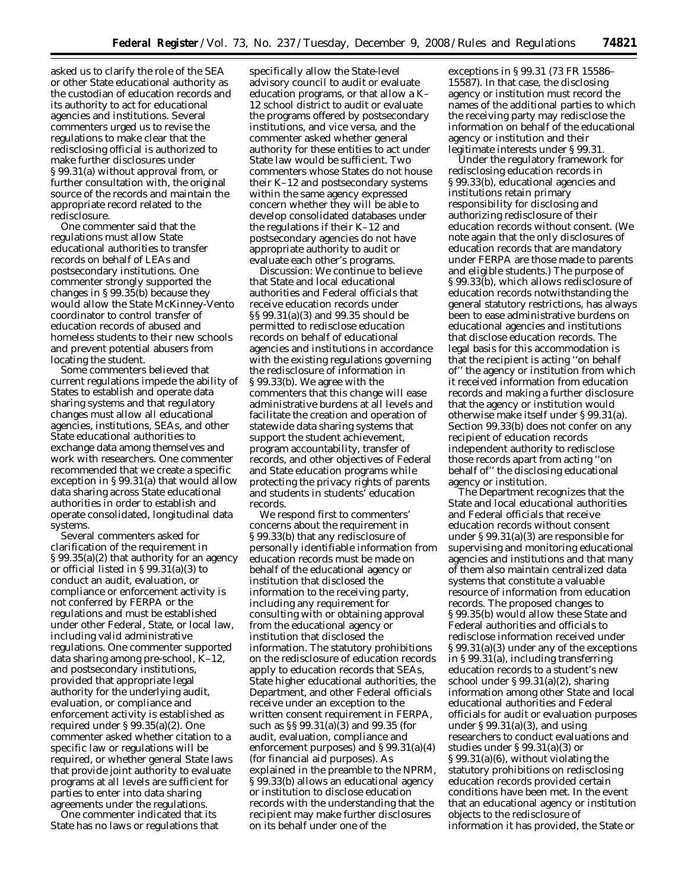asked us to clarify the role of the SEA or other State educational authority as the custodian of education records and its authority to act for educational agencies and institutions. Several commenters urged us to revise the regulations to make clear that the redisclosing official is authorized to make further disclosures under § 99.31(a) without approval from, or further consultation with, the original source of the records and maintain the appropriate record related to the redisclosure.

One commenter said that the regulations must allow State educational authorities to transfer records on behalf of LEAs and postsecondary institutions. One commenter strongly supported the changes in § 99.35(b) because they would allow the State McKinney-Vento coordinator to control transfer of education records of abused and homeless students to their new schools and prevent potential abusers from locating the student.

Some commenters believed that current regulations impede the ability of States to establish and operate data sharing systems and that regulatory changes must allow all educational agencies, institutions, SEAs, and other State educational authorities to exchange data among themselves and work with researchers. One commenter recommended that we create a specific exception in § 99.31(a) that would allow data sharing across State educational authorities in order to establish and operate consolidated, longitudinal data systems.

Several commenters asked for clarification of the requirement in § 99.35(a)(2) that authority for an agency or official listed in § 99.31(a)(3) to conduct an audit, evaluation, or compliance or enforcement activity is not conferred by FERPA or the regulations and must be established under other Federal, State, or local law, including valid administrative regulations. One commenter supported data sharing among pre-school, K–12, and postsecondary institutions, provided that appropriate legal authority for the underlying audit, evaluation, or compliance and enforcement activity is established as required under § 99.35(a)(2). One commenter asked whether citation to a specific law or regulations will be required, or whether general State laws that provide joint authority to evaluate programs at all levels are sufficient for parties to enter into data sharing agreements under the regulations.

One commenter indicated that its State has no laws or regulations that

specifically allow the State-level advisory council to audit or evaluate education programs, or that allow a K– 12 school district to audit or evaluate the programs offered by postsecondary institutions, and vice versa, and the commenter asked whether general authority for these entities to act under State law would be sufficient. Two commenters whose States do not house their K–12 and postsecondary systems within the same agency expressed concern whether they will be able to develop consolidated databases under the regulations if their K–12 and postsecondary agencies do not have appropriate authority to audit or evaluate each other's programs.

*Discussion:* We continue to believe that State and local educational authorities and Federal officials that receive education records under §§ 99.31(a)(3) and 99.35 should be permitted to redisclose education records on behalf of educational agencies and institutions in accordance with the existing regulations governing the redisclosure of information in § 99.33(b). We agree with the commenters that this change will ease administrative burdens at all levels and facilitate the creation and operation of statewide data sharing systems that support the student achievement, program accountability, transfer of records, and other objectives of Federal and State education programs while protecting the privacy rights of parents and students in students' education records.

We respond first to commenters' concerns about the requirement in § 99.33(b) that any redisclosure of personally identifiable information from education records must be made on behalf of the educational agency or institution that disclosed the information to the receiving party, including any requirement for consulting with or obtaining approval from the educational agency or institution that disclosed the information. The statutory prohibitions on the redisclosure of education records apply to education records that SEAs, State higher educational authorities, the Department, and other Federal officials receive under an exception to the written consent requirement in FERPA, such as §§ 99.31(a)(3) and 99.35 (for audit, evaluation, compliance and enforcement purposes) and § 99.31(a)(4) (for financial aid purposes). As explained in the preamble to the NPRM, § 99.33(b) allows an educational agency or institution to disclose education records with the understanding that the recipient may make further disclosures on its behalf under one of the

exceptions in § 99.31 (73 FR 15586– 15587). In that case, the disclosing agency or institution must record the names of the additional parties to which the receiving party may redisclose the information on behalf of the educational agency or institution and their legitimate interests under § 99.31.

Under the regulatory framework for redisclosing education records in § 99.33(b), educational agencies and institutions retain primary responsibility for disclosing and authorizing redisclosure of their education records without consent. (We note again that the only disclosures of education records that are mandatory under FERPA are those made to parents and eligible students.) The purpose of § 99.33(b), which allows redisclosure of education records notwithstanding the general statutory restrictions, has always been to ease administrative burdens on educational agencies and institutions that disclose education records. The legal basis for this accommodation is that the recipient is acting ''on behalf of'' the agency or institution from which it received information from education records and making a further disclosure that the agency or institution would otherwise make itself under § 99.31(a). Section 99.33(b) does not confer on any recipient of education records independent authority to redisclose those records apart from acting ''on behalf of'' the disclosing educational agency or institution.

The Department recognizes that the State and local educational authorities and Federal officials that receive education records without consent under § 99.31(a)(3) are responsible for supervising and monitoring educational agencies and institutions and that many of them also maintain centralized data systems that constitute a valuable resource of information from education records. The proposed changes to § 99.35(b) would allow these State and Federal authorities and officials to redisclose information received under § 99.31(a)(3) under any of the exceptions in § 99.31(a), including transferring education records to a student's new school under § 99.31(a)(2), sharing information among other State and local educational authorities and Federal officials for audit or evaluation purposes under  $\S 99.31(a)(3)$ , and using researchers to conduct evaluations and studies under § 99.31(a)(3) or § 99.31(a)(6), without violating the statutory prohibitions on redisclosing education records provided certain conditions have been met. In the event that an educational agency or institution objects to the redisclosure of information it has provided, the State or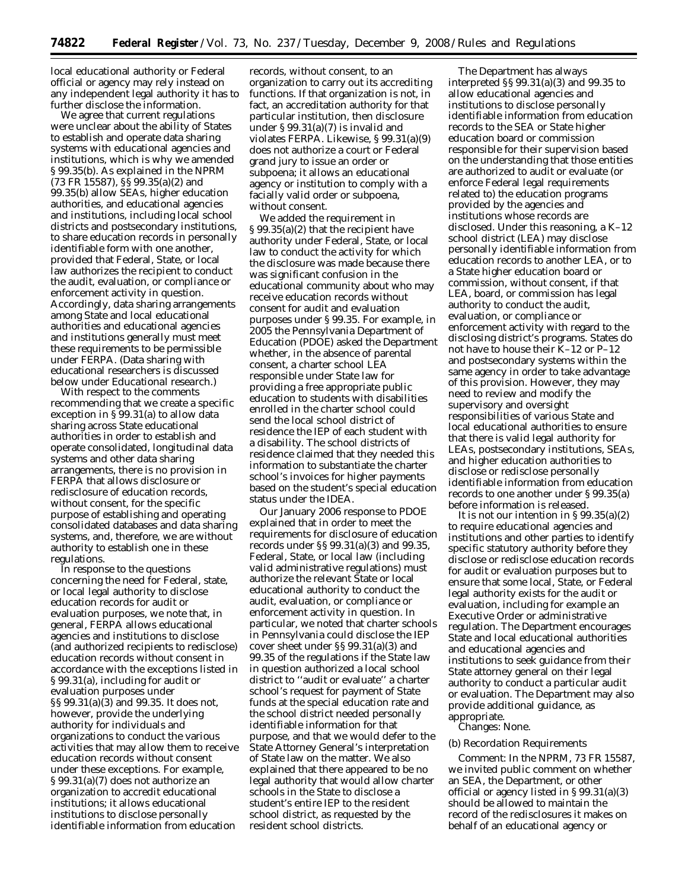local educational authority or Federal official or agency may rely instead on any independent legal authority it has to further disclose the information.

We agree that current regulations were unclear about the ability of States to establish and operate data sharing systems with educational agencies and institutions, which is why we amended § 99.35(b). As explained in the NPRM (73 FR 15587), §§ 99.35(a)(2) and 99.35(b) allow SEAs, higher education authorities, and educational agencies and institutions, including local school districts and postsecondary institutions, to share education records in personally identifiable form with one another, provided that Federal, State, or local law authorizes the recipient to conduct the audit, evaluation, or compliance or enforcement activity in question. Accordingly, data sharing arrangements among State and local educational authorities and educational agencies and institutions generally must meet these requirements to be permissible under FERPA. (Data sharing with educational researchers is discussed below under *Educational research*.)

With respect to the comments recommending that we create a specific exception in § 99.31(a) to allow data sharing across State educational authorities in order to establish and operate consolidated, longitudinal data systems and other data sharing arrangements, there is no provision in FERPA that allows disclosure or redisclosure of education records, without consent, for the specific purpose of establishing and operating consolidated databases and data sharing systems, and, therefore, we are without authority to establish one in these regulations.

In response to the questions concerning the need for Federal, state, or local legal authority to disclose education records for audit or evaluation purposes, we note that, in general, FERPA allows educational agencies and institutions to disclose (and authorized recipients to redisclose) education records without consent in accordance with the exceptions listed in § 99.31(a), including for audit or evaluation purposes under §§ 99.31(a)(3) and 99.35. It does not, however, provide the underlying authority for individuals and organizations to conduct the various activities that may allow them to receive education records without consent under these exceptions. For example, § 99.31(a)(7) does not authorize an organization to accredit educational institutions; it allows educational institutions to disclose personally identifiable information from education

records, without consent, to an organization to carry out its accrediting functions. If that organization is not, in fact, an accreditation authority for that particular institution, then disclosure under § 99.31(a)(7) is invalid and violates FERPA. Likewise, § 99.31(a)(9) does not authorize a court or Federal grand jury to issue an order or subpoena; it allows an educational agency or institution to comply with a facially valid order or subpoena, without consent.

We added the requirement in § 99.35(a)(2) that the recipient have authority under Federal, State, or local law to conduct the activity for which the disclosure was made because there was significant confusion in the educational community about who may receive education records without consent for audit and evaluation purposes under § 99.35. For example, in 2005 the Pennsylvania Department of Education (PDOE) asked the Department whether, in the absence of parental consent, a charter school LEA responsible under State law for providing a free appropriate public education to students with disabilities enrolled in the charter school could send the local school district of residence the IEP of each student with a disability. The school districts of residence claimed that they needed this information to substantiate the charter school's invoices for higher payments based on the student's special education status under the IDEA.

Our January 2006 response to PDOE explained that in order to meet the requirements for disclosure of education records under §§ 99.31(a)(3) and 99.35, Federal, State, or local law (including valid administrative regulations) must authorize the relevant State or local educational authority to conduct the audit, evaluation, or compliance or enforcement activity in question. In particular, we noted that charter schools in Pennsylvania could disclose the IEP cover sheet under §§ 99.31(a)(3) and 99.35 of the regulations if the State law in question authorized a local school district to ''audit or evaluate'' a charter school's request for payment of State funds at the special education rate and the school district needed personally identifiable information for that purpose, and that we would defer to the State Attorney General's interpretation of State law on the matter. We also explained that there appeared to be no legal authority that would allow charter schools in the State to disclose a student's entire IEP to the resident school district, as requested by the resident school districts.

The Department has always interpreted §§ 99.31(a)(3) and 99.35 to allow educational agencies and institutions to disclose personally identifiable information from education records to the SEA or State higher education board or commission responsible for their supervision based on the understanding that those entities are authorized to audit or evaluate (or enforce Federal legal requirements related to) the education programs provided by the agencies and institutions whose records are disclosed. Under this reasoning, a K–12 school district (LEA) may disclose personally identifiable information from education records to another LEA, or to a State higher education board or commission, without consent, if that LEA, board, or commission has legal authority to conduct the audit, evaluation, or compliance or enforcement activity with regard to the disclosing district's programs. States do not have to house their K–12 or P–12 and postsecondary systems within the same agency in order to take advantage of this provision. However, they may need to review and modify the supervisory and oversight responsibilities of various State and local educational authorities to ensure that there is valid legal authority for LEAs, postsecondary institutions, SEAs, and higher education authorities to disclose or redisclose personally identifiable information from education records to one another under § 99.35(a) before information is released.

It is not our intention in  $\S 99.35(a)(2)$ to require educational agencies and institutions and other parties to identify specific statutory authority before they disclose or redisclose education records for audit or evaluation purposes but to ensure that some local, State, or Federal legal authority exists for the audit or evaluation, including for example an Executive Order or administrative regulation. The Department encourages State and local educational authorities and educational agencies and institutions to seek guidance from their State attorney general on their legal authority to conduct a particular audit or evaluation. The Department may also provide additional guidance, as appropriate.

*Changes:* None.

#### *(b) Recordation Requirements*

*Comment:* In the NPRM, 73 FR 15587, we invited public comment on whether an SEA, the Department, or other official or agency listed in § 99.31(a)(3) should be allowed to maintain the record of the redisclosures it makes on behalf of an educational agency or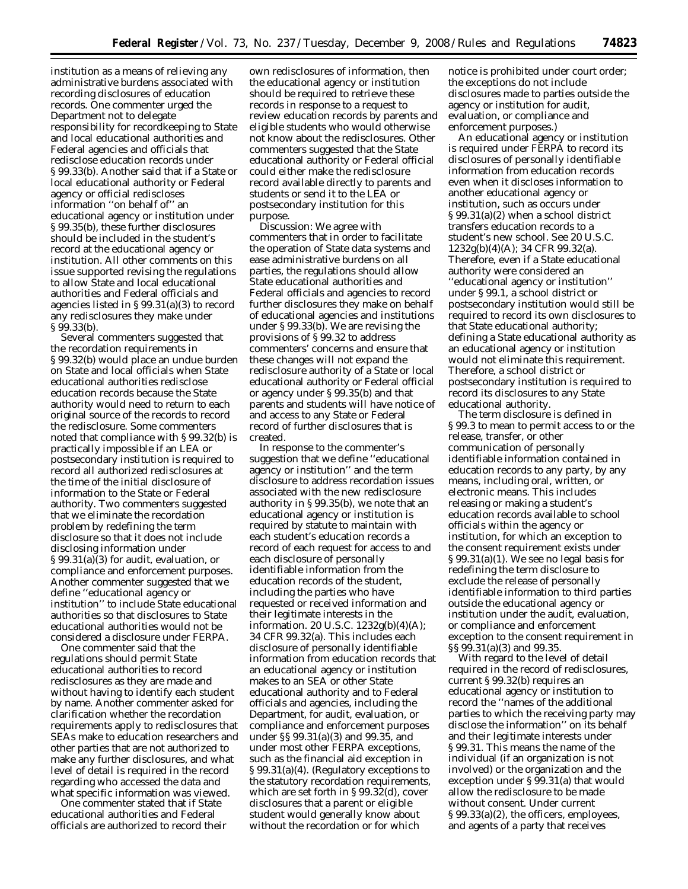institution as a means of relieving any administrative burdens associated with recording disclosures of education records. One commenter urged the Department not to delegate responsibility for recordkeeping to State and local educational authorities and Federal agencies and officials that redisclose education records under § 99.33(b). Another said that if a State or local educational authority or Federal agency or official rediscloses information ''on behalf of'' an educational agency or institution under § 99.35(b), these further disclosures should be included in the student's record at the educational agency or institution. All other comments on this issue supported revising the regulations to allow State and local educational authorities and Federal officials and agencies listed in § 99.31(a)(3) to record any redisclosures they make under § 99.33(b).

Several commenters suggested that the recordation requirements in § 99.32(b) would place an undue burden on State and local officials when State educational authorities redisclose education records because the State authority would need to return to each original source of the records to record the redisclosure. Some commenters noted that compliance with § 99.32(b) is practically impossible if an LEA or postsecondary institution is required to record all authorized redisclosures at the time of the initial disclosure of information to the State or Federal authority. Two commenters suggested that we eliminate the recordation problem by redefining the term *disclosure* so that it does not include disclosing information under § 99.31(a)(3) for audit, evaluation, or compliance and enforcement purposes. Another commenter suggested that we define ''*educational agency* or *institution*'' to include State educational authorities so that disclosures to State educational authorities would not be considered a *disclosure* under FERPA.

One commenter said that the regulations should permit State educational authorities to record redisclosures as they are made and without having to identify each student by name. Another commenter asked for clarification whether the recordation requirements apply to redisclosures that SEAs make to education researchers and other parties that are not authorized to make any further disclosures, and what level of detail is required in the record regarding who accessed the data and what specific information was viewed.

One commenter stated that if State educational authorities and Federal officials are authorized to record their

own redisclosures of information, then the educational agency or institution should be required to retrieve these records in response to a request to review education records by parents and eligible students who would otherwise not know about the redisclosures. Other commenters suggested that the State educational authority or Federal official could either make the redisclosure record available directly to parents and students or send it to the LEA or postsecondary institution for this purpose.

*Discussion:* We agree with commenters that in order to facilitate the operation of State data systems and ease administrative burdens on all parties, the regulations should allow State educational authorities and Federal officials and agencies to record further disclosures they make on behalf of educational agencies and institutions under § 99.33(b). We are revising the provisions of § 99.32 to address commenters' concerns and ensure that these changes will not expand the redisclosure authority of a State or local educational authority or Federal official or agency under § 99.35(b) and that parents and students will have notice of and access to any State or Federal record of further disclosures that is created.

In response to the commenter's suggestion that we define ''educational agency or institution'' and the term *disclosure* to address recordation issues associated with the new redisclosure authority in § 99.35(b), we note that an educational agency or institution is required by statute to maintain with each student's education records a record of each request for access to and each disclosure of personally identifiable information from the education records of the student, including the parties who have requested or received information and their legitimate interests in the information. 20 U.S.C. 1232g(b)(4)(A); 34 CFR 99.32(a). This includes each disclosure of personally identifiable information from education records that an educational agency or institution makes to an SEA or other State educational authority and to Federal officials and agencies, including the Department, for audit, evaluation, or compliance and enforcement purposes under §§ 99.31(a)(3) and 99.35, and under most other FERPA exceptions, such as the financial aid exception in § 99.31(a)(4). (Regulatory exceptions to the statutory recordation requirements, which are set forth in § 99.32(d), cover disclosures that a parent or eligible student would generally know about without the recordation or for which

notice is prohibited under court order; the exceptions do not include disclosures made to parties outside the agency or institution for audit, evaluation, or compliance and enforcement purposes.)

An educational agency or institution is required under FERPA to record its disclosures of personally identifiable information from education records even when it discloses information to another educational agency or institution, such as occurs under § 99.31(a)(2) when a school district transfers education records to a student's new school. See 20 U.S.C. 1232g(b)(4)(A); 34 CFR 99.32(a). Therefore, even if a State educational authority were considered an ''educational agency or institution'' under § 99.1, a school district or postsecondary institution would still be required to record its own disclosures to that State educational authority; defining a State educational authority as an educational agency or institution would not eliminate this requirement. Therefore, a school district or postsecondary institution is required to record its disclosures to any State educational authority.

The term *disclosure* is defined in § 99.3 to mean to permit access to or the release, transfer, or other communication of personally identifiable information contained in education records to any party, by any means, including oral, written, or electronic means. This includes releasing or making a student's education records available to school officials within the agency or institution, for which an exception to the consent requirement exists under § 99.31(a)(1). We see no legal basis for redefining the term *disclosure* to exclude the release of personally identifiable information to third parties outside the educational agency or institution under the audit, evaluation, or compliance and enforcement exception to the consent requirement in §§ 99.31(a)(3) and 99.35.

With regard to the level of detail required in the record of redisclosures, current § 99.32(b) requires an educational agency or institution to record the ''names of the additional parties to which the receiving party may disclose the information'' on its behalf and their legitimate interests under § 99.31. This means the name of the individual (if an organization is not involved) or the organization and the exception under § 99.31(a) that would allow the redisclosure to be made without consent. Under current § 99.33(a)(2), the officers, employees, and agents of a party that receives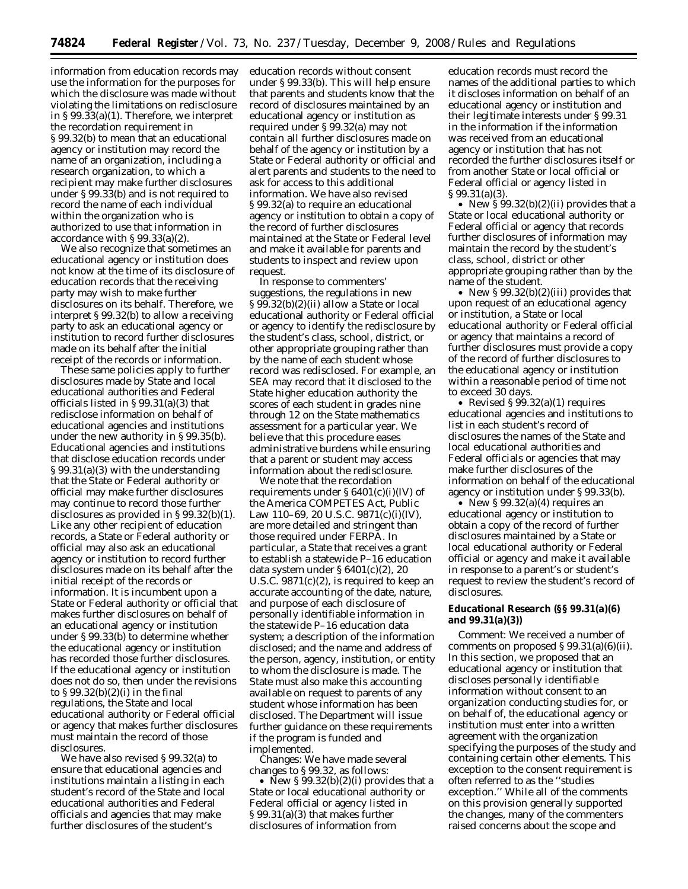information from education records may use the information for the purposes for which the disclosure was made without violating the limitations on redisclosure in § 99.33(a)(1). Therefore, we interpret the recordation requirement in § 99.32(b) to mean that an educational agency or institution may record the name of an organization, including a research organization, to which a recipient may make further disclosures under § 99.33(b) and is not required to record the name of each individual within the organization who is authorized to use that information in accordance with § 99.33(a)(2).

We also recognize that sometimes an educational agency or institution does not know at the time of its disclosure of education records that the receiving party may wish to make further disclosures on its behalf. Therefore, we interpret § 99.32(b) to allow a receiving party to ask an educational agency or institution to record further disclosures made on its behalf after the initial receipt of the records or information.

These same policies apply to further disclosures made by State and local educational authorities and Federal officials listed in § 99.31(a)(3) that redisclose information on behalf of educational agencies and institutions under the new authority in § 99.35(b). Educational agencies and institutions that disclose education records under § 99.31(a)(3) with the understanding that the State or Federal authority or official may make further disclosures may continue to record those further disclosures as provided in § 99.32(b)(1). Like any other recipient of education records, a State or Federal authority or official may also ask an educational agency or institution to record further disclosures made on its behalf after the initial receipt of the records or information. It is incumbent upon a State or Federal authority or official that makes further disclosures on behalf of an educational agency or institution under § 99.33(b) to determine whether the educational agency or institution has recorded those further disclosures. If the educational agency or institution does not do so, then under the revisions to  $\S 99.32(b)(2)(i)$  in the final regulations, the State and local educational authority or Federal official or agency that makes further disclosures must maintain the record of those disclosures.

We have also revised § 99.32(a) to ensure that educational agencies and institutions maintain a listing in each student's record of the State and local educational authorities and Federal officials and agencies that may make further disclosures of the student's

education records without consent under § 99.33(b). This will help ensure that parents and students know that the record of disclosures maintained by an educational agency or institution as required under § 99.32(a) may not contain all further disclosures made on behalf of the agency or institution by a State or Federal authority or official and alert parents and students to the need to ask for access to this additional information. We have also revised § 99.32(a) to require an educational agency or institution to obtain a copy of the record of further disclosures maintained at the State or Federal level and make it available for parents and students to inspect and review upon request.

In response to commenters' suggestions, the regulations in new § 99.32(b)(2)(ii) allow a State or local educational authority or Federal official or agency to identify the redisclosure by the student's class, school, district, or other appropriate grouping rather than by the name of each student whose record was redisclosed. For example, an SEA may record that it disclosed to the State higher education authority the scores of each student in grades nine through 12 on the State mathematics assessment for a particular year. We believe that this procedure eases administrative burdens while ensuring that a parent or student may access information about the redisclosure.

We note that the recordation requirements under  $\S 6401(c)(i)(IV)$  of the America COMPETES Act, Public Law 110–69, 20 U.S.C. 9871(c)(i)(IV), are more detailed and stringent than those required under FERPA. In particular, a State that receives a grant to establish a statewide P–16 education data system under § 6401(c)(2), 20 U.S.C.  $9871(c)(2)$ , is required to keep an accurate accounting of the date, nature, and purpose of each disclosure of personally identifiable information in the statewide P–16 education data system; a description of the information disclosed; and the name and address of the person, agency, institution, or entity to whom the disclosure is made. The State must also make this accounting available on request to parents of any student whose information has been disclosed. The Department will issue further guidance on these requirements if the program is funded and implemented.

*Changes:* We have made several changes to § 99.32, as follows:

• New  $\S 99.32(b)(2)(i)$  provides that a State or local educational authority or Federal official or agency listed in § 99.31(a)(3) that makes further disclosures of information from

education records must record the names of the additional parties to which it discloses information on behalf of an educational agency or institution and their legitimate interests under § 99.31 in the information if the information was received from an educational agency or institution that has not recorded the further disclosures itself or from another State or local official or Federal official or agency listed in § 99.31(a)(3).

• New  $\S 99.32(b)(2)(ii)$  provides that a State or local educational authority or Federal official or agency that records further disclosures of information may maintain the record by the student's class, school, district or other appropriate grouping rather than by the name of the student.

• New §99.32(b)(2)(iii) provides that upon request of an educational agency or institution, a State or local educational authority or Federal official or agency that maintains a record of further disclosures must provide a copy of the record of further disclosures to the educational agency or institution within a reasonable period of time not to exceed 30 days.

• Revised  $\S 99.32(a)(1)$  requires educational agencies and institutions to list in each student's record of disclosures the names of the State and local educational authorities and Federal officials or agencies that may make further disclosures of the information on behalf of the educational agency or institution under § 99.33(b).

• New §99.32(a)(4) requires an educational agency or institution to obtain a copy of the record of further disclosures maintained by a State or local educational authority or Federal official or agency and make it available in response to a parent's or student's request to review the student's record of disclosures.

# **Educational Research (§§ 99.31(a)(6) and 99.31(a)(3))**

*Comment:* We received a number of comments on proposed § 99.31(a)(6)(ii). In this section, we proposed that an educational agency or institution that discloses personally identifiable information without consent to an organization conducting studies for, or on behalf of, the educational agency or institution must enter into a written agreement with the organization specifying the purposes of the study and containing certain other elements. This exception to the consent requirement is often referred to as the ''studies exception.'' While all of the comments on this provision generally supported the changes, many of the commenters raised concerns about the scope and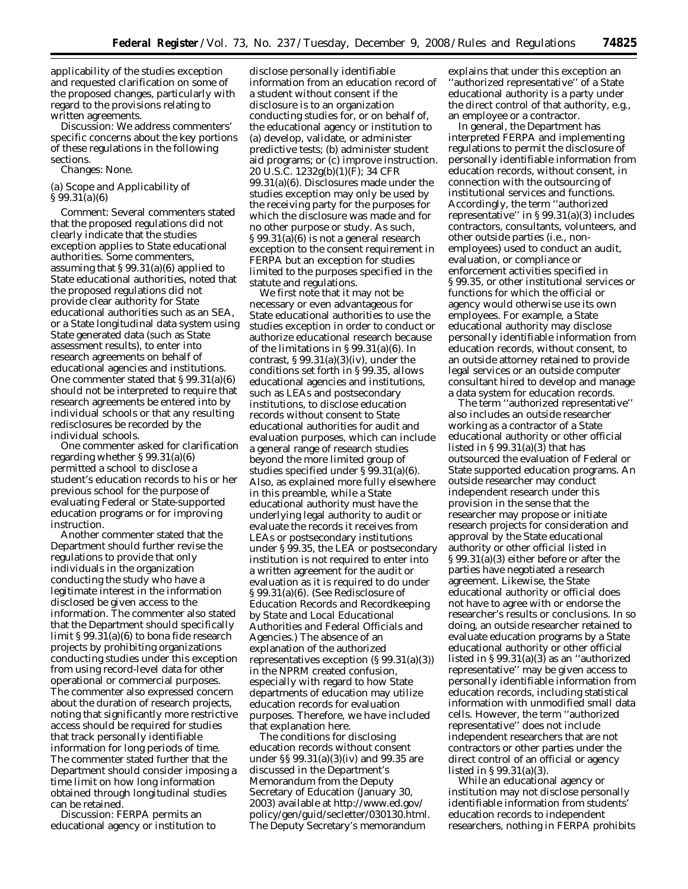applicability of the studies exception and requested clarification on some of the proposed changes, particularly with regard to the provisions relating to written agreements.

*Discussion:* We address commenters' specific concerns about the key portions of these regulations in the following sections.

*Changes:* None.

# *(a) Scope and Applicability of § 99.31(a)(6)*

*Comment:* Several commenters stated that the proposed regulations did not clearly indicate that the studies exception applies to State educational authorities. Some commenters, assuming that § 99.31(a)(6) applied to State educational authorities, noted that the proposed regulations did not provide clear authority for State educational authorities such as an SEA, or a State longitudinal data system using State generated data (such as State assessment results), to enter into research agreements on behalf of educational agencies and institutions. One commenter stated that § 99.31(a)(6) should not be interpreted to require that research agreements be entered into by individual schools or that any resulting redisclosures be recorded by the individual schools.

One commenter asked for clarification regarding whether § 99.31(a)(6) permitted a school to disclose a student's education records to his or her previous school for the purpose of evaluating Federal or State-supported education programs or for improving instruction.

Another commenter stated that the Department should further revise the regulations to provide that only individuals in the organization conducting the study who have a legitimate interest in the information disclosed be given access to the information. The commenter also stated that the Department should specifically limit § 99.31(a)(6) to bona fide research projects by prohibiting organizations conducting studies under this exception from using record-level data for other operational or commercial purposes. The commenter also expressed concern about the duration of research projects, noting that significantly more restrictive access should be required for studies that track personally identifiable information for long periods of time. The commenter stated further that the Department should consider imposing a time limit on how long information obtained through longitudinal studies can be retained.

*Discussion:* FERPA permits an educational agency or institution to

disclose personally identifiable information from an education record of a student without consent if the disclosure is to an organization conducting studies for, or on behalf of, the educational agency or institution to (a) develop, validate, or administer predictive tests; (b) administer student aid programs; or (c) improve instruction. 20 U.S.C. 1232g(b)(1)(F); 34 CFR 99.31(a)(6). Disclosures made under the studies exception may only be used by the receiving party for the purposes for which the disclosure was made and for no other purpose or study. As such, § 99.31(a)(6) is not a general research exception to the consent requirement in FERPA but an exception for studies limited to the purposes specified in the statute and regulations.

We first note that it may not be necessary or even advantageous for State educational authorities to use the studies exception in order to conduct or authorize educational research because of the limitations in § 99.31(a)(6). In contrast,  $\S 99.31(a)(3)(iv)$ , under the conditions set forth in § 99.35, allows educational agencies and institutions, such as LEAs and postsecondary institutions, to disclose education records without consent to State educational authorities for audit and evaluation purposes, which can include a general range of research studies beyond the more limited group of studies specified under § 99.31(a)(6). Also, as explained more fully elsewhere in this preamble, while a State educational authority must have the underlying legal authority to audit or evaluate the records it receives from LEAs or postsecondary institutions under § 99.35, the LEA or postsecondary institution is not required to enter into a written agreement for the audit or evaluation as it is required to do under § 99.31(a)(6). (*See Redisclosure of Education Records and Recordkeeping by State and Local Educational Authorities and Federal Officials and Agencies.*) The absence of an explanation of the authorized representatives exception  $(§ 99.31(a)(3))$ in the NPRM created confusion, especially with regard to how State departments of education may utilize education records for evaluation purposes. Therefore, we have included that explanation here.

The conditions for disclosing education records without consent under §§ 99.31(a)(3)(iv) and 99.35 are discussed in the Department's Memorandum from the Deputy Secretary of Education (January 30, 2003) available at *http://www.ed.gov/ policy/gen/guid/secletter/030130.html.*  The Deputy Secretary's memorandum

explains that under this exception an ''authorized representative'' of a State educational authority is a party under the direct control of that authority, *e.g.*, an employee or a contractor.

In general, the Department has interpreted FERPA and implementing regulations to permit the disclosure of personally identifiable information from education records, without consent, in connection with the outsourcing of institutional services and functions. Accordingly, the term ''authorized representative'' in § 99.31(a)(3) includes contractors, consultants, volunteers, and other outside parties (*i.e.*, nonemployees) used to conduct an audit, evaluation, or compliance or enforcement activities specified in § 99.35, or other institutional services or functions for which the official or agency would otherwise use its own employees. For example, a State educational authority may disclose personally identifiable information from education records, without consent, to an outside attorney retained to provide legal services or an outside computer consultant hired to develop and manage a data system for education records.

The term "authorized representative" also includes an outside researcher working as a contractor of a State educational authority or other official listed in  $\S 99.31(a)(3)$  that has outsourced the evaluation of Federal or State supported education programs. An outside researcher may conduct independent research under this provision in the sense that the researcher may propose or initiate research projects for consideration and approval by the State educational authority or other official listed in § 99.31(a)(3) either before or after the parties have negotiated a research agreement. Likewise, the State educational authority or official does not have to agree with or endorse the researcher's results or conclusions. In so doing, an outside researcher retained to evaluate education programs by a State educational authority or other official listed in § 99.31(a)(3) as an ''authorized representative'' may be given access to personally identifiable information from education records, including statistical information with unmodified small data cells. However, the term ''authorized representative'' does not include independent researchers that are not contractors or other parties under the direct control of an official or agency listed in § 99.31(a)(3).

While an educational agency or institution may not disclose personally identifiable information from students' education records to independent researchers, nothing in FERPA prohibits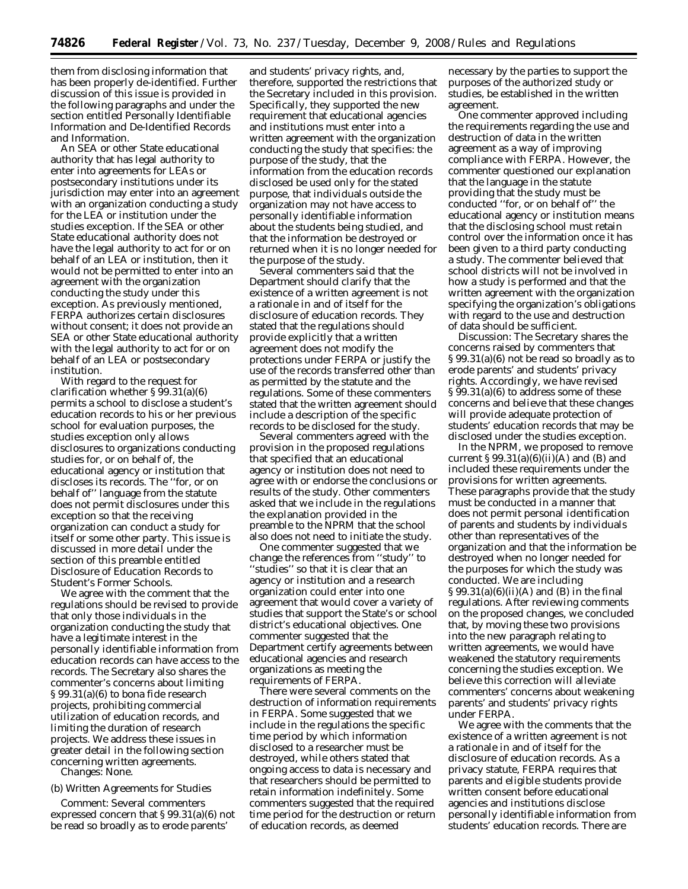them from disclosing information that has been properly de-identified. Further discussion of this issue is provided in the following paragraphs and under the section entitled *Personally Identifiable Information and De-Identified Records and Information.* 

An SEA or other State educational authority that has legal authority to enter into agreements for LEAs or postsecondary institutions under its jurisdiction may enter into an agreement with an organization conducting a study for the LEA or institution under the studies exception. If the SEA or other State educational authority does not have the legal authority to act for or on behalf of an LEA or institution, then it would not be permitted to enter into an agreement with the organization conducting the study under this exception. As previously mentioned, FERPA authorizes certain disclosures without consent; it does not provide an SEA or other State educational authority with the legal authority to act for or on behalf of an LEA or postsecondary institution.

With regard to the request for clarification whether § 99.31(a)(6) permits a school to disclose a student's education records to his or her previous school for evaluation purposes, the studies exception only allows disclosures to organizations conducting studies for, or on behalf of, the educational agency or institution that discloses its records. The ''for, or on behalf of'' language from the statute does not permit disclosures under this exception so that the receiving organization can conduct a study for itself or some other party. This issue is discussed in more detail under the section of this preamble entitled *Disclosure of Education Records to Student's Former Schools.* 

We agree with the comment that the regulations should be revised to provide that only those individuals in the organization conducting the study that have a legitimate interest in the personally identifiable information from education records can have access to the records. The Secretary also shares the commenter's concerns about limiting § 99.31(a)(6) to bona fide research projects, prohibiting commercial utilization of education records, and limiting the duration of research projects. We address these issues in greater detail in the following section concerning written agreements.

*Changes:* None.

# *(b) Written Agreements for Studies*

*Comment:* Several commenters expressed concern that § 99.31(a)(6) not be read so broadly as to erode parents'

and students' privacy rights, and, therefore, supported the restrictions that the Secretary included in this provision. Specifically, they supported the new requirement that educational agencies and institutions must enter into a written agreement with the organization conducting the study that specifies: the purpose of the study, that the information from the education records disclosed be used only for the stated purpose, that individuals outside the organization may not have access to personally identifiable information about the students being studied, and that the information be destroyed or returned when it is no longer needed for the purpose of the study.

Several commenters said that the Department should clarify that the existence of a written agreement is not a rationale in and of itself for the disclosure of education records. They stated that the regulations should provide explicitly that a written agreement does not modify the protections under FERPA or justify the use of the records transferred other than as permitted by the statute and the regulations. Some of these commenters stated that the written agreement should include a description of the specific records to be disclosed for the study.

Several commenters agreed with the provision in the proposed regulations that specified that an educational agency or institution does not need to agree with or endorse the conclusions or results of the study. Other commenters asked that we include in the regulations the explanation provided in the preamble to the NPRM that the school also does not need to initiate the study.

One commenter suggested that we change the references from ''study'' to ''studies'' so that it is clear that an agency or institution and a research organization could enter into one agreement that would cover a variety of studies that support the State's or school district's educational objectives. One commenter suggested that the Department certify agreements between educational agencies and research organizations as meeting the requirements of FERPA.

There were several comments on the destruction of information requirements in FERPA. Some suggested that we include in the regulations the specific time period by which information disclosed to a researcher must be destroyed, while others stated that ongoing access to data is necessary and that researchers should be permitted to retain information indefinitely. Some commenters suggested that the required time period for the destruction or return of education records, as deemed

necessary by the parties to support the purposes of the authorized study or studies, be established in the written agreement.

One commenter approved including the requirements regarding the use and destruction of data in the written agreement as a way of improving compliance with FERPA. However, the commenter questioned our explanation that the language in the statute providing that the study must be conducted ''for, or on behalf of'' the educational agency or institution means that the disclosing school must retain control over the information once it has been given to a third party conducting a study. The commenter believed that school districts will not be involved in how a study is performed and that the written agreement with the organization specifying the organization's obligations with regard to the use and destruction of data should be sufficient.

*Discussion:* The Secretary shares the concerns raised by commenters that § 99.31(a)(6) not be read so broadly as to erode parents' and students' privacy rights. Accordingly, we have revised § 99.31(a)(6) to address some of these concerns and believe that these changes will provide adequate protection of students' education records that may be disclosed under the studies exception.

In the NPRM, we proposed to remove current  $\S 99.31(a)(6)(ii)(A)$  and (B) and included these requirements under the provisions for written agreements. These paragraphs provide that the study must be conducted in a manner that does not permit personal identification of parents and students by individuals other than representatives of the organization and that the information be destroyed when no longer needed for the purposes for which the study was conducted. We are including  $\S 99.31(a)(6)(ii)(A)$  and (B) in the final regulations. After reviewing comments on the proposed changes, we concluded that, by moving these two provisions into the new paragraph relating to written agreements, we would have weakened the statutory requirements concerning the studies exception. We believe this correction will alleviate commenters' concerns about weakening parents' and students' privacy rights under FERPA.

We agree with the comments that the existence of a written agreement is not a rationale in and of itself for the disclosure of education records. As a privacy statute, FERPA requires that parents and eligible students provide written consent before educational agencies and institutions disclose personally identifiable information from students' education records. There are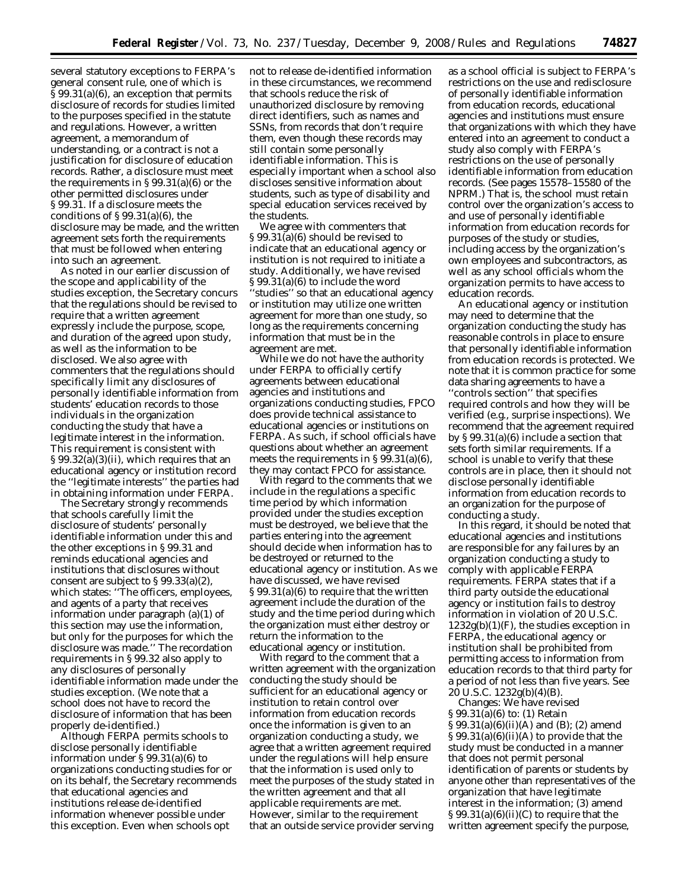several statutory exceptions to FERPA's general consent rule, one of which is § 99.31(a)(6), an exception that permits disclosure of records for studies limited to the purposes specified in the statute and regulations. However, a written agreement, a memorandum of understanding, or a contract is not a justification for disclosure of education records. Rather, a disclosure must meet the requirements in  $\S 99.31(a)(6)$  or the other permitted disclosures under § 99.31. If a disclosure meets the conditions of  $\S 99.31(a)(6)$ , the disclosure may be made, and the written agreement sets forth the requirements that must be followed when entering into such an agreement.

As noted in our earlier discussion of the scope and applicability of the studies exception, the Secretary concurs that the regulations should be revised to require that a written agreement expressly include the purpose, scope, and duration of the agreed upon study, as well as the information to be disclosed. We also agree with commenters that the regulations should specifically limit any disclosures of personally identifiable information from students' education records to those individuals in the organization conducting the study that have a legitimate interest in the information. This requirement is consistent with § 99.32(a)(3)(ii), which requires that an educational agency or institution record the ''legitimate interests'' the parties had in obtaining information under FERPA.

The Secretary strongly recommends that schools carefully limit the disclosure of students' personally identifiable information under this and the other exceptions in § 99.31 and reminds educational agencies and institutions that disclosures without consent are subject to  $\S 99.33(a)(2)$ , which states: ''The officers, employees, and agents of a party that receives information under paragraph (a)(1) of this section may use the information, but only for the purposes for which the disclosure was made.'' The recordation requirements in § 99.32 also apply to any disclosures of personally identifiable information made under the studies exception. (We note that a school does not have to record the disclosure of information that has been properly de-identified.)

Although FERPA permits schools to disclose personally identifiable information under § 99.31(a)(6) to organizations conducting studies for or on its behalf, the Secretary recommends that educational agencies and institutions release de-identified information whenever possible under this exception. Even when schools opt

not to release de-identified information in these circumstances, we recommend that schools reduce the risk of unauthorized disclosure by removing direct identifiers, such as names and SSNs, from records that don't require them, even though these records may still contain some personally identifiable information. This is especially important when a school also discloses sensitive information about students, such as type of disability and special education services received by the students.

We agree with commenters that § 99.31(a)(6) should be revised to indicate that an educational agency or institution is not required to initiate a study. Additionally, we have revised § 99.31(a)(6) to include the word ''studies'' so that an educational agency or institution may utilize one written agreement for more than one study, so long as the requirements concerning information that must be in the agreement are met.

While we do not have the authority under FERPA to officially certify agreements between educational agencies and institutions and organizations conducting studies, FPCO does provide technical assistance to educational agencies or institutions on FERPA. As such, if school officials have questions about whether an agreement meets the requirements in § 99.31(a)(6), they may contact FPCO for assistance.

With regard to the comments that we include in the regulations a specific time period by which information provided under the studies exception must be destroyed, we believe that the parties entering into the agreement should decide when information has to be destroyed or returned to the educational agency or institution. As we have discussed, we have revised § 99.31(a)(6) to require that the written agreement include the duration of the study and the time period during which the organization must either destroy or return the information to the educational agency or institution.

With regard to the comment that a written agreement with the organization conducting the study should be sufficient for an educational agency or institution to retain control over information from education records once the information is given to an organization conducting a study, we agree that a written agreement required under the regulations will help ensure that the information is used only to meet the purposes of the study stated in the written agreement and that all applicable requirements are met. However, similar to the requirement that an outside service provider serving

as a school official is subject to FERPA's restrictions on the use and redisclosure of personally identifiable information from education records, educational agencies and institutions must ensure that organizations with which they have entered into an agreement to conduct a study also comply with FERPA's restrictions on the use of personally identifiable information from education records. (See pages 15578–15580 of the NPRM.) That is, the school must retain control over the organization's access to and use of personally identifiable information from education records for purposes of the study or studies, including access by the organization's own employees and subcontractors, as well as any school officials whom the organization permits to have access to education records.

An educational agency or institution may need to determine that the organization conducting the study has reasonable controls in place to ensure that personally identifiable information from education records is protected. We note that it is common practice for some data sharing agreements to have a ''controls section'' that specifies required controls and how they will be verified (*e.g.,* surprise inspections). We recommend that the agreement required by § 99.31(a)(6) include a section that sets forth similar requirements. If a school is unable to verify that these controls are in place, then it should not disclose personally identifiable information from education records to an organization for the purpose of conducting a study.

In this regard, it should be noted that educational agencies and institutions are responsible for any failures by an organization conducting a study to comply with applicable FERPA requirements. FERPA states that if a third party outside the educational agency or institution fails to destroy information in violation of 20 U.S.C. 1232g(b)(1)(F), the studies exception in FERPA, the educational agency or institution shall be prohibited from permitting access to information from education records to that third party for a period of not less than five years. See 20 U.S.C. 1232g(b)(4)(B).

*Changes:* We have revised § 99.31(a)(6) to: (1) Retain § 99.31(a)(6)(ii)(A) and (B); (2) amend  $\S 99.31(a)(6)(ii)(A)$  to provide that the study must be conducted in a manner that does not permit personal identification of parents or students by anyone other than representatives of the organization that have legitimate interest in the information; (3) amend  $\S 99.31(a)(6)(ii)(C)$  to require that the written agreement specify the purpose,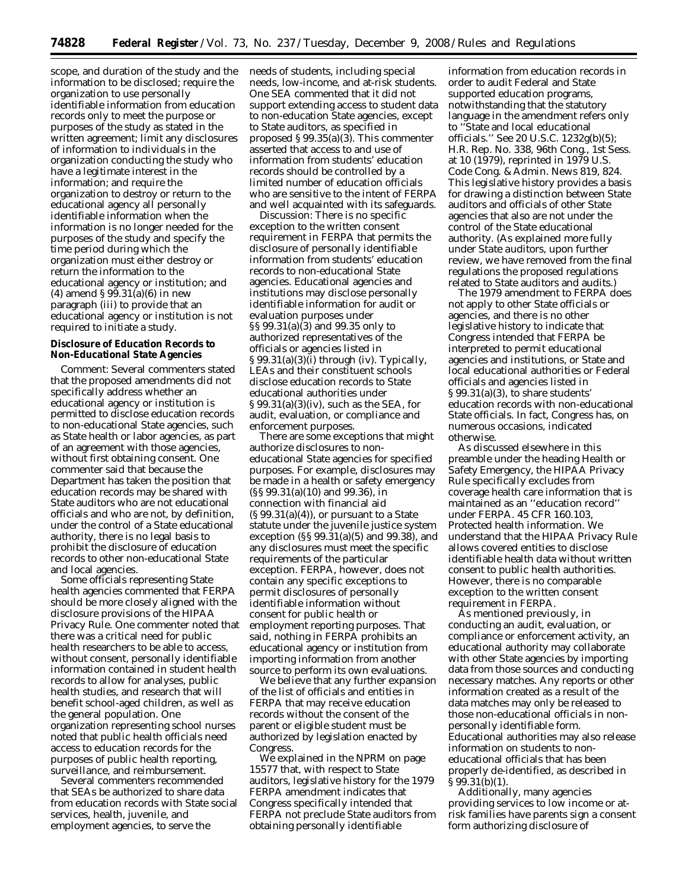scope, and duration of the study and the information to be disclosed; require the organization to use personally identifiable information from education records only to meet the purpose or purposes of the study as stated in the written agreement; limit any disclosures of information to individuals in the organization conducting the study who have a legitimate interest in the information; and require the organization to destroy or return to the educational agency all personally identifiable information when the information is no longer needed for the purposes of the study and specify the time period during which the organization must either destroy or return the information to the educational agency or institution; and (4) amend § 99.31(a)(6) in new paragraph (iii) to provide that an educational agency or institution is not required to initiate a study.

# **Disclosure of Education Records to Non-Educational State Agencies**

*Comment:* Several commenters stated that the proposed amendments did not specifically address whether an educational agency or institution is permitted to disclose education records to non-educational State agencies, such as State health or labor agencies, as part of an agreement with those agencies, without first obtaining consent. One commenter said that because the Department has taken the position that education records may be shared with State auditors who are not educational officials and who are not, by definition, under the control of a State educational authority, there is no legal basis to prohibit the disclosure of education records to other non-educational State and local agencies.

Some officials representing State health agencies commented that FERPA should be more closely aligned with the disclosure provisions of the HIPAA Privacy Rule. One commenter noted that there was a critical need for public health researchers to be able to access, without consent, personally identifiable information contained in student health records to allow for analyses, public health studies, and research that will benefit school-aged children, as well as the general population. One organization representing school nurses noted that public health officials need access to education records for the purposes of public health reporting, surveillance, and reimbursement.

Several commenters recommended that SEAs be authorized to share data from education records with State social services, health, juvenile, and employment agencies, to serve the

needs of students, including special needs, low-income, and at-risk students. One SEA commented that it did not support extending access to student data to non-education State agencies, except to State auditors, as specified in proposed § 99.35(a)(3). This commenter asserted that access to and use of information from students' education records should be controlled by a limited number of education officials who are sensitive to the intent of FERPA and well acquainted with its safeguards.

*Discussion:* There is no specific exception to the written consent requirement in FERPA that permits the disclosure of personally identifiable information from students' education records to non-educational State agencies. Educational agencies and institutions may disclose personally identifiable information for audit or evaluation purposes under §§ 99.31(a)(3) and 99.35 only to authorized representatives of the officials or agencies listed in § 99.31(a)(3)(i) through (iv). Typically, LEAs and their constituent schools disclose education records to State educational authorities under § 99.31(a)(3)(iv), such as the SEA, for audit, evaluation, or compliance and enforcement purposes.

There are some exceptions that might authorize disclosures to noneducational State agencies for specified purposes. For example, disclosures may be made in a health or safety emergency (§§ 99.31(a)(10) and 99.36), in connection with financial aid  $(\S 99.31(a)(4))$ , or pursuant to a State statute under the juvenile justice system exception (§§ 99.31(a)(5) and 99.38), and any disclosures must meet the specific requirements of the particular exception. FERPA, however, does not contain any specific exceptions to permit disclosures of personally identifiable information without consent for public health or employment reporting purposes. That said, nothing in FERPA prohibits an educational agency or institution from importing information from another source to perform its own evaluations.

We believe that any further expansion of the list of officials and entities in FERPA that may receive education records without the consent of the parent or eligible student must be authorized by legislation enacted by Congress.

We explained in the NPRM on page 15577 that, with respect to State auditors, legislative history for the 1979 FERPA amendment indicates that Congress specifically intended that FERPA not preclude State auditors from obtaining personally identifiable

information from education records in order to audit Federal and State supported education programs, notwithstanding that the statutory language in the amendment refers only to ''State and local educational officials.'' *See* 20 U.S.C. 1232g(b)(5); H.R. Rep. No. 338, 96th Cong., 1st Sess. at 10 (1979), *reprinted in* 1979 U.S. Code Cong. & Admin. News 819, 824. This legislative history provides a basis for drawing a distinction between State auditors and officials of other State agencies that also are not under the control of the State educational authority. (As explained more fully under *State auditors,* upon further review, we have removed from the final regulations the proposed regulations related to State auditors and audits.)

The 1979 amendment to FERPA does not apply to other State officials or agencies, and there is no other legislative history to indicate that Congress intended that FERPA be interpreted to permit educational agencies and institutions, or State and local educational authorities or Federal officials and agencies listed in § 99.31(a)(3), to share students' education records with non-educational State officials. In fact, Congress has, on numerous occasions, indicated otherwise.

As discussed elsewhere in this preamble under the heading *Health or Safety Emergency,* the HIPAA Privacy Rule specifically excludes from coverage health care information that is maintained as an ''education record'' under FERPA. 45 CFR 160.103, Protected health information. We understand that the HIPAA Privacy Rule allows covered entities to disclose identifiable health data without written consent to public health authorities. However, there is no comparable exception to the written consent requirement in FERPA.

As mentioned previously, in conducting an audit, evaluation, or compliance or enforcement activity, an educational authority may collaborate with other State agencies by importing data from those sources and conducting necessary matches. Any reports or other information created as a result of the data matches may only be released to those non-educational officials in nonpersonally identifiable form. Educational authorities may also release information on students to noneducational officials that has been properly de-identified, as described in  $§ 99.31(b)(1)$ 

Additionally, many agencies providing services to low income or atrisk families have parents sign a consent form authorizing disclosure of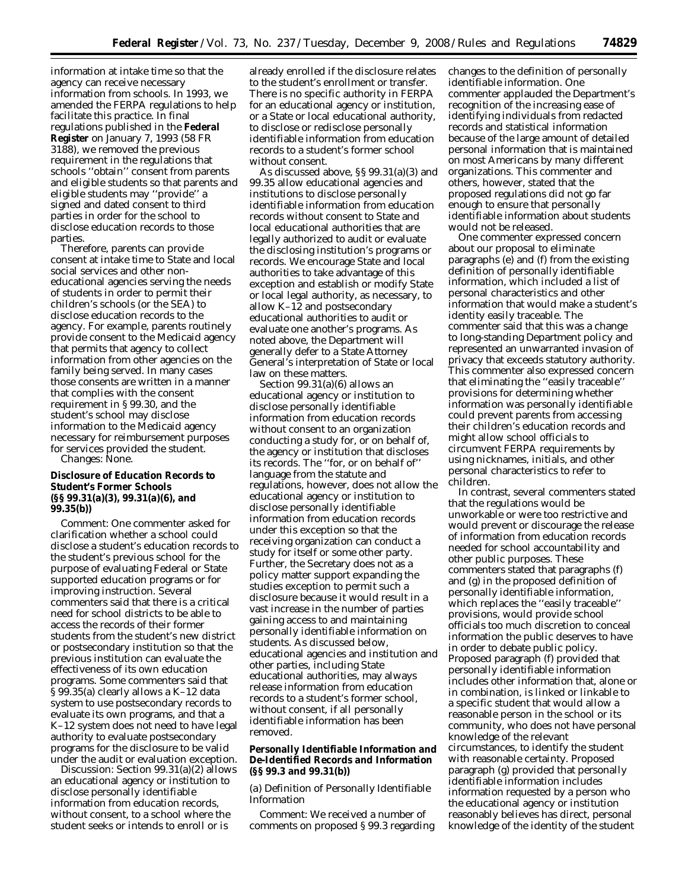information at intake time so that the agency can receive necessary information from schools. In 1993, we amended the FERPA regulations to help facilitate this practice. In final regulations published in the **Federal Register** on January 7, 1993 (58 FR 3188), we removed the previous requirement in the regulations that schools ''obtain'' consent from parents and eligible students so that parents and eligible students may ''provide'' a signed and dated consent to third parties in order for the school to disclose education records to those parties.

Therefore, parents can provide consent at intake time to State and local social services and other noneducational agencies serving the needs of students in order to permit their children's schools (or the SEA) to disclose education records to the agency. For example, parents routinely provide consent to the Medicaid agency that permits that agency to collect information from other agencies on the family being served. In many cases those consents are written in a manner that complies with the consent requirement in § 99.30, and the student's school may disclose information to the Medicaid agency necessary for reimbursement purposes for services provided the student.

*Changes:* None.

# **Disclosure of Education Records to Student's Former Schools (§§ 99.31(a)(3), 99.31(a)(6), and 99.35(b))**

*Comment:* One commenter asked for clarification whether a school could disclose a student's education records to the student's previous school for the purpose of evaluating Federal or State supported education programs or for improving instruction. Several commenters said that there is a critical need for school districts to be able to access the records of their former students from the student's new district or postsecondary institution so that the previous institution can evaluate the effectiveness of its own education programs. Some commenters said that § 99.35(a) clearly allows a K–12 data system to use postsecondary records to evaluate its own programs, and that a K–12 system does not need to have legal authority to evaluate postsecondary programs for the disclosure to be valid under the audit or evaluation exception.

*Discussion:* Section 99.31(a)(2) allows an educational agency or institution to disclose personally identifiable information from education records, without consent, to a school where the student seeks or intends to enroll or is

already enrolled if the disclosure relates to the student's enrollment or transfer. There is no specific authority in FERPA for an educational agency or institution, or a State or local educational authority, to disclose or redisclose personally identifiable information from education records to a student's former school without consent.

As discussed above, §§ 99.31(a)(3) and 99.35 allow educational agencies and institutions to disclose personally identifiable information from education records without consent to State and local educational authorities that are legally authorized to audit or evaluate the disclosing institution's programs or records. We encourage State and local authorities to take advantage of this exception and establish or modify State or local legal authority, as necessary, to allow K–12 and postsecondary educational authorities to audit or evaluate one another's programs. As noted above, the Department will generally defer to a State Attorney General's interpretation of State or local law on these matters.

Section 99.31(a)(6) allows an educational agency or institution to disclose personally identifiable information from education records without consent to an organization conducting a study for, or on behalf of, the agency or institution that discloses its records. The ''for, or on behalf of'' language from the statute and regulations, however, does not allow the educational agency or institution to disclose personally identifiable information from education records under this exception so that the receiving organization can conduct a study for itself or some other party. Further, the Secretary does not as a policy matter support expanding the studies exception to permit such a disclosure because it would result in a vast increase in the number of parties gaining access to and maintaining personally identifiable information on students. As discussed below, educational agencies and institution and other parties, including State educational authorities, may always release information from education records to a student's former school, without consent, if all personally identifiable information has been removed.

# **Personally Identifiable Information and De-Identified Records and Information (§§ 99.3 and 99.31(b))**

# *(a) Definition of Personally Identifiable Information*

*Comment:* We received a number of comments on proposed § 99.3 regarding changes to the definition of *personally identifiable information.* One commenter applauded the Department's recognition of the increasing ease of identifying individuals from redacted records and statistical information because of the large amount of detailed personal information that is maintained on most Americans by many different organizations. This commenter and others, however, stated that the proposed regulations did not go far enough to ensure that personally identifiable information about students would not be released.

One commenter expressed concern about our proposal to eliminate paragraphs (e) and (f) from the existing definition of *personally identifiable information,* which included a list of personal characteristics and other information that would make a student's identity easily traceable. The commenter said that this was a change to long-standing Department policy and represented an unwarranted invasion of privacy that exceeds statutory authority. This commenter also expressed concern that eliminating the ''easily traceable'' provisions for determining whether information was personally identifiable could prevent parents from accessing their children's education records and might allow school officials to circumvent FERPA requirements by using nicknames, initials, and other personal characteristics to refer to children.

In contrast, several commenters stated that the regulations would be unworkable or were too restrictive and would prevent or discourage the release of information from education records needed for school accountability and other public purposes. These commenters stated that paragraphs (f) and (g) in the proposed definition of *personally identifiable information,*  which replaces the ''easily traceable'' provisions, would provide school officials too much discretion to conceal information the public deserves to have in order to debate public policy. Proposed paragraph (f) provided that personally identifiable information includes other information that, alone or in combination, is linked or linkable to a specific student that would allow a reasonable person in the school or its community, who does not have personal knowledge of the relevant circumstances, to identify the student with reasonable certainty. Proposed paragraph (g) provided that personally identifiable information includes information requested by a person who the educational agency or institution reasonably believes has direct, personal knowledge of the identity of the student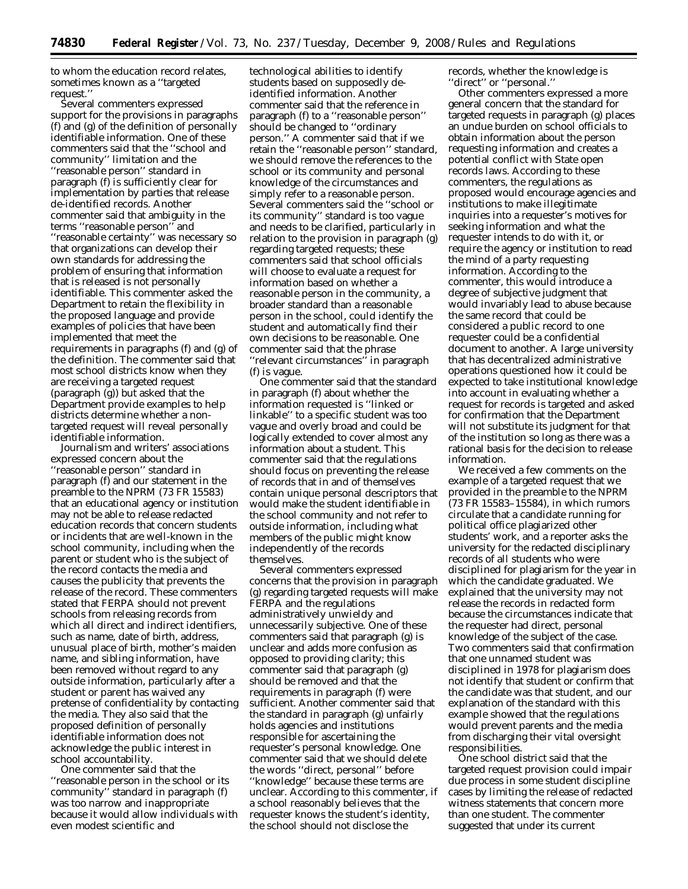to whom the education record relates, sometimes known as a ''targeted request.''

Several commenters expressed support for the provisions in paragraphs (f) and (g) of the definition of *personally identifiable information.* One of these commenters said that the ''school and community'' limitation and the ''reasonable person'' standard in paragraph (f) is sufficiently clear for implementation by parties that release de-identified records. Another commenter said that ambiguity in the terms ''reasonable person'' and ''reasonable certainty'' was necessary so that organizations can develop their own standards for addressing the problem of ensuring that information that is released is not personally identifiable. This commenter asked the Department to retain the flexibility in the proposed language and provide examples of policies that have been implemented that meet the requirements in paragraphs (f) and (g) of the definition. The commenter said that most school districts know when they are receiving a targeted request (paragraph (g)) but asked that the Department provide examples to help districts determine whether a nontargeted request will reveal personally identifiable information.

Journalism and writers' associations expressed concern about the ''reasonable person'' standard in paragraph (f) and our statement in the preamble to the NPRM (73 FR 15583) that an educational agency or institution may not be able to release redacted education records that concern students or incidents that are well-known in the school community, including when the parent or student who is the subject of the record contacts the media and causes the publicity that prevents the release of the record. These commenters stated that FERPA should not prevent schools from releasing records from which all direct and indirect identifiers, such as name, date of birth, address, unusual place of birth, mother's maiden name, and sibling information, have been removed without regard to any outside information, particularly after a student or parent has waived any pretense of confidentiality by contacting the media. They also said that the proposed definition of *personally identifiable information* does not acknowledge the public interest in school accountability.

One commenter said that the ''reasonable person in the school or its community'' standard in paragraph (f) was too narrow and inappropriate because it would allow individuals with even modest scientific and

technological abilities to identify students based on supposedly deidentified information. Another commenter said that the reference in paragraph (f) to a ''reasonable person'' should be changed to ''ordinary person.'' A commenter said that if we retain the ''reasonable person'' standard, we should remove the references to the school or its community and personal knowledge of the circumstances and simply refer to a reasonable person. Several commenters said the ''school or its community'' standard is too vague and needs to be clarified, particularly in relation to the provision in paragraph (g) regarding targeted requests; these commenters said that school officials will choose to evaluate a request for information based on whether a reasonable person in the community, a broader standard than a reasonable person in the school, could identify the student and automatically find their own decisions to be reasonable. One commenter said that the phrase ''relevant circumstances'' in paragraph (f) is vague.

One commenter said that the standard in paragraph (f) about whether the information requested is ''linked or linkable'' to a specific student was too vague and overly broad and could be logically extended to cover almost any information about a student. This commenter said that the regulations should focus on preventing the release of records that in and of themselves contain unique personal descriptors that would make the student identifiable in the school community and not refer to outside information, including what members of the public might know independently of the records themselves.

Several commenters expressed concerns that the provision in paragraph (g) regarding targeted requests will make FERPA and the regulations administratively unwieldy and unnecessarily subjective. One of these commenters said that paragraph (g) is unclear and adds more confusion as opposed to providing clarity; this commenter said that paragraph (g) should be removed and that the requirements in paragraph (f) were sufficient. Another commenter said that the standard in paragraph (g) unfairly holds agencies and institutions responsible for ascertaining the requester's personal knowledge. One commenter said that we should delete the words ''direct, personal'' before ''knowledge'' because these terms are unclear. According to this commenter, if a school reasonably believes that the requester knows the student's identity, the school should not disclose the

records, whether the knowledge is ''direct'' or ''personal.''

Other commenters expressed a more general concern that the standard for targeted requests in paragraph (g) places an undue burden on school officials to obtain information about the person requesting information and creates a potential conflict with State open records laws. According to these commenters, the regulations as proposed would encourage agencies and institutions to make illegitimate inquiries into a requester's motives for seeking information and what the requester intends to do with it, or require the agency or institution to read the mind of a party requesting information. According to the commenter, this would introduce a degree of subjective judgment that would invariably lead to abuse because the same record that could be considered a public record to one requester could be a confidential document to another. A large university that has decentralized administrative operations questioned how it could be expected to take institutional knowledge into account in evaluating whether a request for records is targeted and asked for confirmation that the Department will not substitute its judgment for that of the institution so long as there was a rational basis for the decision to release information.

We received a few comments on the example of a targeted request that we provided in the preamble to the NPRM (73 FR 15583–15584), in which rumors circulate that a candidate running for political office plagiarized other students' work, and a reporter asks the university for the redacted disciplinary records of all students who were disciplined for plagiarism for the year in which the candidate graduated. We explained that the university may not release the records in redacted form because the circumstances indicate that the requester had direct, personal knowledge of the subject of the case. Two commenters said that confirmation that one unnamed student was disciplined in 1978 for plagiarism does not identify that student or confirm that the candidate was that student, and our explanation of the standard with this example showed that the regulations would prevent parents and the media from discharging their vital oversight responsibilities.

One school district said that the targeted request provision could impair due process in some student discipline cases by limiting the release of redacted witness statements that concern more than one student. The commenter suggested that under its current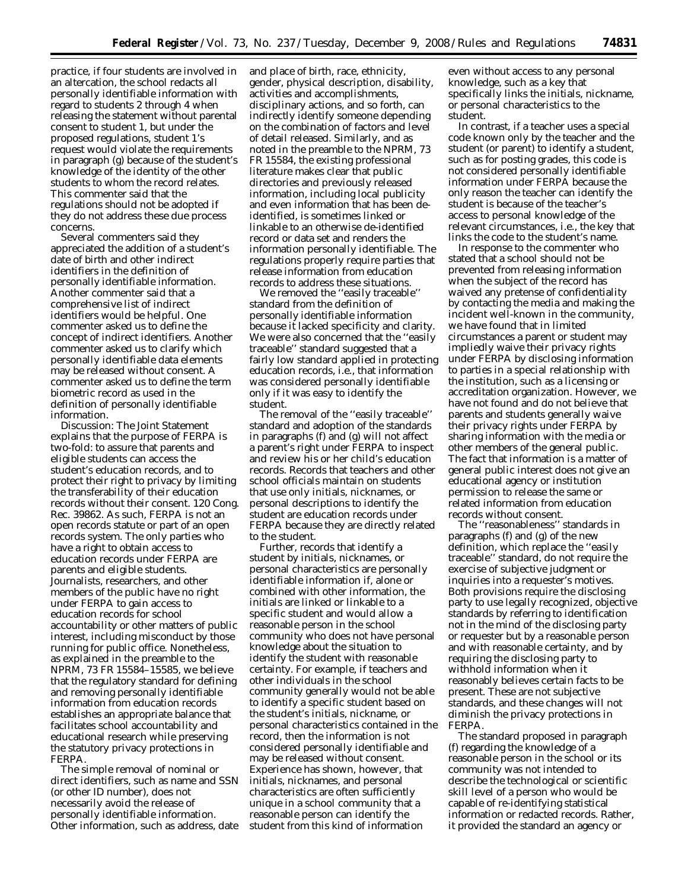practice, if four students are involved in an altercation, the school redacts all personally identifiable information with regard to students 2 through 4 when releasing the statement without parental consent to student 1, but under the proposed regulations, student 1's request would violate the requirements in paragraph (g) because of the student's knowledge of the identity of the other students to whom the record relates. This commenter said that the regulations should not be adopted if they do not address these due process concerns.

Several commenters said they appreciated the addition of a student's date of birth and other indirect identifiers in the definition of *personally identifiable information.*  Another commenter said that a comprehensive list of indirect identifiers would be helpful. One commenter asked us to define the concept of indirect identifiers. Another commenter asked us to clarify which personally identifiable data elements may be released without consent. A commenter asked us to define the term biometric record as used in the definition of *personally identifiable information.* 

*Discussion:* The Joint Statement explains that the purpose of FERPA is two-fold: to assure that parents and eligible students can access the student's education records, and to protect their right to privacy by limiting the transferability of their education records without their consent. 120 Cong. Rec. 39862. As such, FERPA is not an open records statute or part of an open records system. The only parties who have a right to obtain access to education records under FERPA are parents and eligible students. Journalists, researchers, and other members of the public have no right under FERPA to gain access to education records for school accountability or other matters of public interest, including misconduct by those running for public office. Nonetheless, as explained in the preamble to the NPRM, 73 FR 15584–15585, we believe that the regulatory standard for defining and removing personally identifiable information from education records establishes an appropriate balance that facilitates school accountability and educational research while preserving the statutory privacy protections in FERPA.

The simple removal of nominal or direct identifiers, such as name and SSN (or other ID number), does not necessarily avoid the release of personally identifiable information. Other information, such as address, date

and place of birth, race, ethnicity, gender, physical description, disability, activities and accomplishments, disciplinary actions, and so forth, can indirectly identify someone depending on the combination of factors and level of detail released. Similarly, and as noted in the preamble to the NPRM, 73 FR 15584, the existing professional literature makes clear that public directories and previously released information, including local publicity and even information that has been deidentified, is sometimes linked or linkable to an otherwise de-identified record or data set and renders the information personally identifiable. The regulations properly require parties that release information from education records to address these situations.

We removed the ''easily traceable'' standard from the definition of *personally identifiable information*  because it lacked specificity and clarity. We were also concerned that the ''easily traceable'' standard suggested that a fairly low standard applied in protecting education records, *i.e.*, that information was considered personally identifiable only if it was easy to identify the student.

The removal of the ''easily traceable'' standard and adoption of the standards in paragraphs (f) and (g) will not affect a parent's right under FERPA to inspect and review his or her child's education records. Records that teachers and other school officials maintain on students that use only initials, nicknames, or personal descriptions to identify the student are education records under FERPA because they are directly related to the student.

Further, records that identify a student by initials, nicknames, or personal characteristics are personally identifiable information if, alone or combined with other information, the initials are linked or linkable to a specific student and would allow a reasonable person in the school community who does not have personal knowledge about the situation to identify the student with reasonable certainty. For example, if teachers and other individuals in the school community generally would not be able to identify a specific student based on the student's initials, nickname, or personal characteristics contained in the record, then the information is not considered personally identifiable and may be released without consent. Experience has shown, however, that initials, nicknames, and personal characteristics are often sufficiently unique in a school community that a reasonable person can identify the student from this kind of information

even without access to any personal knowledge, such as a key that specifically links the initials, nickname, or personal characteristics to the student.

In contrast, if a teacher uses a special code known only by the teacher and the student (or parent) to identify a student, such as for posting grades, this code is not considered personally identifiable information under FERPA because the only reason the teacher can identify the student is because of the teacher's access to personal knowledge of the relevant circumstances, *i.e.*, the key that links the code to the student's name.

In response to the commenter who stated that a school should not be prevented from releasing information when the subject of the record has waived any pretense of confidentiality by contacting the media and making the incident well-known in the community, we have found that in limited circumstances a parent or student may impliedly waive their privacy rights under FERPA by disclosing information to parties in a special relationship with the institution, such as a licensing or accreditation organization. However, we have not found and do not believe that parents and students generally waive their privacy rights under FERPA by sharing information with the media or other members of the general public. The fact that information is a matter of general public interest does not give an educational agency or institution permission to release the same or related information from education records without consent.

The ''reasonableness'' standards in paragraphs (f) and (g) of the new definition, which replace the ''easily traceable'' standard, do not require the exercise of subjective judgment or inquiries into a requester's motives. Both provisions require the disclosing party to use legally recognized, objective standards by referring to identification not in the mind of the disclosing party or requester but by a reasonable person and with reasonable certainty, and by requiring the disclosing party to withhold information when it reasonably believes certain facts to be present. These are not subjective standards, and these changes will not diminish the privacy protections in FERPA.

The standard proposed in paragraph (f) regarding the knowledge of a reasonable person in the school or its community was not intended to describe the technological or scientific skill level of a person who would be capable of re-identifying statistical information or redacted records. Rather, it provided the standard an agency or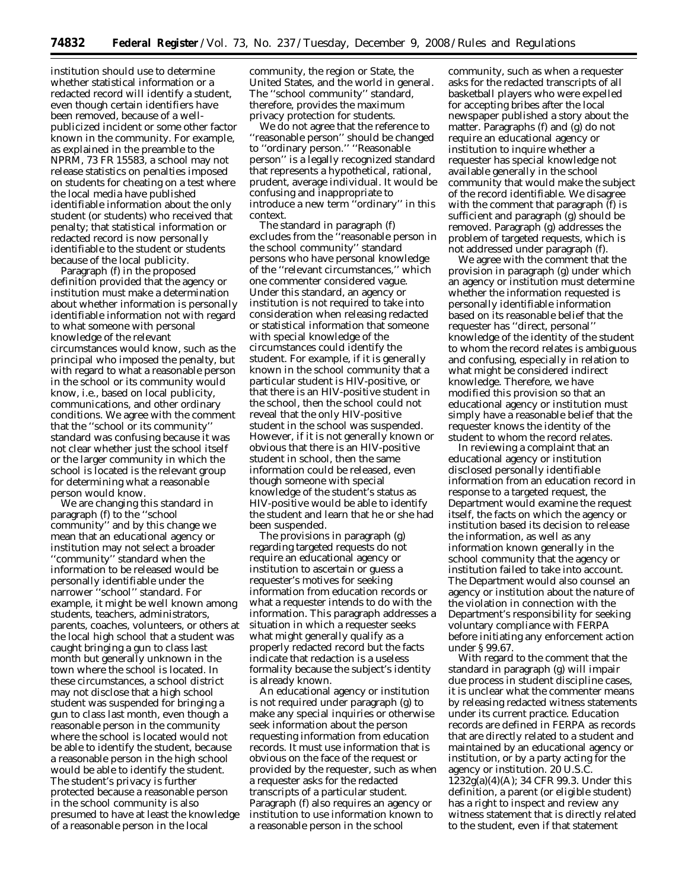institution should use to determine whether statistical information or a redacted record will identify a student, even though certain identifiers have been removed, because of a wellpublicized incident or some other factor known in the community. For example, as explained in the preamble to the NPRM, 73 FR 15583, a school may not release statistics on penalties imposed on students for cheating on a test where the local media have published identifiable information about the only student (or students) who received that penalty; that statistical information or redacted record is now personally identifiable to the student or students because of the local publicity.

Paragraph (f) in the proposed definition provided that the agency or institution must make a determination about whether information is personally identifiable information not with regard to what someone with personal knowledge of the relevant circumstances would know, such as the principal who imposed the penalty, but with regard to what a reasonable person in the school or its community would know, *i.e.*, based on local publicity, communications, and other ordinary conditions. We agree with the comment that the ''school or its community'' standard was confusing because it was not clear whether just the school itself or the larger community in which the school is located is the relevant group for determining what a reasonable person would know.

We are changing this standard in paragraph (f) to the ''school community'' and by this change we mean that an educational agency or institution may not select a broader ''community'' standard when the information to be released would be personally identifiable under the narrower ''school'' standard. For example, it might be well known among students, teachers, administrators, parents, coaches, volunteers, or others at the local high school that a student was caught bringing a gun to class last month but generally unknown in the town where the school is located. In these circumstances, a school district may not disclose that a high school student was suspended for bringing a gun to class last month, even though a reasonable person in the community where the school is located would not be able to identify the student, because a reasonable person in the high school would be able to identify the student. The student's privacy is further protected because a reasonable person in the school community is also presumed to have at least the knowledge of a reasonable person in the local

community, the region or State, the United States, and the world in general. The ''school community'' standard, therefore, provides the maximum privacy protection for students.

We do not agree that the reference to ''reasonable person'' should be changed to ''ordinary person.'' ''Reasonable person'' is a legally recognized standard that represents a hypothetical, rational, prudent, average individual. It would be confusing and inappropriate to introduce a new term ''ordinary'' in this context.

The standard in paragraph (f) excludes from the ''reasonable person in the school community'' standard persons who have personal knowledge of the ''relevant circumstances,'' which one commenter considered vague. Under this standard, an agency or institution is not required to take into consideration when releasing redacted or statistical information that someone with special knowledge of the circumstances could identify the student. For example, if it is generally known in the school community that a particular student is HIV-positive, or that there is an HIV-positive student in the school, then the school could not reveal that the only HIV-positive student in the school was suspended. However, if it is not generally known or obvious that there is an HIV-positive student in school, then the same information could be released, even though someone with special knowledge of the student's status as HIV-positive would be able to identify the student and learn that he or she had been suspended.

The provisions in paragraph (g) regarding targeted requests do not require an educational agency or institution to ascertain or guess a requester's motives for seeking information from education records or what a requester intends to do with the information. This paragraph addresses a situation in which a requester seeks what might generally qualify as a properly redacted record but the facts indicate that redaction is a useless formality because the subject's identity is already known.

An educational agency or institution is not required under paragraph (g) to make any special inquiries or otherwise seek information about the person requesting information from education records. It must use information that is obvious on the face of the request or provided by the requester, such as when a requester asks for the redacted transcripts of a particular student. Paragraph (f) also requires an agency or institution to use information known to a reasonable person in the school

community, such as when a requester asks for the redacted transcripts of all basketball players who were expelled for accepting bribes after the local newspaper published a story about the matter. Paragraphs (f) and (g) do not require an educational agency or institution to inquire whether a requester has special knowledge not available generally in the school community that would make the subject of the record identifiable. We disagree with the comment that paragraph (f) is sufficient and paragraph (g) should be removed. Paragraph (g) addresses the problem of targeted requests, which is not addressed under paragraph (f).

We agree with the comment that the provision in paragraph (g) under which an agency or institution must determine whether the information requested is personally identifiable information based on its reasonable belief that the requester has ''direct, personal'' knowledge of the identity of the student to whom the record relates is ambiguous and confusing, especially in relation to what might be considered indirect knowledge. Therefore, we have modified this provision so that an educational agency or institution must simply have a reasonable belief that the requester knows the identity of the student to whom the record relates.

In reviewing a complaint that an educational agency or institution disclosed personally identifiable information from an education record in response to a targeted request, the Department would examine the request itself, the facts on which the agency or institution based its decision to release the information, as well as any information known generally in the school community that the agency or institution failed to take into account. The Department would also counsel an agency or institution about the nature of the violation in connection with the Department's responsibility for seeking voluntary compliance with FERPA before initiating any enforcement action under § 99.67.

With regard to the comment that the standard in paragraph (g) will impair due process in student discipline cases, it is unclear what the commenter means by releasing redacted witness statements under its current practice. *Education records* are defined in FERPA as records that are directly related to a student and maintained by an educational agency or institution, or by a party acting for the agency or institution. 20 U.S.C. 1232g(a)(4)(A); 34 CFR 99.3. Under this definition, a parent (or eligible student) has a right to inspect and review any witness statement that is directly related to the student, even if that statement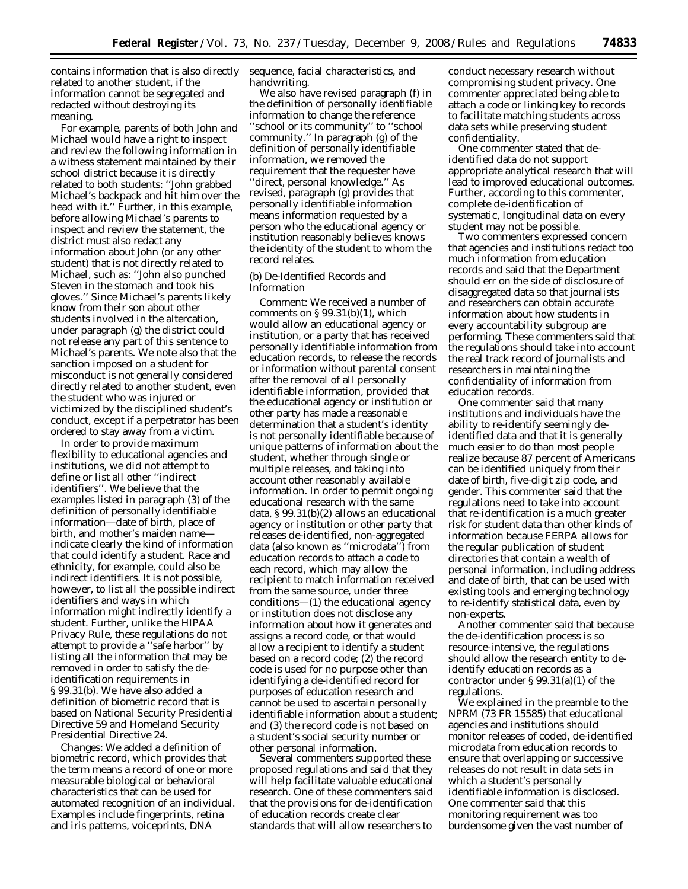contains information that is also directly related to another student, if the information cannot be segregated and redacted without destroying its meaning.

For example, parents of both John and Michael would have a right to inspect and review the following information in a witness statement maintained by their school district because it is directly related to both students: ''John grabbed Michael's backpack and hit him over the head with it.'' Further, in this example, before allowing Michael's parents to inspect and review the statement, the district must also redact any information about John (or any other student) that is not directly related to Michael, such as: ''John also punched Steven in the stomach and took his gloves.'' Since Michael's parents likely know from their son about other students involved in the altercation, under paragraph (g) the district could not release any part of this sentence to Michael's parents. We note also that the sanction imposed on a student for misconduct is not generally considered directly related to another student, even the student who was injured or victimized by the disciplined student's conduct, except if a perpetrator has been ordered to stay away from a victim.

In order to provide maximum flexibility to educational agencies and institutions, we did not attempt to define or list all other ''indirect identifiers''. We believe that the examples listed in paragraph (3) of the definition of *personally identifiable information*—date of birth, place of birth, and mother's maiden name indicate clearly the kind of information that could identify a student. Race and ethnicity, for example, could also be indirect identifiers. It is not possible, however, to list all the possible indirect identifiers and ways in which information might indirectly identify a student. Further, unlike the HIPAA Privacy Rule, these regulations do not attempt to provide a ''safe harbor'' by listing all the information that may be removed in order to satisfy the deidentification requirements in § 99.31(b). We have also added a definition of *biometric record* that is based on National Security Presidential Directive 59 and Homeland Security Presidential Directive 24.

*Changes:* We added a definition of *biometric record,* which provides that the term means a record of one or more measurable biological or behavioral characteristics that can be used for automated recognition of an individual. Examples include fingerprints, retina and iris patterns, voiceprints, DNA

sequence, facial characteristics, and handwriting.

We also have revised paragraph (f) in the definition of *personally identifiable information* to change the reference ''school or its community'' to ''school community.'' In paragraph (g) of the definition of *personally identifiable information,* we removed the requirement that the requester have ''direct, personal knowledge.'' As revised, paragraph (g) provides that personally identifiable information means information requested by a person who the educational agency or institution reasonably believes knows the identity of the student to whom the record relates.

# *(b) De-Identified Records and Information*

*Comment:* We received a number of comments on § 99.31(b)(1), which would allow an educational agency or institution, or a party that has received personally identifiable information from education records, to release the records or information without parental consent after the removal of all personally identifiable information, provided that the educational agency or institution or other party has made a reasonable determination that a student's identity is not personally identifiable because of unique patterns of information about the student, whether through single or multiple releases, and taking into account other reasonably available information. In order to permit ongoing educational research with the same data, § 99.31(b)(2) allows an educational agency or institution or other party that releases de-identified, non-aggregated data (also known as ''microdata'') from education records to attach a code to each record, which may allow the recipient to match information received from the same source, under three conditions—(1) the educational agency or institution does not disclose any information about how it generates and assigns a record code, or that would allow a recipient to identify a student based on a record code; (2) the record code is used for no purpose other than identifying a de-identified record for purposes of education research and cannot be used to ascertain personally identifiable information about a student; and (3) the record code is not based on a student's social security number or other personal information.

Several commenters supported these proposed regulations and said that they will help facilitate valuable educational research. One of these commenters said that the provisions for de-identification of education records create clear standards that will allow researchers to

conduct necessary research without compromising student privacy. One commenter appreciated being able to attach a code or linking key to records to facilitate matching students across data sets while preserving student confidentiality.

One commenter stated that deidentified data do not support appropriate analytical research that will lead to improved educational outcomes. Further, according to this commenter, complete de-identification of systematic, longitudinal data on every student may not be possible.

Two commenters expressed concern that agencies and institutions redact too much information from education records and said that the Department should err on the side of disclosure of disaggregated data so that journalists and researchers can obtain accurate information about how students in every accountability subgroup are performing. These commenters said that the regulations should take into account the real track record of journalists and researchers in maintaining the confidentiality of information from education records.

One commenter said that many institutions and individuals have the ability to re-identify seemingly deidentified data and that it is generally much easier to do than most people realize because 87 percent of Americans can be identified uniquely from their date of birth, five-digit zip code, and gender. This commenter said that the regulations need to take into account that re-identification is a much greater risk for student data than other kinds of information because FERPA allows for the regular publication of student directories that contain a wealth of personal information, including address and date of birth, that can be used with existing tools and emerging technology to re-identify statistical data, even by non-experts.

Another commenter said that because the de-identification process is so resource-intensive, the regulations should allow the research entity to deidentify education records as a contractor under § 99.31(a)(1) of the regulations.

We explained in the preamble to the NPRM (73 FR 15585) that educational agencies and institutions should monitor releases of coded, de-identified microdata from education records to ensure that overlapping or successive releases do not result in data sets in which a student's personally identifiable information is disclosed. One commenter said that this monitoring requirement was too burdensome given the vast number of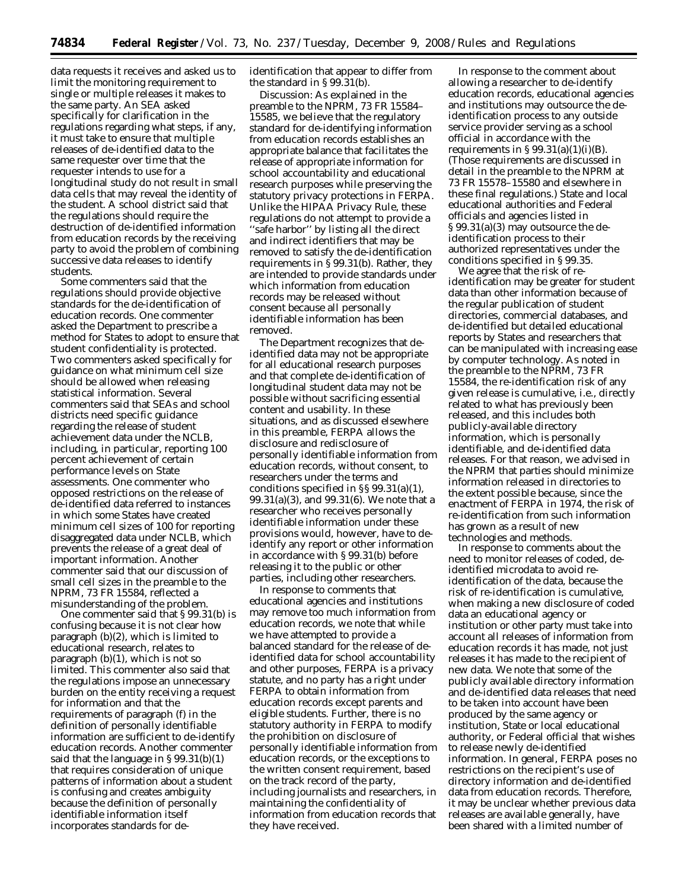data requests it receives and asked us to limit the monitoring requirement to single or multiple releases it makes to the same party. An SEA asked specifically for clarification in the regulations regarding what steps, if any, it must take to ensure that multiple releases of de-identified data to the same requester over time that the requester intends to use for a longitudinal study do not result in small data cells that may reveal the identity of the student. A school district said that the regulations should require the destruction of de-identified information from education records by the receiving party to avoid the problem of combining successive data releases to identify students.

Some commenters said that the regulations should provide objective standards for the de-identification of education records. One commenter asked the Department to prescribe a method for States to adopt to ensure that student confidentiality is protected. Two commenters asked specifically for guidance on what minimum cell size should be allowed when releasing statistical information. Several commenters said that SEAs and school districts need specific guidance regarding the release of student achievement data under the NCLB, including, in particular, reporting 100 percent achievement of certain performance levels on State assessments. One commenter who opposed restrictions on the release of de-identified data referred to instances in which some States have created minimum cell sizes of 100 for reporting disaggregated data under NCLB, which prevents the release of a great deal of important information. Another commenter said that our discussion of small cell sizes in the preamble to the NPRM, 73 FR 15584, reflected a misunderstanding of the problem.

One commenter said that § 99.31(b) is confusing because it is not clear how paragraph (b)(2), which is limited to educational research, relates to paragraph (b)(1), which is not so limited. This commenter also said that the regulations impose an unnecessary burden on the entity receiving a request for information and that the requirements of paragraph (f) in the definition of *personally identifiable information* are sufficient to de-identify education records. Another commenter said that the language in  $\S 99.31(b)(1)$ that requires consideration of unique patterns of information about a student is confusing and creates ambiguity because the definition of *personally identifiable information* itself incorporates standards for deidentification that appear to differ from the standard in § 99.31(b).

*Discussion:* As explained in the preamble to the NPRM, 73 FR 15584– 15585, we believe that the regulatory standard for de-identifying information from education records establishes an appropriate balance that facilitates the release of appropriate information for school accountability and educational research purposes while preserving the statutory privacy protections in FERPA. Unlike the HIPAA Privacy Rule, these regulations do not attempt to provide a "safe harbor" by listing all the direct and indirect identifiers that may be removed to satisfy the de-identification requirements in  $\S 99.31(b)$ . Rather, they are intended to provide standards under which information from education records may be released without consent because all personally identifiable information has been removed.

The Department recognizes that deidentified data may not be appropriate for all educational research purposes and that complete de-identification of longitudinal student data may not be possible without sacrificing essential content and usability. In these situations, and as discussed elsewhere in this preamble, FERPA allows the disclosure and redisclosure of personally identifiable information from education records, without consent, to researchers under the terms and conditions specified in §§ 99.31(a)(1), 99.31(a)(3), and 99.31(6). We note that a researcher who receives personally identifiable information under these provisions would, however, have to deidentify any report or other information in accordance with § 99.31(b) before releasing it to the public or other parties, including other researchers.

In response to comments that educational agencies and institutions may remove too much information from education records, we note that while we have attempted to provide a balanced standard for the release of deidentified data for school accountability and other purposes, FERPA is a privacy statute, and no party has a right under FERPA to obtain information from education records except parents and eligible students. Further, there is no statutory authority in FERPA to modify the prohibition on disclosure of personally identifiable information from education records, or the exceptions to the written consent requirement, based on the track record of the party, including journalists and researchers, in maintaining the confidentiality of information from education records that they have received.

In response to the comment about allowing a researcher to de-identify education records, educational agencies and institutions may outsource the deidentification process to any outside service provider serving as a school official in accordance with the requirements in  $\S 99.31(a)(1)(i)(B)$ . (Those requirements are discussed in detail in the preamble to the NPRM at 73 FR 15578–15580 and elsewhere in these final regulations.) State and local educational authorities and Federal officials and agencies listed in § 99.31(a)(3) may outsource the deidentification process to their authorized representatives under the conditions specified in § 99.35.

We agree that the risk of reidentification may be greater for student data than other information because of the regular publication of student directories, commercial databases, and de-identified but detailed educational reports by States and researchers that can be manipulated with increasing ease by computer technology. As noted in the preamble to the NPRM, 73 FR 15584, the re-identification risk of any given release is cumulative, *i.e.*, directly related to what has previously been released, and this includes both publicly-available directory information, which is personally identifiable, and de-identified data releases. For that reason, we advised in the NPRM that parties should minimize information released in directories to the extent possible because, since the enactment of FERPA in 1974, the risk of re-identification from such information has grown as a result of new technologies and methods.

In response to comments about the need to monitor releases of coded, deidentified microdata to avoid reidentification of the data, because the risk of re-identification is cumulative, when making a new disclosure of coded data an educational agency or institution or other party must take into account all releases of information from education records it has made, not just releases it has made to the recipient of new data. We note that some of the publicly available directory information and de-identified data releases that need to be taken into account have been produced by the same agency or institution, State or local educational authority, or Federal official that wishes to release newly de-identified information. In general, FERPA poses no restrictions on the recipient's use of directory information and de-identified data from education records. Therefore, it may be unclear whether previous data releases are available generally, have been shared with a limited number of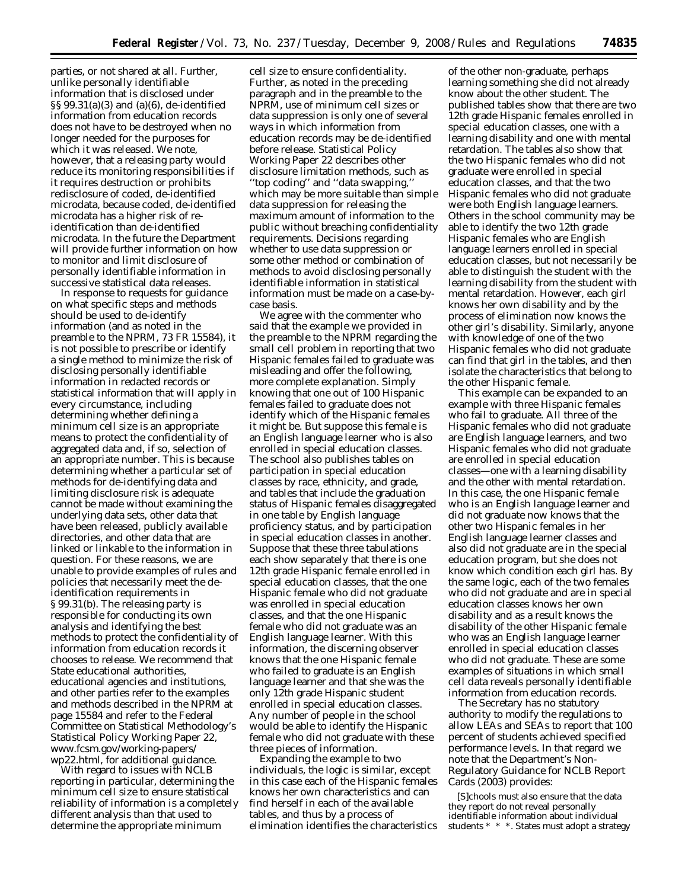parties, or not shared at all. Further, unlike personally identifiable information that is disclosed under §§ 99.31(a)(3) and (a)(6), de-identified information from education records does not have to be destroyed when no longer needed for the purposes for which it was released. We note, however, that a releasing party would reduce its monitoring responsibilities if it requires destruction or prohibits redisclosure of coded, de-identified microdata, because coded, de-identified microdata has a higher risk of reidentification than de-identified microdata. In the future the Department will provide further information on how to monitor and limit disclosure of personally identifiable information in successive statistical data releases.

In response to requests for guidance on what specific steps and methods should be used to de-identify information (and as noted in the preamble to the NPRM, 73 FR 15584), it is not possible to prescribe or identify a single method to minimize the risk of disclosing personally identifiable information in redacted records or statistical information that will apply in every circumstance, including determining whether defining a minimum cell size is an appropriate means to protect the confidentiality of aggregated data and, if so, selection of an appropriate number. This is because determining whether a particular set of methods for de-identifying data and limiting disclosure risk is adequate cannot be made without examining the underlying data sets, other data that have been released, publicly available directories, and other data that are linked or linkable to the information in question. For these reasons, we are unable to provide examples of rules and policies that necessarily meet the deidentification requirements in § 99.31(b). The releasing party is responsible for conducting its own analysis and identifying the best methods to protect the confidentiality of information from education records it chooses to release. We recommend that State educational authorities, educational agencies and institutions, and other parties refer to the examples and methods described in the NPRM at page 15584 and refer to the Federal Committee on Statistical Methodology's Statistical Policy Working Paper 22, *www.fcsm.gov/working-papers/ wp22.html*, for additional guidance.

With regard to issues with NCLB reporting in particular, determining the minimum cell size to ensure statistical reliability of information is a completely different analysis than that used to determine the appropriate minimum

cell size to ensure confidentiality. Further, as noted in the preceding paragraph and in the preamble to the NPRM, use of minimum cell sizes or data suppression is only one of several ways in which information from education records may be de-identified before release. Statistical Policy Working Paper 22 describes other disclosure limitation methods, such as ''top coding'' and ''data swapping,'' which may be more suitable than simple data suppression for releasing the maximum amount of information to the public without breaching confidentiality requirements. Decisions regarding whether to use data suppression or some other method or combination of methods to avoid disclosing personally identifiable information in statistical information must be made on a case-bycase basis.

We agree with the commenter who said that the example we provided in the preamble to the NPRM regarding the small cell problem in reporting that two Hispanic females failed to graduate was misleading and offer the following, more complete explanation. Simply knowing that one out of 100 Hispanic females failed to graduate does not identify which of the Hispanic females it might be. But suppose this female is an English language learner who is also enrolled in special education classes. The school also publishes tables on participation in special education classes by race, ethnicity, and grade, and tables that include the graduation status of Hispanic females disaggregated in one table by English language proficiency status, and by participation in special education classes in another. Suppose that these three tabulations each show separately that there is one 12th grade Hispanic female enrolled in special education classes, that the one Hispanic female who did not graduate was enrolled in special education classes, and that the one Hispanic female who did not graduate was an English language learner. With this information, the discerning observer knows that the one Hispanic female who failed to graduate is an English language learner and that she was the only 12th grade Hispanic student enrolled in special education classes. Any number of people in the school would be able to identify the Hispanic female who did not graduate with these three pieces of information.

Expanding the example to two individuals, the logic is similar, except in this case each of the Hispanic females knows her own characteristics and can find herself in each of the available tables, and thus by a process of elimination identifies the characteristics

of the other non-graduate, perhaps learning something she did not already know about the other student. The published tables show that there are two 12th grade Hispanic females enrolled in special education classes, one with a learning disability and one with mental retardation. The tables also show that the two Hispanic females who did not graduate were enrolled in special education classes, and that the two Hispanic females who did not graduate were both English language learners. Others in the school community may be able to identify the two 12th grade Hispanic females who are English language learners enrolled in special education classes, but not necessarily be able to distinguish the student with the learning disability from the student with mental retardation. However, each girl knows her own disability and by the process of elimination now knows the other girl's disability. Similarly, anyone with knowledge of one of the two Hispanic females who did not graduate can find that girl in the tables, and then isolate the characteristics that belong to the other Hispanic female.

This example can be expanded to an example with three Hispanic females who fail to graduate. All three of the Hispanic females who did not graduate are English language learners, and two Hispanic females who did not graduate are enrolled in special education classes—one with a learning disability and the other with mental retardation. In this case, the one Hispanic female who is an English language learner and did not graduate now knows that the other two Hispanic females in her English language learner classes and also did not graduate are in the special education program, but she does not know which condition each girl has. By the same logic, each of the two females who did not graduate and are in special education classes knows her own disability and as a result knows the disability of the other Hispanic female who was an English language learner enrolled in special education classes who did not graduate. These are some examples of situations in which small cell data reveals personally identifiable information from education records.

The Secretary has no statutory authority to modify the regulations to allow LEAs and SEAs to report that 100 percent of students achieved specified performance levels. In that regard we note that the Department's Non-Regulatory Guidance for NCLB Report Cards (2003) provides:

[S]chools must also ensure that the data they report do not reveal personally identifiable information about individual students \* \* \*. States must adopt a strategy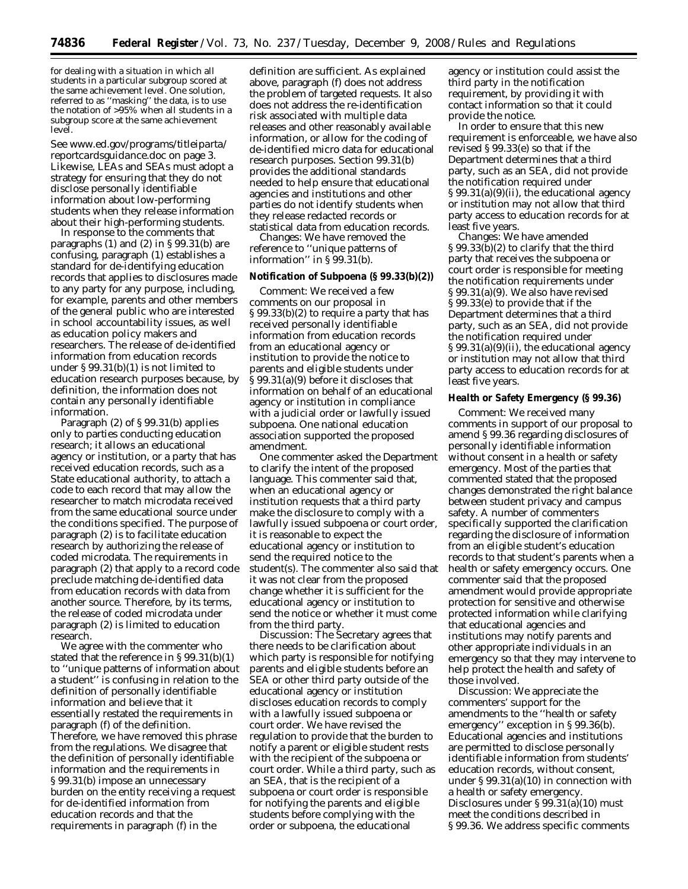for dealing with a situation in which all students in a particular subgroup scored at the same achievement level. One solution, referred to as ''masking'' the data, is to use the notation of >95% when all students in a subgroup score at the same achievement level.

See *www.ed.gov/programs/titleiparta/ reportcardsguidance.doc* on page 3. Likewise, LEAs and SEAs must adopt a strategy for ensuring that they do not disclose personally identifiable information about low-performing students when they release information about their high-performing students.

In response to the comments that paragraphs (1) and (2) in § 99.31(b) are confusing, paragraph (1) establishes a standard for de-identifying education records that applies to disclosures made to any party for any purpose, including, for example, parents and other members of the general public who are interested in school accountability issues, as well as education policy makers and researchers. The release of de-identified information from education records under § 99.31(b)(1) is not limited to education research purposes because, by definition, the information does not contain any personally identifiable information.

Paragraph (2) of § 99.31(b) applies only to parties conducting education research; it allows an educational agency or institution, or a party that has received education records, such as a State educational authority, to attach a code to each record that may allow the researcher to match microdata received from the same educational source under the conditions specified. The purpose of paragraph (2) is to facilitate education research by authorizing the release of coded microdata. The requirements in paragraph (2) that apply to a record code preclude matching de-identified data from education records with data from another source. Therefore, by its terms, the release of coded microdata under paragraph (2) is limited to education research.

We agree with the commenter who stated that the reference in § 99.31(b)(1) to ''unique patterns of information about a student'' is confusing in relation to the definition of *personally identifiable information* and believe that it essentially restated the requirements in paragraph (f) of the definition. Therefore, we have removed this phrase from the regulations. We disagree that the definition of *personally identifiable information* and the requirements in § 99.31(b) impose an unnecessary burden on the entity receiving a request for de-identified information from education records and that the requirements in paragraph (f) in the

definition are sufficient. As explained above, paragraph (f) does not address the problem of targeted requests. It also does not address the re-identification risk associated with multiple data releases and other reasonably available information, or allow for the coding of de-identified micro data for educational research purposes. Section 99.31(b) provides the additional standards needed to help ensure that educational agencies and institutions and other parties do not identify students when they release redacted records or statistical data from education records.

*Changes:* We have removed the reference to ''unique patterns of information'' in § 99.31(b).

### **Notification of Subpoena (§ 99.33(b)(2))**

*Comment:* We received a few comments on our proposal in § 99.33(b)(2) to require a party that has received personally identifiable information from education records from an educational agency or institution to provide the notice to parents and eligible students under § 99.31(a)(9) before it discloses that information on behalf of an educational agency or institution in compliance with a judicial order or lawfully issued subpoena. One national education association supported the proposed amendment.

One commenter asked the Department to clarify the intent of the proposed language. This commenter said that, when an educational agency or institution requests that a third party make the disclosure to comply with a lawfully issued subpoena or court order, it is reasonable to expect the educational agency or institution to send the required notice to the student(s). The commenter also said that it was not clear from the proposed change whether it is sufficient for the educational agency or institution to send the notice or whether it must come from the third party.

*Discussion:* The Secretary agrees that there needs to be clarification about which party is responsible for notifying parents and eligible students before an SEA or other third party outside of the educational agency or institution discloses education records to comply with a lawfully issued subpoena or court order. We have revised the regulation to provide that the burden to notify a parent or eligible student rests with the recipient of the subpoena or court order. While a third party, such as an SEA, that is the recipient of a subpoena or court order is responsible for notifying the parents and eligible students before complying with the order or subpoena, the educational

agency or institution could assist the third party in the notification requirement, by providing it with contact information so that it could provide the notice.

In order to ensure that this new requirement is enforceable, we have also revised § 99.33(e) so that if the Department determines that a third party, such as an SEA, did not provide the notification required under § 99.31(a)(9)(ii), the educational agency or institution may not allow that third party access to education records for at least five years.

*Changes:* We have amended § 99.33(b)(2) to clarify that the third party that receives the subpoena or court order is responsible for meeting the notification requirements under § 99.31(a)(9). We also have revised § 99.33(e) to provide that if the Department determines that a third party, such as an SEA, did not provide the notification required under § 99.31(a)(9)(ii), the educational agency or institution may not allow that third party access to education records for at least five years.

#### **Health or Safety Emergency (§ 99.36)**

*Comment:* We received many comments in support of our proposal to amend § 99.36 regarding disclosures of personally identifiable information without consent in a health or safety emergency. Most of the parties that commented stated that the proposed changes demonstrated the right balance between student privacy and campus safety. A number of commenters specifically supported the clarification regarding the disclosure of information from an eligible student's education records to that student's parents when a health or safety emergency occurs. One commenter said that the proposed amendment would provide appropriate protection for sensitive and otherwise protected information while clarifying that educational agencies and institutions may notify parents and other appropriate individuals in an emergency so that they may intervene to help protect the health and safety of those involved.

*Discussion:* We appreciate the commenters' support for the amendments to the ''health or safety emergency'' exception in § 99.36(b). Educational agencies and institutions are permitted to disclose personally identifiable information from students' education records, without consent, under § 99.31(a)(10) in connection with a health or safety emergency. Disclosures under § 99.31(a)(10) must meet the conditions described in § 99.36. We address specific comments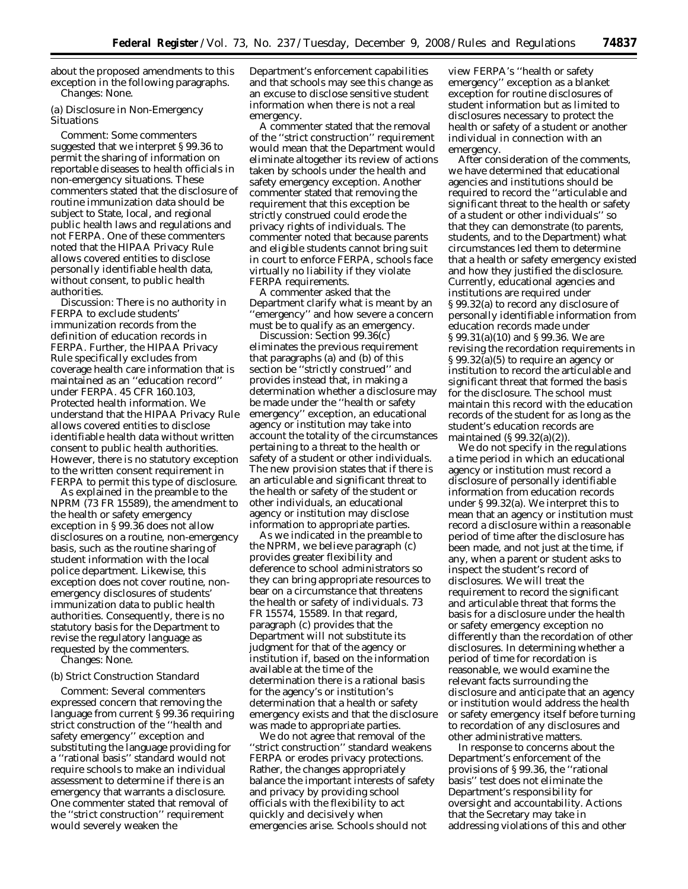about the proposed amendments to this exception in the following paragraphs. *Changes:* None.

## *(a) Disclosure in Non-Emergency Situations*

*Comment:* Some commenters suggested that we interpret § 99.36 to permit the sharing of information on reportable diseases to health officials in non-emergency situations. These commenters stated that the disclosure of routine immunization data should be subject to State, local, and regional public health laws and regulations and not FERPA. One of these commenters noted that the HIPAA Privacy Rule allows covered entities to disclose personally identifiable health data, without consent, to public health authorities.

*Discussion:* There is no authority in FERPA to exclude students' immunization records from the definition of *education records* in FERPA. Further, the HIPAA Privacy Rule specifically excludes from coverage health care information that is maintained as an ''education record'' under FERPA. 45 CFR 160.103, Protected health information. We understand that the HIPAA Privacy Rule allows covered entities to disclose identifiable health data without written consent to public health authorities. However, there is no statutory exception to the written consent requirement in FERPA to permit this type of disclosure.

As explained in the preamble to the NPRM (73 FR 15589), the amendment to the health or safety emergency exception in § 99.36 does not allow disclosures on a routine, non-emergency basis, such as the routine sharing of student information with the local police department. Likewise, this exception does not cover routine, nonemergency disclosures of students' immunization data to public health authorities. Consequently, there is no statutory basis for the Department to revise the regulatory language as requested by the commenters.

*Changes:* None.

# *(b) Strict Construction Standard*

*Comment:* Several commenters expressed concern that removing the language from current § 99.36 requiring strict construction of the ''health and safety emergency'' exception and substituting the language providing for a ''rational basis'' standard would not require schools to make an individual assessment to determine if there is an emergency that warrants a disclosure. One commenter stated that removal of the ''strict construction'' requirement would severely weaken the

Department's enforcement capabilities and that schools may see this change as an excuse to disclose sensitive student information when there is not a real emergency.

A commenter stated that the removal of the ''strict construction'' requirement would mean that the Department would eliminate altogether its review of actions taken by schools under the health and safety emergency exception. Another commenter stated that removing the requirement that this exception be strictly construed could erode the privacy rights of individuals. The commenter noted that because parents and eligible students cannot bring suit in court to enforce FERPA, schools face virtually no liability if they violate FERPA requirements.

A commenter asked that the Department clarify what is meant by an ''emergency'' and how severe a concern must be to qualify as an emergency.

*Discussion:* Section 99.36(c) eliminates the previous requirement that paragraphs (a) and (b) of this section be ''strictly construed'' and provides instead that, in making a determination whether a disclosure may be made under the ''health or safety emergency'' exception, an educational agency or institution may take into account the totality of the circumstances pertaining to a threat to the health or safety of a student or other individuals. The new provision states that if there is an articulable and significant threat to the health or safety of the student or other individuals, an educational agency or institution may disclose information to appropriate parties.

As we indicated in the preamble to the NPRM, we believe paragraph (c) provides greater flexibility and deference to school administrators so they can bring appropriate resources to bear on a circumstance that threatens the health or safety of individuals. 73 FR 15574, 15589. In that regard, paragraph (c) provides that the Department will not substitute its judgment for that of the agency or institution if, based on the information available at the time of the determination there is a rational basis for the agency's or institution's determination that a health or safety emergency exists and that the disclosure was made to appropriate parties.

We do not agree that removal of the ''strict construction'' standard weakens FERPA or erodes privacy protections. Rather, the changes appropriately balance the important interests of safety and privacy by providing school officials with the flexibility to act quickly and decisively when emergencies arise. Schools should not

view FERPA's ''health or safety emergency'' exception as a blanket exception for routine disclosures of student information but as limited to disclosures necessary to protect the health or safety of a student or another individual in connection with an emergency.

After consideration of the comments, we have determined that educational agencies and institutions should be required to record the ''articulable and significant threat to the health or safety of a student or other individuals'' so that they can demonstrate (to parents, students, and to the Department) what circumstances led them to determine that a health or safety emergency existed and how they justified the disclosure. Currently, educational agencies and institutions are required under § 99.32(a) to record any disclosure of personally identifiable information from education records made under § 99.31(a)(10) and § 99.36. We are revising the recordation requirements in § 99.32(a)(5) to require an agency or institution to record the articulable and significant threat that formed the basis for the disclosure. The school must maintain this record with the education records of the student for as long as the student's education records are maintained (§ 99.32(a)(2)).

We do not specify in the regulations a time period in which an educational agency or institution must record a disclosure of personally identifiable information from education records under § 99.32(a). We interpret this to mean that an agency or institution must record a disclosure within a reasonable period of time after the disclosure has been made, and not just at the time, if any, when a parent or student asks to inspect the student's record of disclosures. We will treat the requirement to record the significant and articulable threat that forms the basis for a disclosure under the health or safety emergency exception no differently than the recordation of other disclosures. In determining whether a period of time for recordation is reasonable, we would examine the relevant facts surrounding the disclosure and anticipate that an agency or institution would address the health or safety emergency itself before turning to recordation of any disclosures and other administrative matters.

In response to concerns about the Department's enforcement of the provisions of § 99.36, the ''rational basis'' test does not eliminate the Department's responsibility for oversight and accountability. Actions that the Secretary may take in addressing violations of this and other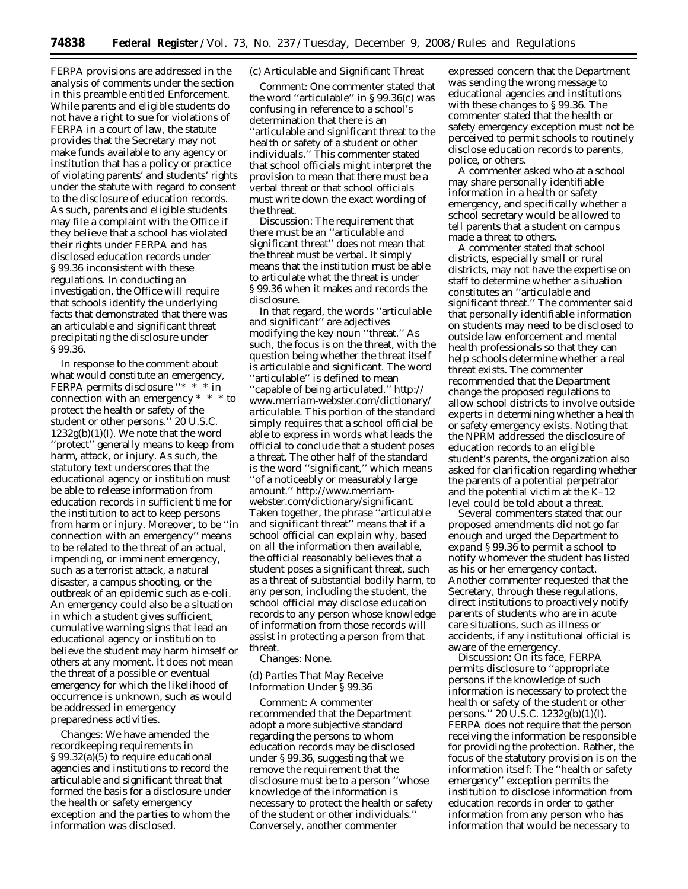FERPA provisions are addressed in the analysis of comments under the section in this preamble entitled *Enforcement.*  While parents and eligible students do not have a right to sue for violations of FERPA in a court of law, the statute provides that the Secretary may not make funds available to any agency or institution that has a policy or practice of violating parents' and students' rights under the statute with regard to consent to the disclosure of education records. As such, parents and eligible students may file a complaint with the Office if they believe that a school has violated their rights under FERPA and has disclosed education records under § 99.36 inconsistent with these regulations. In conducting an investigation, the Office will require that schools identify the underlying facts that demonstrated that there was an articulable and significant threat precipitating the disclosure under § 99.36.

In response to the comment about what would constitute an emergency, FERPA permits disclosure "\* \* \* in connection with an emergency \* \* \* to protect the health or safety of the student or other persons.'' 20 U.S.C.  $1232g(b)(1)(I)$ . We note that the word ''protect'' generally means to keep from harm, attack, or injury. As such, the statutory text underscores that the educational agency or institution must be able to release information from education records in sufficient time for the institution to act to keep persons from harm or injury. Moreover, to be ''in connection with an emergency'' means to be related to the threat of an actual, impending, or imminent emergency, such as a terrorist attack, a natural disaster, a campus shooting, or the outbreak of an epidemic such as e-coli. An emergency could also be a situation in which a student gives sufficient, cumulative warning signs that lead an educational agency or institution to believe the student may harm himself or others at any moment. It does not mean the threat of a possible or eventual emergency for which the likelihood of occurrence is unknown, such as would be addressed in emergency preparedness activities.

*Changes:* We have amended the recordkeeping requirements in § 99.32(a)(5) to require educational agencies and institutions to record the articulable and significant threat that formed the basis for a disclosure under the health or safety emergency exception and the parties to whom the information was disclosed.

# *(c) Articulable and Significant Threat*

*Comment:* One commenter stated that the word ''articulable'' in § 99.36(c) was confusing in reference to a school's determination that there is an ''articulable and significant threat to the health or safety of a student or other individuals.'' This commenter stated that school officials might interpret the provision to mean that there must be a verbal threat or that school officials must write down the exact wording of the threat.

*Discussion:* The requirement that there must be an ''articulable and significant threat'' does not mean that the threat must be verbal. It simply means that the institution must be able to articulate what the threat is under § 99.36 when it makes and records the disclosure.

In that regard, the words ''articulable and significant'' are adjectives modifying the key noun ''threat.'' As such, the focus is on the threat, with the question being whether the threat itself is articulable and significant. The word ''articulable'' is defined to mean ''capable of being articulated.'' *http:// www.merriam-webster.com/dictionary/ articulable.* This portion of the standard simply requires that a school official be able to express in words what leads the official to conclude that a student poses a threat. The other half of the standard is the word ''significant,'' which means ''of a noticeably or measurably large amount.'' *http://www.merriamwebster.com/dictionary/significant.*  Taken together, the phrase ''articulable and significant threat'' means that if a school official can explain why, based on all the information then available, the official reasonably believes that a student poses a significant threat, such as a threat of substantial bodily harm, to any person, including the student, the school official may disclose education records to any person whose knowledge of information from those records will assist in protecting a person from that threat.

*Changes:* None.

## *(d) Parties That May Receive Information Under § 99.36*

*Comment:* A commenter recommended that the Department adopt a more subjective standard regarding the persons to whom education records may be disclosed under § 99.36, suggesting that we remove the requirement that the disclosure must be to a person ''whose knowledge of the information is necessary to protect the health or safety of the student or other individuals.'' Conversely, another commenter

expressed concern that the Department was sending the wrong message to educational agencies and institutions with these changes to § 99.36. The commenter stated that the health or safety emergency exception must not be perceived to permit schools to routinely disclose education records to parents, police, or others.

A commenter asked who at a school may share personally identifiable information in a health or safety emergency, and specifically whether a school secretary would be allowed to tell parents that a student on campus made a threat to others.

A commenter stated that school districts, especially small or rural districts, may not have the expertise on staff to determine whether a situation constitutes an ''articulable and significant threat.'' The commenter said that personally identifiable information on students may need to be disclosed to outside law enforcement and mental health professionals so that they can help schools determine whether a real threat exists. The commenter recommended that the Department change the proposed regulations to allow school districts to involve outside experts in determining whether a health or safety emergency exists. Noting that the NPRM addressed the disclosure of education records to an eligible student's parents, the organization also asked for clarification regarding whether the parents of a potential perpetrator and the potential victim at the K–12 level could be told about a threat.

Several commenters stated that our proposed amendments did not go far enough and urged the Department to expand § 99.36 to permit a school to notify whomever the student has listed as his or her emergency contact. Another commenter requested that the Secretary, through these regulations, direct institutions to proactively notify parents of students who are in acute care situations, such as illness or accidents, if any institutional official is aware of the emergency.

*Discussion:* On its face, FERPA permits disclosure to ''appropriate persons if the knowledge of such information is necessary to protect the health or safety of the student or other persons.'' 20 U.S.C. 1232g(b)(1)(I). FERPA does not require that the person receiving the information be responsible for providing the protection. Rather, the focus of the statutory provision is on the information itself: The ''health or safety emergency'' exception permits the institution to disclose information from education records in order to gather information from any person who has information that would be necessary to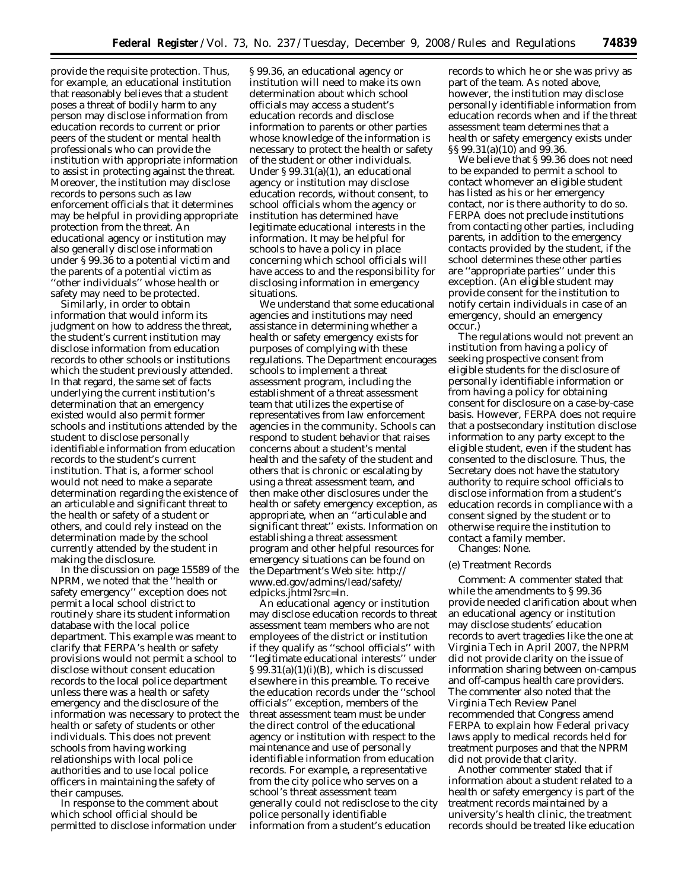provide the requisite protection. Thus, for example, an educational institution that reasonably believes that a student poses a threat of bodily harm to any person may disclose information from education records to current or prior peers of the student or mental health professionals who can provide the institution with appropriate information to assist in protecting against the threat. Moreover, the institution may disclose records to persons such as law enforcement officials that it determines may be helpful in providing appropriate protection from the threat. An educational agency or institution may also generally disclose information under § 99.36 to a potential victim and the parents of a potential victim as ''other individuals'' whose health or safety may need to be protected.

Similarly, in order to obtain information that would inform its judgment on how to address the threat, the student's current institution may disclose information from education records to other schools or institutions which the student previously attended. In that regard, the same set of facts underlying the current institution's determination that an emergency existed would also permit former schools and institutions attended by the student to disclose personally identifiable information from education records to the student's current institution. That is, a former school would not need to make a separate determination regarding the existence of an articulable and significant threat to the health or safety of a student or others, and could rely instead on the determination made by the school currently attended by the student in making the disclosure.

In the discussion on page 15589 of the NPRM, we noted that the ''health or safety emergency'' exception does not permit a local school district to routinely share its student information database with the local police department. This example was meant to clarify that FERPA's health or safety provisions would not permit a school to disclose without consent education records to the local police department unless there was a health or safety emergency and the disclosure of the information was necessary to protect the health or safety of students or other individuals. This does not prevent schools from having working relationships with local police authorities and to use local police officers in maintaining the safety of their campuses.

In response to the comment about which school official should be permitted to disclose information under

§ 99.36, an educational agency or institution will need to make its own determination about which school officials may access a student's education records and disclose information to parents or other parties whose knowledge of the information is necessary to protect the health or safety of the student or other individuals. Under § 99.31(a)(1), an educational agency or institution may disclose education records, without consent, to school officials whom the agency or institution has determined have legitimate educational interests in the information. It may be helpful for schools to have a policy in place concerning which school officials will have access to and the responsibility for disclosing information in emergency situations.

We understand that some educational agencies and institutions may need assistance in determining whether a health or safety emergency exists for purposes of complying with these regulations. The Department encourages schools to implement a threat assessment program, including the establishment of a threat assessment team that utilizes the expertise of representatives from law enforcement agencies in the community. Schools can respond to student behavior that raises concerns about a student's mental health and the safety of the student and others that is chronic or escalating by using a threat assessment team, and then make other disclosures under the health or safety emergency exception, as appropriate, when an ''articulable and significant threat'' exists. Information on establishing a threat assessment program and other helpful resources for emergency situations can be found on the Department's Web site: *http:// www.ed.gov/admins/lead/safety/ edpicks.jhtml?src=ln.* 

An educational agency or institution may disclose education records to threat assessment team members who are not employees of the district or institution if they qualify as ''school officials'' with ''legitimate educational interests'' under  $\S 99.31(a)(1)(i)(B)$ , which is discussed elsewhere in this preamble. To receive the education records under the ''school officials'' exception, members of the threat assessment team must be under the direct control of the educational agency or institution with respect to the maintenance and use of personally identifiable information from education records. For example, a representative from the city police who serves on a school's threat assessment team generally could not redisclose to the city police personally identifiable information from a student's education

records to which he or she was privy as part of the team. As noted above, however, the institution may disclose personally identifiable information from education records when and if the threat assessment team determines that a health or safety emergency exists under §§ 99.31(a)(10) and 99.36.

We believe that § 99.36 does not need to be expanded to permit a school to contact whomever an eligible student has listed as his or her emergency contact, nor is there authority to do so. FERPA does not preclude institutions from contacting other parties, including parents, in addition to the emergency contacts provided by the student, if the school determines these other parties are ''appropriate parties'' under this exception. (An eligible student may provide consent for the institution to notify certain individuals in case of an emergency, should an emergency occur.)

The regulations would not prevent an institution from having a policy of seeking prospective consent from eligible students for the disclosure of personally identifiable information or from having a policy for obtaining consent for disclosure on a case-by-case basis. However, FERPA does not require that a postsecondary institution disclose information to any party except to the eligible student, even if the student has consented to the disclosure. Thus, the Secretary does not have the statutory authority to require school officials to disclose information from a student's education records in compliance with a consent signed by the student or to otherwise require the institution to contact a family member.

*Changes:* None.

#### *(e) Treatment Records*

*Comment:* A commenter stated that while the amendments to § 99.36 provide needed clarification about when an educational agency or institution may disclose students' education records to avert tragedies like the one at Virginia Tech in April 2007, the NPRM did not provide clarity on the issue of information sharing between on-campus and off-campus health care providers. The commenter also noted that the Virginia Tech Review Panel recommended that Congress amend FERPA to explain how Federal privacy laws apply to medical records held for treatment purposes and that the NPRM did not provide that clarity.

Another commenter stated that if information about a student related to a health or safety emergency is part of the treatment records maintained by a university's health clinic, the treatment records should be treated like education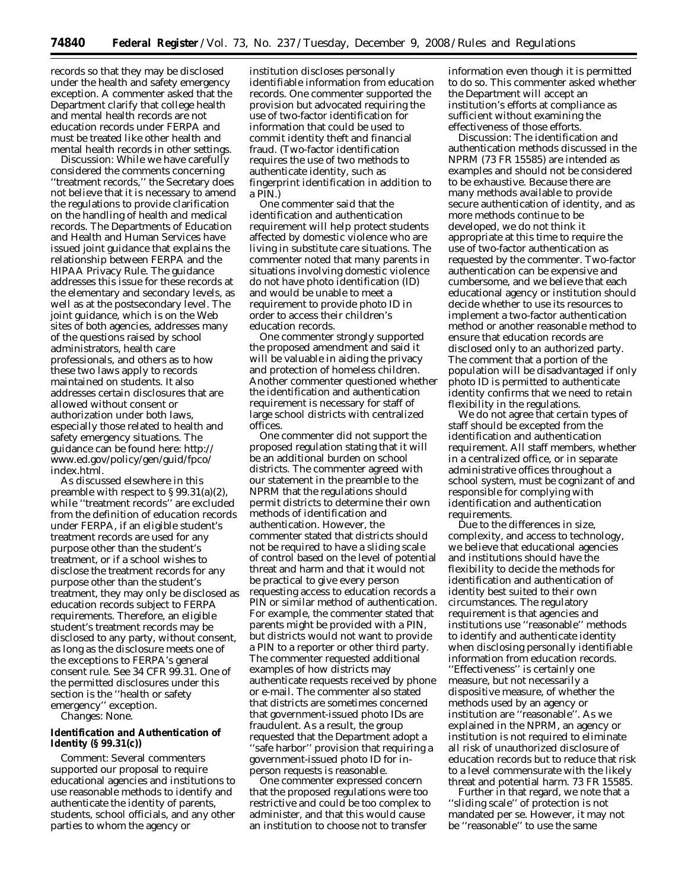records so that they may be disclosed under the health and safety emergency exception. A commenter asked that the Department clarify that college health and mental health records are not education records under FERPA and must be treated like other health and mental health records in other settings.

*Discussion:* While we have carefully considered the comments concerning ''treatment records,'' the Secretary does not believe that it is necessary to amend the regulations to provide clarification on the handling of health and medical records. The Departments of Education and Health and Human Services have issued joint guidance that explains the relationship between FERPA and the HIPAA Privacy Rule. The guidance addresses this issue for these records at the elementary and secondary levels, as well as at the postsecondary level. The joint guidance, which is on the Web sites of both agencies, addresses many of the questions raised by school administrators, health care professionals, and others as to how these two laws apply to records maintained on students. It also addresses certain disclosures that are allowed without consent or authorization under both laws, especially those related to health and safety emergency situations. The guidance can be found here: *http:// www.ed.gov/policy/gen/guid/fpco/ index.html.* 

As discussed elsewhere in this preamble with respect to § 99.31(a)(2), while ''treatment records'' are excluded from the definition of *education records*  under FERPA, if an eligible student's treatment records are used for any purpose other than the student's treatment, or if a school wishes to disclose the treatment records for any purpose other than the student's treatment, they may only be disclosed as education records subject to FERPA requirements. Therefore, an eligible student's treatment records may be disclosed to any party, without consent, as long as the disclosure meets one of the exceptions to FERPA's general consent rule. *See* 34 CFR 99.31. One of the permitted disclosures under this section is the ''health or safety emergency'' exception.

*Changes:* None.

# **Identification and Authentication of Identity (§ 99.31(c))**

*Comment:* Several commenters supported our proposal to require educational agencies and institutions to use reasonable methods to identify and authenticate the identity of parents, students, school officials, and any other parties to whom the agency or

institution discloses personally identifiable information from education records. One commenter supported the provision but advocated requiring the use of two-factor identification for information that could be used to commit identity theft and financial fraud. (Two-factor identification requires the use of two methods to authenticate identity, such as fingerprint identification in addition to a PIN.)

One commenter said that the identification and authentication requirement will help protect students affected by domestic violence who are living in substitute care situations. The commenter noted that many parents in situations involving domestic violence do not have photo identification (ID) and would be unable to meet a requirement to provide photo ID in order to access their children's education records.

One commenter strongly supported the proposed amendment and said it will be valuable in aiding the privacy and protection of homeless children. Another commenter questioned whether the identification and authentication requirement is necessary for staff of large school districts with centralized offices.

One commenter did not support the proposed regulation stating that it will be an additional burden on school districts. The commenter agreed with our statement in the preamble to the NPRM that the regulations should permit districts to determine their own methods of identification and authentication. However, the commenter stated that districts should not be required to have a sliding scale of control based on the level of potential threat and harm and that it would not be practical to give every person requesting access to education records a PIN or similar method of authentication. For example, the commenter stated that parents might be provided with a PIN, but districts would not want to provide a PIN to a reporter or other third party. The commenter requested additional examples of how districts may authenticate requests received by phone or e-mail. The commenter also stated that districts are sometimes concerned that government-issued photo IDs are fraudulent. As a result, the group requested that the Department adopt a ''safe harbor'' provision that requiring a government-issued photo ID for inperson requests is reasonable.

One commenter expressed concern that the proposed regulations were too restrictive and could be too complex to administer, and that this would cause an institution to choose not to transfer

information even though it is permitted to do so. This commenter asked whether the Department will accept an institution's efforts at compliance as sufficient without examining the effectiveness of those efforts.

*Discussion:* The identification and authentication methods discussed in the NPRM (73 FR 15585) are intended as examples and should not be considered to be exhaustive. Because there are many methods available to provide secure authentication of identity, and as more methods continue to be developed, we do not think it appropriate at this time to require the use of two-factor authentication as requested by the commenter. Two-factor authentication can be expensive and cumbersome, and we believe that each educational agency or institution should decide whether to use its resources to implement a two-factor authentication method or another reasonable method to ensure that education records are disclosed only to an authorized party. The comment that a portion of the population will be disadvantaged if only photo ID is permitted to authenticate identity confirms that we need to retain flexibility in the regulations.

We do not agree that certain types of staff should be excepted from the identification and authentication requirement. All staff members, whether in a centralized office, or in separate administrative offices throughout a school system, must be cognizant of and responsible for complying with identification and authentication requirements.

Due to the differences in size, complexity, and access to technology, we believe that educational agencies and institutions should have the flexibility to decide the methods for identification and authentication of identity best suited to their own circumstances. The regulatory requirement is that agencies and institutions use ''reasonable'' methods to identify and authenticate identity when disclosing personally identifiable information from education records. ''Effectiveness'' is certainly one measure, but not necessarily a dispositive measure, of whether the methods used by an agency or institution are ''reasonable''. As we explained in the NPRM, an agency or institution is not required to eliminate all risk of unauthorized disclosure of education records but to reduce that risk to a level commensurate with the likely threat and potential harm. 73 FR 15585.

Further in that regard, we note that a ''sliding scale'' of protection is not mandated *per se.* However, it may not be ''reasonable'' to use the same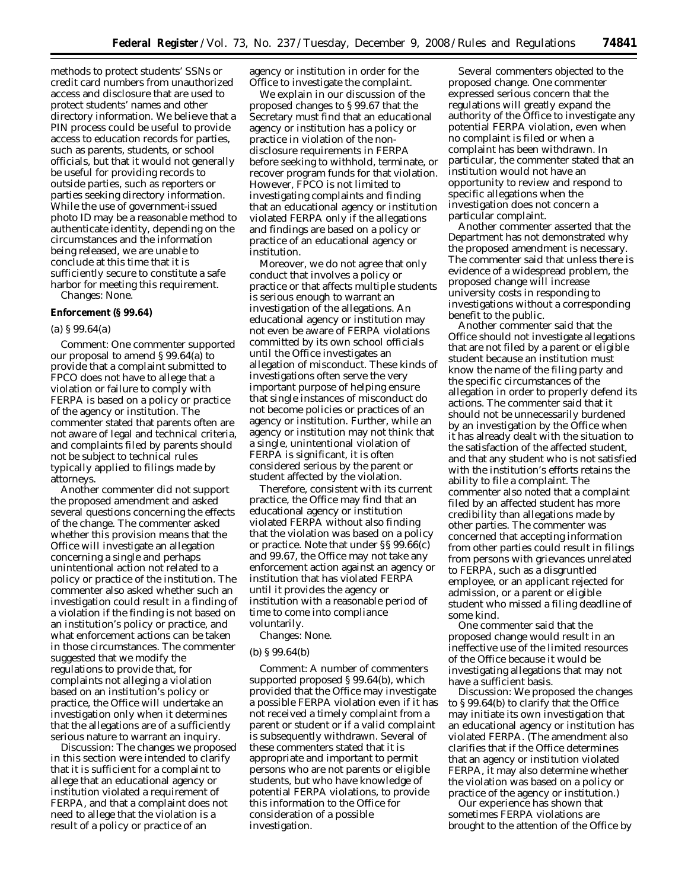methods to protect students' SSNs or credit card numbers from unauthorized access and disclosure that are used to protect students' names and other directory information. We believe that a PIN process could be useful to provide access to education records for parties, such as parents, students, or school officials, but that it would not generally be useful for providing records to outside parties, such as reporters or parties seeking directory information. While the use of government-issued photo ID may be a reasonable method to authenticate identity, depending on the circumstances and the information being released, we are unable to conclude at this time that it is sufficiently secure to constitute a safe harbor for meeting this requirement. *Changes:* None.

### **Enforcement (§ 99.64)**

# *(a) § 99.64(a)*

*Comment:* One commenter supported our proposal to amend § 99.64(a) to provide that a complaint submitted to FPCO does not have to allege that a violation or failure to comply with FERPA is based on a policy or practice of the agency or institution. The commenter stated that parents often are not aware of legal and technical criteria, and complaints filed by parents should not be subject to technical rules typically applied to filings made by attorneys.

Another commenter did not support the proposed amendment and asked several questions concerning the effects of the change. The commenter asked whether this provision means that the Office will investigate an allegation concerning a single and perhaps unintentional action not related to a policy or practice of the institution. The commenter also asked whether such an investigation could result in a finding of a violation if the finding is not based on an institution's policy or practice, and what enforcement actions can be taken in those circumstances. The commenter suggested that we modify the regulations to provide that, for complaints not alleging a violation based on an institution's policy or practice, the Office will undertake an investigation only when it determines that the allegations are of a sufficiently serious nature to warrant an inquiry.

*Discussion:* The changes we proposed in this section were intended to clarify that it is sufficient for a complaint to allege that an educational agency or institution violated a requirement of FERPA, and that a complaint does not need to allege that the violation is a result of a policy or practice of an

agency or institution in order for the Office to investigate the complaint.

We explain in our discussion of the proposed changes to § 99.67 that the Secretary must find that an educational agency or institution has a policy or practice in violation of the nondisclosure requirements in FERPA before seeking to withhold, terminate, or recover program funds for that violation. However, FPCO is not limited to investigating complaints and finding that an educational agency or institution violated FERPA only if the allegations and findings are based on a policy or practice of an educational agency or institution.

Moreover, we do not agree that only conduct that involves a policy or practice or that affects multiple students is serious enough to warrant an investigation of the allegations. An educational agency or institution may not even be aware of FERPA violations committed by its own school officials until the Office investigates an allegation of misconduct. These kinds of investigations often serve the very important purpose of helping ensure that single instances of misconduct do not become policies or practices of an agency or institution. Further, while an agency or institution may not think that a single, unintentional violation of FERPA is significant, it is often considered serious by the parent or student affected by the violation.

Therefore, consistent with its current practice, the Office may find that an educational agency or institution violated FERPA without also finding that the violation was based on a policy or practice. Note that under §§ 99.66(c) and 99.67, the Office may not take any enforcement action against an agency or institution that has violated FERPA until it provides the agency or institution with a reasonable period of time to come into compliance voluntarily.

*Changes:* None.

# *(b) § 99.64(b)*

*Comment:* A number of commenters supported proposed § 99.64(b), which provided that the Office may investigate a possible FERPA violation even if it has not received a timely complaint from a parent or student or if a valid complaint is subsequently withdrawn. Several of these commenters stated that it is appropriate and important to permit persons who are not parents or eligible students, but who have knowledge of potential FERPA violations, to provide this information to the Office for consideration of a possible investigation.

Several commenters objected to the proposed change. One commenter expressed serious concern that the regulations will greatly expand the authority of the Office to investigate any potential FERPA violation, even when no complaint is filed or when a complaint has been withdrawn. In particular, the commenter stated that an institution would not have an opportunity to review and respond to specific allegations when the investigation does not concern a particular complaint.

Another commenter asserted that the Department has not demonstrated why the proposed amendment is necessary. The commenter said that unless there is evidence of a widespread problem, the proposed change will increase university costs in responding to investigations without a corresponding benefit to the public.

Another commenter said that the Office should not investigate allegations that are not filed by a parent or eligible student because an institution must know the name of the filing party and the specific circumstances of the allegation in order to properly defend its actions. The commenter said that it should not be unnecessarily burdened by an investigation by the Office when it has already dealt with the situation to the satisfaction of the affected student, and that any student who is not satisfied with the institution's efforts retains the ability to file a complaint. The commenter also noted that a complaint filed by an affected student has more credibility than allegations made by other parties. The commenter was concerned that accepting information from other parties could result in filings from persons with grievances unrelated to FERPA, such as a disgruntled employee, or an applicant rejected for admission, or a parent or eligible student who missed a filing deadline of some kind.

One commenter said that the proposed change would result in an ineffective use of the limited resources of the Office because it would be investigating allegations that may not have a sufficient basis.

*Discussion:* We proposed the changes to § 99.64(b) to clarify that the Office may initiate its own investigation that an educational agency or institution has violated FERPA. (The amendment also clarifies that if the Office determines that an agency or institution violated FERPA, it may also determine whether the violation was based on a policy or practice of the agency or institution.)

Our experience has shown that sometimes FERPA violations are brought to the attention of the Office by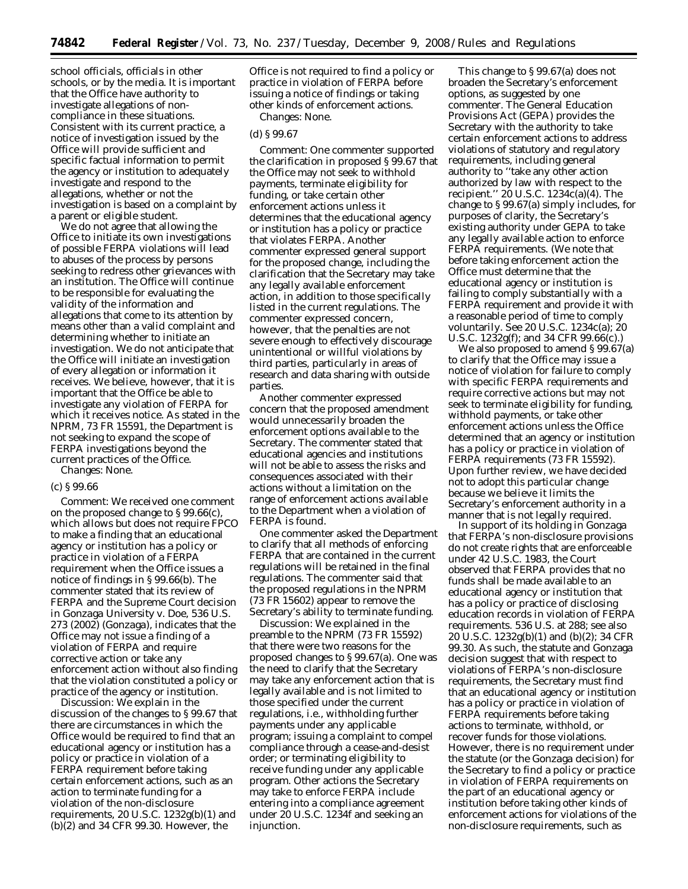school officials, officials in other schools, or by the media. It is important that the Office have authority to investigate allegations of noncompliance in these situations. Consistent with its current practice, a notice of investigation issued by the Office will provide sufficient and specific factual information to permit the agency or institution to adequately investigate and respond to the allegations, whether or not the investigation is based on a complaint by a parent or eligible student.

We do not agree that allowing the Office to initiate its own investigations of possible FERPA violations will lead to abuses of the process by persons seeking to redress other grievances with an institution. The Office will continue to be responsible for evaluating the validity of the information and allegations that come to its attention by means other than a valid complaint and determining whether to initiate an investigation. We do not anticipate that the Office will initiate an investigation of every allegation or information it receives. We believe, however, that it is important that the Office be able to investigate any violation of FERPA for which it receives notice. As stated in the NPRM, 73 FR 15591, the Department is not seeking to expand the scope of FERPA investigations beyond the current practices of the Office.

*Changes:* None.

# *(c) § 99.66*

*Comment:* We received one comment on the proposed change to § 99.66(c), which allows but does not require FPCO to make a finding that an educational agency or institution has a policy or practice in violation of a FERPA requirement when the Office issues a notice of findings in § 99.66(b). The commenter stated that its review of FERPA and the Supreme Court decision in *Gonzaga University* v. *Doe,* 536 U.S. 273 (2002) (*Gonzaga*), indicates that the Office may not issue a finding of a violation of FERPA and require corrective action or take any enforcement action without also finding that the violation constituted a policy or practice of the agency or institution.

*Discussion:* We explain in the discussion of the changes to § 99.67 that there are circumstances in which the Office would be required to find that an educational agency or institution has a policy or practice in violation of a FERPA requirement before taking certain enforcement actions, such as an action to terminate funding for a violation of the non-disclosure requirements,  $20$  U.S.C.  $1232g(b)(1)$  and (b)(2) and 34 CFR 99.30. However, the

Office is not required to find a policy or practice in violation of FERPA before issuing a notice of findings or taking other kinds of enforcement actions.

*Changes:* None.

# *(d) § 99.67*

*Comment:* One commenter supported the clarification in proposed § 99.67 that the Office may not seek to withhold payments, terminate eligibility for funding, or take certain other enforcement actions unless it determines that the educational agency or institution has a policy or practice that violates FERPA. Another commenter expressed general support for the proposed change, including the clarification that the Secretary may take any legally available enforcement action, in addition to those specifically listed in the current regulations. The commenter expressed concern, however, that the penalties are not severe enough to effectively discourage unintentional or willful violations by third parties, particularly in areas of research and data sharing with outside parties.

Another commenter expressed concern that the proposed amendment would unnecessarily broaden the enforcement options available to the Secretary. The commenter stated that educational agencies and institutions will not be able to assess the risks and consequences associated with their actions without a limitation on the range of enforcement actions available to the Department when a violation of FERPA is found.

One commenter asked the Department to clarify that all methods of enforcing FERPA that are contained in the current regulations will be retained in the final regulations. The commenter said that the proposed regulations in the NPRM (73 FR 15602) appear to remove the Secretary's ability to terminate funding.

*Discussion:* We explained in the preamble to the NPRM (73 FR 15592) that there were two reasons for the proposed changes to § 99.67(a). One was the need to clarify that the Secretary may take any enforcement action that is legally available and is not limited to those specified under the current regulations, *i.e.*, withholding further payments under any applicable program; issuing a complaint to compel compliance through a cease-and-desist order; or terminating eligibility to receive funding under any applicable program. Other actions the Secretary may take to enforce FERPA include entering into a compliance agreement under 20 U.S.C. 1234f and seeking an injunction.

This change to § 99.67(a) does not broaden the Secretary's enforcement options, as suggested by one commenter. The General Education Provisions Act (GEPA) provides the Secretary with the authority to take certain enforcement actions to address violations of statutory and regulatory requirements, including general authority to ''take any other action authorized by law with respect to the recipient.'' 20 U.S.C. 1234c(a)(4). The change to § 99.67(a) simply includes, for purposes of clarity, the Secretary's existing authority under GEPA to take any legally available action to enforce FERPA requirements. (We note that before taking enforcement action the Office must determine that the educational agency or institution is failing to comply substantially with a FERPA requirement and provide it with a reasonable period of time to comply voluntarily. See 20 U.S.C. 1234c(a); 20 U.S.C. 1232g(f); and 34 CFR 99.66(c).)

We also proposed to amend § 99.67(a) to clarify that the Office may issue a notice of violation for failure to comply with specific FERPA requirements and require corrective actions but may not seek to terminate eligibility for funding, withhold payments, or take other enforcement actions unless the Office determined that an agency or institution has a policy or practice in violation of FERPA requirements (73 FR 15592). Upon further review, we have decided not to adopt this particular change because we believe it limits the Secretary's enforcement authority in a manner that is not legally required.

In support of its holding in *Gonzaga*  that FERPA's non-disclosure provisions do not create rights that are enforceable under 42 U.S.C. 1983, the Court observed that FERPA provides that no funds shall be made available to an educational agency or institution that has a policy or practice of disclosing education records in violation of FERPA requirements. 536 U.S. at 288; see also 20 U.S.C. 1232g(b)(1) and (b)(2); 34 CFR 99.30. As such, the statute and Gonzaga decision suggest that with respect to violations of FERPA's non-disclosure requirements, the Secretary must find that an educational agency or institution has a policy or practice in violation of FERPA requirements before taking actions to terminate, withhold, or recover funds for those violations. However, there is no requirement under the statute (or the *Gonzaga* decision) for the Secretary to find a policy or practice in violation of FERPA requirements on the part of an educational agency or institution before taking other kinds of enforcement actions for violations of the non-disclosure requirements, such as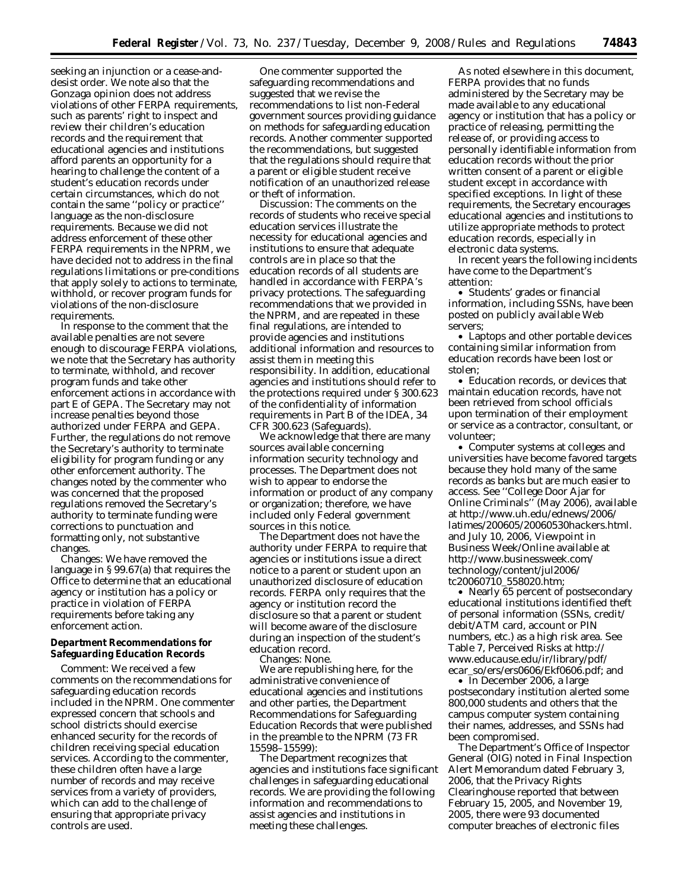seeking an injunction or a cease-anddesist order. We note also that the *Gonzaga* opinion does not address violations of other FERPA requirements, such as parents' right to inspect and review their children's education records and the requirement that educational agencies and institutions afford parents an opportunity for a hearing to challenge the content of a student's education records under certain circumstances, which do not contain the same ''policy or practice'' language as the non-disclosure requirements. Because we did not address enforcement of these other FERPA requirements in the NPRM, we have decided not to address in the final regulations limitations or pre-conditions that apply solely to actions to terminate, withhold, or recover program funds for violations of the non-disclosure requirements.

In response to the comment that the available penalties are not severe enough to discourage FERPA violations, we note that the Secretary has authority to terminate, withhold, and recover program funds and take other enforcement actions in accordance with part E of GEPA. The Secretary may not increase penalties beyond those authorized under FERPA and GEPA. Further, the regulations do not remove the Secretary's authority to terminate eligibility for program funding or any other enforcement authority. The changes noted by the commenter who was concerned that the proposed regulations removed the Secretary's authority to terminate funding were corrections to punctuation and formatting only, not substantive changes.

*Changes:* We have removed the language in § 99.67(a) that requires the Office to determine that an educational agency or institution has a policy or practice in violation of FERPA requirements before taking any enforcement action.

## **Department Recommendations for Safeguarding Education Records**

*Comment:* We received a few comments on the recommendations for safeguarding education records included in the NPRM. One commenter expressed concern that schools and school districts should exercise enhanced security for the records of children receiving special education services. According to the commenter, these children often have a large number of records and may receive services from a variety of providers, which can add to the challenge of ensuring that appropriate privacy controls are used.

One commenter supported the safeguarding recommendations and suggested that we revise the recommendations to list non-Federal government sources providing guidance on methods for safeguarding education records. Another commenter supported the recommendations, but suggested that the regulations should require that a parent or eligible student receive notification of an unauthorized release or theft of information.

*Discussion:* The comments on the records of students who receive special education services illustrate the necessity for educational agencies and institutions to ensure that adequate controls are in place so that the education records of all students are handled in accordance with FERPA's privacy protections. The safeguarding recommendations that we provided in the NPRM, and are repeated in these final regulations, are intended to provide agencies and institutions additional information and resources to assist them in meeting this responsibility. In addition, educational agencies and institutions should refer to the protections required under § 300.623 of the confidentiality of information requirements in Part B of the IDEA, 34 CFR 300.623 (Safeguards).

We acknowledge that there are many sources available concerning information security technology and processes. The Department does not wish to appear to endorse the information or product of any company or organization; therefore, we have included only Federal government sources in this notice.

The Department does not have the authority under FERPA to require that agencies or institutions issue a direct notice to a parent or student upon an unauthorized disclosure of education records. FERPA only requires that the agency or institution record the disclosure so that a parent or student will become aware of the disclosure during an inspection of the student's education record.

*Changes:* None.

We are republishing here, for the administrative convenience of educational agencies and institutions and other parties, the *Department Recommendations for Safeguarding Education Records* that were published in the preamble to the NPRM (73 FR 15598–15599):

The Department recognizes that agencies and institutions face significant challenges in safeguarding educational records. We are providing the following information and recommendations to assist agencies and institutions in meeting these challenges.

As noted elsewhere in this document, FERPA provides that no funds administered by the Secretary may be made available to any educational agency or institution that has a policy or practice of releasing, permitting the release of, or providing access to personally identifiable information from education records without the prior written consent of a parent or eligible student except in accordance with specified exceptions. In light of these requirements, the Secretary encourages educational agencies and institutions to utilize appropriate methods to protect education records, especially in electronic data systems.

In recent years the following incidents have come to the Department's attention:

• Students' grades or financial information, including SSNs, have been posted on publicly available Web servers;

• Laptops and other portable devices containing similar information from education records have been lost or stolen;

• Education records, or devices that maintain education records, have not been retrieved from school officials upon termination of their employment or service as a contractor, consultant, or volunteer;

• Computer systems at colleges and universities have become favored targets because they hold many of the same records as banks but are much easier to access. See ''College Door Ajar for Online Criminals'' (May 2006), available at *http://www.uh.edu/ednews/2006/ latimes/200605/20060530hackers.html.*  and July 10, 2006, Viewpoint in Business Week/Online available at *http://www.businessweek.com/ technology/content/jul2006/ tc20060710*\_*558020.htm*;

• Nearly 65 percent of postsecondary educational institutions identified theft of personal information (SSNs, credit/ debit/ATM card, account or PIN numbers, etc.) as a high risk area. See Table 7, Perceived Risks at *http:// www.educause.edu/ir/library/pdf/ ecar*\_*so/ers/ers0606/Ekf0606.pdf;* and

• In December 2006, a large postsecondary institution alerted some 800,000 students and others that the campus computer system containing their names, addresses, and SSNs had been compromised.

The Department's Office of Inspector General (OIG) noted in Final Inspection Alert Memorandum dated February 3, 2006, that the Privacy Rights Clearinghouse reported that between February 15, 2005, and November 19, 2005, there were 93 documented computer breaches of electronic files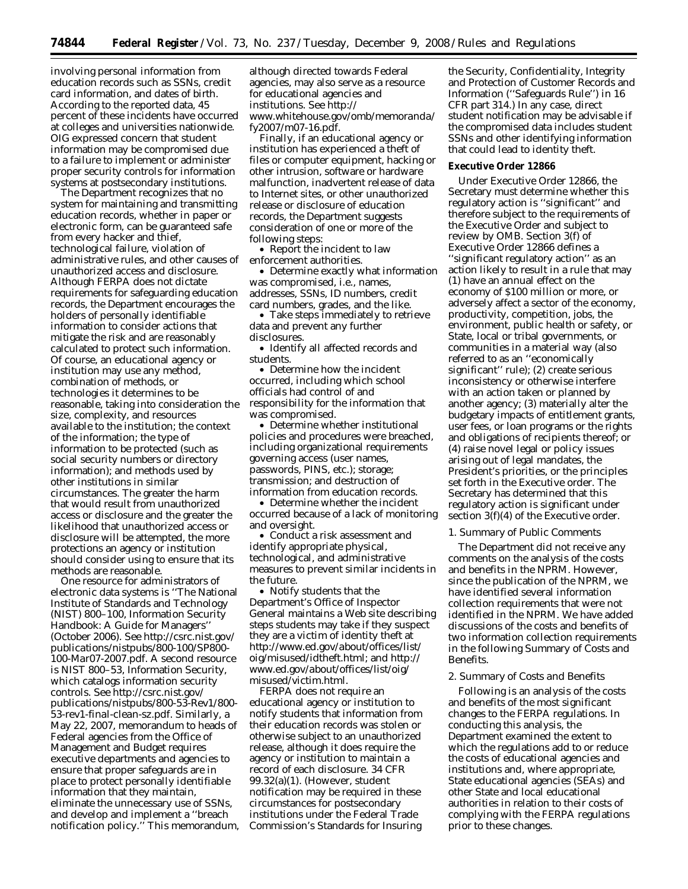involving personal information from education records such as SSNs, credit card information, and dates of birth. According to the reported data, 45 percent of these incidents have occurred at colleges and universities nationwide. OIG expressed concern that student information may be compromised due to a failure to implement or administer proper security controls for information systems at postsecondary institutions.

The Department recognizes that no system for maintaining and transmitting education records, whether in paper or electronic form, can be guaranteed safe from every hacker and thief, technological failure, violation of administrative rules, and other causes of unauthorized access and disclosure. Although FERPA does not dictate requirements for safeguarding education records, the Department encourages the holders of personally identifiable information to consider actions that mitigate the risk and are reasonably calculated to protect such information. Of course, an educational agency or institution may use any method, combination of methods, or technologies it determines to be reasonable, taking into consideration the size, complexity, and resources available to the institution; the context of the information; the type of information to be protected (such as social security numbers or directory information); and methods used by other institutions in similar circumstances. The greater the harm that would result from unauthorized access or disclosure and the greater the likelihood that unauthorized access or disclosure will be attempted, the more protections an agency or institution should consider using to ensure that its methods are reasonable.

One resource for administrators of electronic data systems is ''The National Institute of Standards and Technology (NIST) 800–100, Information Security Handbook: A Guide for Managers'' (October 2006). *See http://csrc.nist.gov/ publications/nistpubs/800-100/SP800- 100-Mar07-2007.pdf.* A second resource is NIST 800–53, Information Security, which catalogs information security controls. *See http://csrc.nist.gov/ publications/nistpubs/800-53-Rev1/800- 53-rev1-final-clean-sz.pdf.* Similarly, a May 22, 2007, memorandum to heads of Federal agencies from the Office of Management and Budget requires executive departments and agencies to ensure that proper safeguards are in place to protect personally identifiable information that they maintain, eliminate the unnecessary use of SSNs, and develop and implement a ''breach notification policy.'' This memorandum, although directed towards Federal agencies, may also serve as a resource for educational agencies and institutions. *See http:// www.whitehouse.gov/omb/memoranda/ fy2007/m07-16.pdf.* 

Finally, if an educational agency or institution has experienced a theft of files or computer equipment, hacking or other intrusion, software or hardware malfunction, inadvertent release of data to Internet sites, or other unauthorized release or disclosure of education records, the Department suggests consideration of one or more of the following steps:

• Report the incident to law enforcement authorities.

• Determine exactly what information was compromised, *i.e.*, names, addresses, SSNs, ID numbers, credit card numbers, grades, and the like.

• Take steps immediately to retrieve data and prevent any further disclosures.

• Identify all affected records and students.

• Determine how the incident occurred, including which school officials had control of and responsibility for the information that was compromised.

• Determine whether institutional policies and procedures were breached, including organizational requirements governing access (user names, passwords, PINS, etc.); storage; transmission; and destruction of information from education records.

• Determine whether the incident occurred because of a lack of monitoring and oversight.

• Conduct a risk assessment and identify appropriate physical, technological, and administrative measures to prevent similar incidents in the future.

• Notify students that the Department's Office of Inspector General maintains a Web site describing steps students may take if they suspect they are a victim of identity theft at *http://www.ed.gov/about/offices/list/ oig/misused/idtheft.html;* and *http:// www.ed.gov/about/offices/list/oig/ misused/victim.html.* 

FERPA does not require an educational agency or institution to notify students that information from their education records was stolen or otherwise subject to an unauthorized release, although it does require the agency or institution to maintain a record of each disclosure. 34 CFR 99.32(a)(1). (However, student notification may be required in these circumstances for postsecondary institutions under the Federal Trade Commission's Standards for Insuring

the Security, Confidentiality, Integrity and Protection of Customer Records and Information (''Safeguards Rule'') in 16 CFR part 314.) In any case, direct student notification may be advisable if the compromised data includes student SSNs and other identifying information that could lead to identity theft.

### **Executive Order 12866**

Under Executive Order 12866, the Secretary must determine whether this regulatory action is ''significant'' and therefore subject to the requirements of the Executive Order and subject to review by OMB. Section 3(f) of Executive Order 12866 defines a ''significant regulatory action'' as an action likely to result in a rule that may (1) have an annual effect on the economy of \$100 million or more, or adversely affect a sector of the economy, productivity, competition, jobs, the environment, public health or safety, or State, local or tribal governments, or communities in a material way (also referred to as an ''economically significant'' rule); (2) create serious inconsistency or otherwise interfere with an action taken or planned by another agency; (3) materially alter the budgetary impacts of entitlement grants, user fees, or loan programs or the rights and obligations of recipients thereof; or (4) raise novel legal or policy issues arising out of legal mandates, the President's priorities, or the principles set forth in the Executive order. The Secretary has determined that this regulatory action is significant under section 3(f)(4) of the Executive order.

## *1. Summary of Public Comments*

The Department did not receive any comments on the analysis of the costs and benefits in the NPRM. However, since the publication of the NPRM, we have identified several information collection requirements that were not identified in the NPRM. We have added discussions of the costs and benefits of two information collection requirements in the following Summary of Costs and Benefits.

# *2. Summary of Costs and Benefits*

Following is an analysis of the costs and benefits of the most significant changes to the FERPA regulations. In conducting this analysis, the Department examined the extent to which the regulations add to or reduce the costs of educational agencies and institutions and, where appropriate, State educational agencies (SEAs) and other State and local educational authorities in relation to their costs of complying with the FERPA regulations prior to these changes.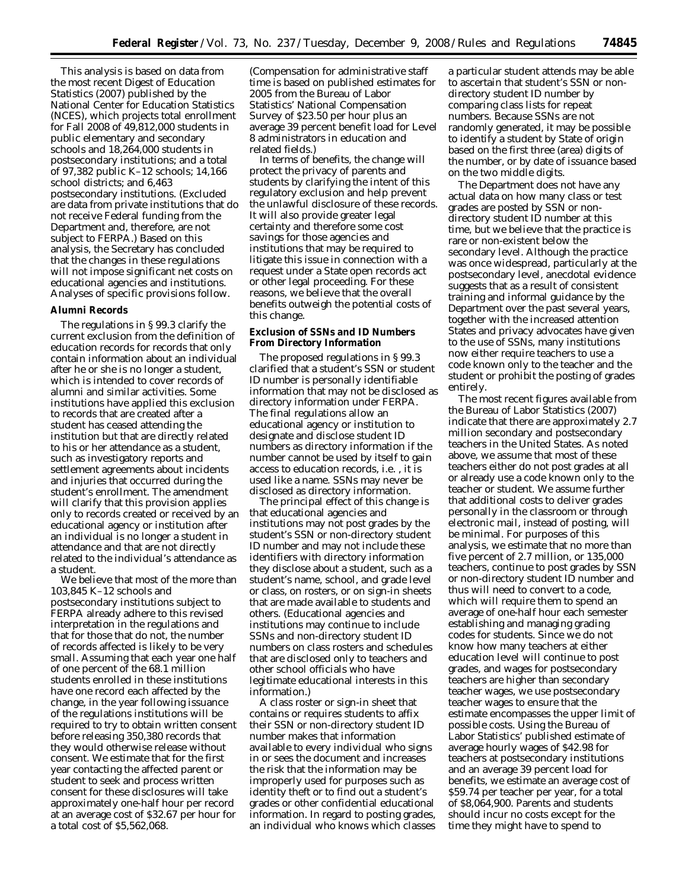This analysis is based on data from the most recent *Digest of Education Statistics* (2007) published by the National Center for Education Statistics (NCES), which projects total enrollment for Fall 2008 of 49,812,000 students in public elementary and secondary schools and 18,264,000 students in postsecondary institutions; and a total of 97,382 public K–12 schools; 14,166 school districts; and 6,463 postsecondary institutions. (Excluded are data from private institutions that do not receive Federal funding from the Department and, therefore, are not subject to FERPA.) Based on this analysis, the Secretary has concluded that the changes in these regulations will not impose significant net costs on educational agencies and institutions. Analyses of specific provisions follow.

### **Alumni Records**

The regulations in § 99.3 clarify the current exclusion from the definition of *education records* for records that only contain information about an individual after he or she is no longer a student, which is intended to cover records of alumni and similar activities. Some institutions have applied this exclusion to records that are created after a student has ceased attending the institution but that are directly related to his or her attendance as a student, such as investigatory reports and settlement agreements about incidents and injuries that occurred during the student's enrollment. The amendment will clarify that this provision applies only to records created or received by an educational agency or institution after an individual is no longer a student in attendance and that are not directly related to the individual's attendance as a student.

We believe that most of the more than 103,845 K–12 schools and postsecondary institutions subject to FERPA already adhere to this revised interpretation in the regulations and that for those that do not, the number of records affected is likely to be very small. Assuming that each year one half of one percent of the 68.1 million students enrolled in these institutions have one record each affected by the change, in the year following issuance of the regulations institutions will be required to try to obtain written consent before releasing 350,380 records that they would otherwise release without consent. We estimate that for the first year contacting the affected parent or student to seek and process written consent for these disclosures will take approximately one-half hour per record at an average cost of \$32.67 per hour for a total cost of \$5,562,068.

(Compensation for administrative staff time is based on published estimates for 2005 from the Bureau of Labor Statistics' National Compensation Survey of \$23.50 per hour plus an average 39 percent benefit load for Level 8 administrators in education and related fields.)

In terms of benefits, the change will protect the privacy of parents and students by clarifying the intent of this regulatory exclusion and help prevent the unlawful disclosure of these records. It will also provide greater legal certainty and therefore some cost savings for those agencies and institutions that may be required to litigate this issue in connection with a request under a State open records act or other legal proceeding. For these reasons, we believe that the overall benefits outweigh the potential costs of this change.

# **Exclusion of SSNs and ID Numbers From Directory Information**

The proposed regulations in § 99.3 clarified that a student's SSN or student ID number is personally identifiable information that may not be disclosed as directory information under FERPA. The final regulations allow an educational agency or institution to designate and disclose student ID numbers as directory information if the number cannot be used by itself to gain access to education records, *i.e.* , it is used like a name. SSNs may never be disclosed as directory information.

The principal effect of this change is that educational agencies and institutions may not post grades by the student's SSN or non-directory student ID number and may not include these identifiers with directory information they disclose about a student, such as a student's name, school, and grade level or class, on rosters, or on sign-in sheets that are made available to students and others. (Educational agencies and institutions may continue to include SSNs and non-directory student ID numbers on class rosters and schedules that are disclosed only to teachers and other school officials who have legitimate educational interests in this information.)

A class roster or sign-in sheet that contains or requires students to affix their SSN or non-directory student ID number makes that information available to every individual who signs in or sees the document and increases the risk that the information may be improperly used for purposes such as identity theft or to find out a student's grades or other confidential educational information. In regard to posting grades, an individual who knows which classes

a particular student attends may be able to ascertain that student's SSN or nondirectory student ID number by comparing class lists for repeat numbers. Because SSNs are not randomly generated, it may be possible to identify a student by State of origin based on the first three (area) digits of the number, or by date of issuance based on the two middle digits.

The Department does not have any actual data on how many class or test grades are posted by SSN or nondirectory student ID number at this time, but we believe that the practice is rare or non-existent below the secondary level. Although the practice was once widespread, particularly at the postsecondary level, anecdotal evidence suggests that as a result of consistent training and informal guidance by the Department over the past several years, together with the increased attention States and privacy advocates have given to the use of SSNs, many institutions now either require teachers to use a code known only to the teacher and the student or prohibit the posting of grades entirely.

The most recent figures available from the Bureau of Labor Statistics (2007) indicate that there are approximately 2.7 million secondary and postsecondary teachers in the United States. As noted above, we assume that most of these teachers either do not post grades at all or already use a code known only to the teacher or student. We assume further that additional costs to deliver grades personally in the classroom or through electronic mail, instead of posting, will be minimal. For purposes of this analysis, we estimate that no more than five percent of 2.7 million, or 135,000 teachers, continue to post grades by SSN or non-directory student ID number and thus will need to convert to a code, which will require them to spend an average of one-half hour each semester establishing and managing grading codes for students. Since we do not know how many teachers at either education level will continue to post grades, and wages for postsecondary teachers are higher than secondary teacher wages, we use postsecondary teacher wages to ensure that the estimate encompasses the upper limit of possible costs. Using the Bureau of Labor Statistics' published estimate of average hourly wages of \$42.98 for teachers at postsecondary institutions and an average 39 percent load for benefits, we estimate an average cost of \$59.74 per teacher per year, for a total of \$8,064,900. Parents and students should incur no costs except for the time they might have to spend to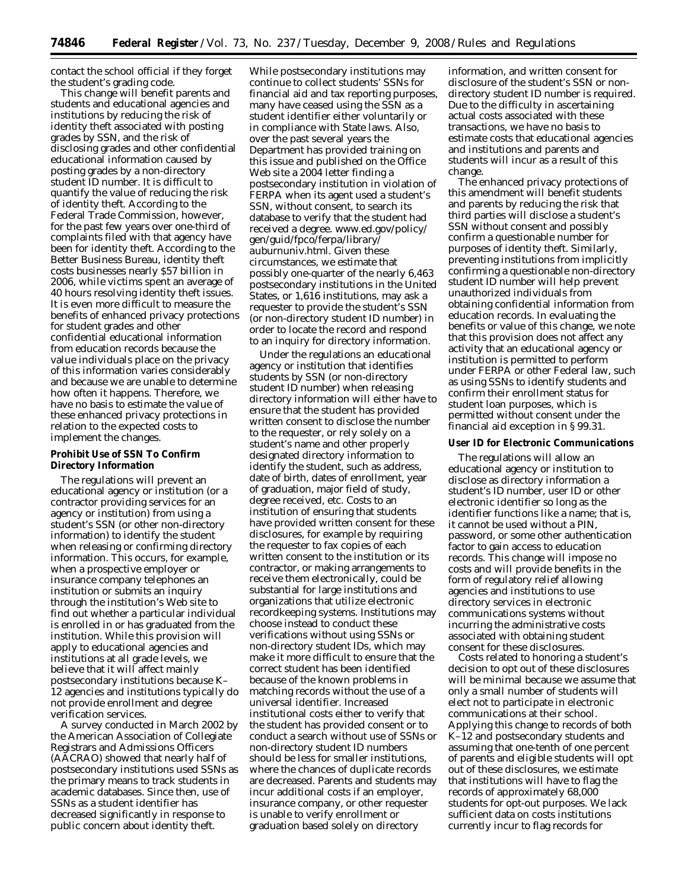contact the school official if they forget the student's grading code.

This change will benefit parents and students and educational agencies and institutions by reducing the risk of identity theft associated with posting grades by SSN, and the risk of disclosing grades and other confidential educational information caused by posting grades by a non-directory student ID number. It is difficult to quantify the value of reducing the risk of identity theft. According to the Federal Trade Commission, however, for the past few years over one-third of complaints filed with that agency have been for identity theft. According to the Better Business Bureau, identity theft costs businesses nearly \$57 billion in 2006, while victims spent an average of 40 hours resolving identity theft issues. It is even more difficult to measure the benefits of enhanced privacy protections for student grades and other confidential educational information from education records because the value individuals place on the privacy of this information varies considerably and because we are unable to determine how often it happens. Therefore, we have no basis to estimate the value of these enhanced privacy protections in relation to the expected costs to implement the changes.

# **Prohibit Use of SSN To Confirm Directory Information**

The regulations will prevent an educational agency or institution (or a contractor providing services for an agency or institution) from using a student's SSN (or other non-directory information) to identify the student when releasing or confirming directory information. This occurs, for example, when a prospective employer or insurance company telephones an institution or submits an inquiry through the institution's Web site to find out whether a particular individual is enrolled in or has graduated from the institution. While this provision will apply to educational agencies and institutions at all grade levels, we believe that it will affect mainly postsecondary institutions because K– 12 agencies and institutions typically do not provide enrollment and degree verification services.

A survey conducted in March 2002 by the American Association of Collegiate Registrars and Admissions Officers (AACRAO) showed that nearly half of postsecondary institutions used SSNs as the primary means to track students in academic databases. Since then, use of SSNs as a student identifier has decreased significantly in response to public concern about identity theft.

While postsecondary institutions may continue to collect students' SSNs for financial aid and tax reporting purposes, many have ceased using the SSN as a student identifier either voluntarily or in compliance with State laws. Also, over the past several years the Department has provided training on this issue and published on the Office Web site a 2004 letter finding a postsecondary institution in violation of FERPA when its agent used a student's SSN, without consent, to search its database to verify that the student had received a degree. *www.ed.gov/policy/ gen/guid/fpco/ferpa/library/ auburnuniv.html.* Given these circumstances, we estimate that possibly one-quarter of the nearly 6,463 postsecondary institutions in the United States, or 1,616 institutions, may ask a requester to provide the student's SSN (or non-directory student ID number) in order to locate the record and respond to an inquiry for directory information.

Under the regulations an educational agency or institution that identifies students by SSN (or non-directory student ID number) when releasing directory information will either have to ensure that the student has provided written consent to disclose the number to the requester, or rely solely on a student's name and other properly designated directory information to identify the student, such as address, date of birth, dates of enrollment, year of graduation, major field of study, degree received, etc. Costs to an institution of ensuring that students have provided written consent for these disclosures, for example by requiring the requester to fax copies of each written consent to the institution or its contractor, or making arrangements to receive them electronically, could be substantial for large institutions and organizations that utilize electronic recordkeeping systems. Institutions may choose instead to conduct these verifications without using SSNs or non-directory student IDs, which may make it more difficult to ensure that the correct student has been identified because of the known problems in matching records without the use of a universal identifier. Increased institutional costs either to verify that the student has provided consent or to conduct a search without use of SSNs or non-directory student ID numbers should be less for smaller institutions, where the chances of duplicate records are decreased. Parents and students may incur additional costs if an employer, insurance company, or other requester is unable to verify enrollment or graduation based solely on directory

information, and written consent for disclosure of the student's SSN or nondirectory student ID number is required. Due to the difficulty in ascertaining actual costs associated with these transactions, we have no basis to estimate costs that educational agencies and institutions and parents and students will incur as a result of this change.

The enhanced privacy protections of this amendment will benefit students and parents by reducing the risk that third parties will disclose a student's SSN without consent and possibly confirm a questionable number for purposes of identity theft. Similarly, preventing institutions from implicitly confirming a questionable non-directory student ID number will help prevent unauthorized individuals from obtaining confidential information from education records. In evaluating the benefits or value of this change, we note that this provision does not affect any activity that an educational agency or institution is permitted to perform under FERPA or other Federal law, such as using SSNs to identify students and confirm their enrollment status for student loan purposes, which is permitted without consent under the financial aid exception in § 99.31.

# **User ID for Electronic Communications**

The regulations will allow an educational agency or institution to disclose as directory information a student's ID number, user ID or other electronic identifier so long as the identifier functions like a name; that is, it cannot be used without a PIN, password, or some other authentication factor to gain access to education records. This change will impose no costs and will provide benefits in the form of regulatory relief allowing agencies and institutions to use directory services in electronic communications systems without incurring the administrative costs associated with obtaining student consent for these disclosures.

Costs related to honoring a student's decision to opt out of these disclosures will be minimal because we assume that only a small number of students will elect not to participate in electronic communications at their school. Applying this change to records of both K–12 and postsecondary students and assuming that one-tenth of one percent of parents and eligible students will opt out of these disclosures, we estimate that institutions will have to flag the records of approximately 68,000 students for opt-out purposes. We lack sufficient data on costs institutions currently incur to flag records for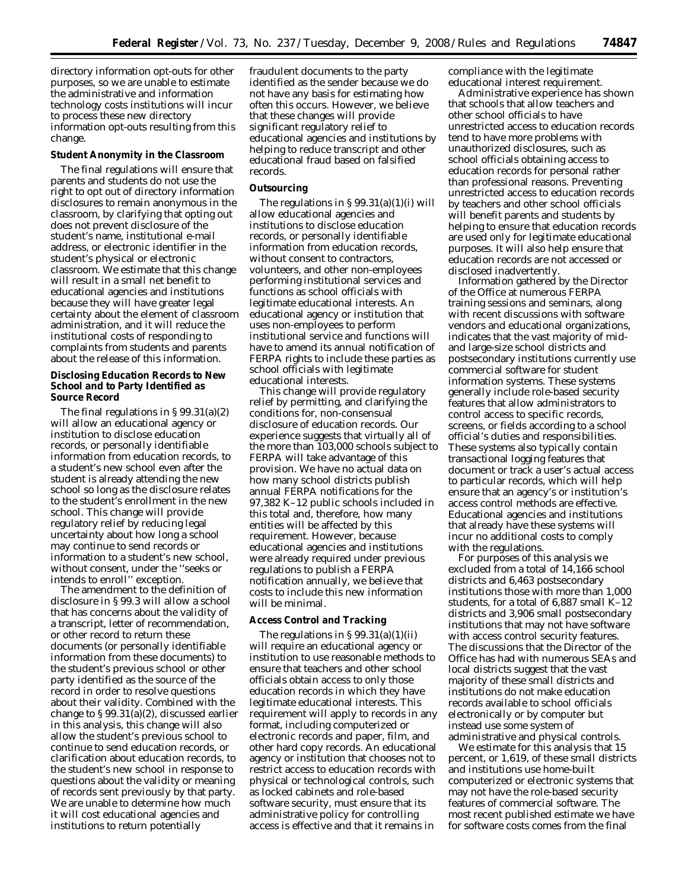directory information opt-outs for other purposes, so we are unable to estimate the administrative and information technology costs institutions will incur to process these new directory information opt-outs resulting from this change.

#### **Student Anonymity in the Classroom**

The final regulations will ensure that parents and students do not use the right to opt out of directory information disclosures to remain anonymous in the classroom, by clarifying that opting out does not prevent disclosure of the student's name, institutional e-mail address, or electronic identifier in the student's physical or electronic classroom. We estimate that this change will result in a small net benefit to educational agencies and institutions because they will have greater legal certainty about the element of classroom administration, and it will reduce the institutional costs of responding to complaints from students and parents about the release of this information.

## **Disclosing Education Records to New School and to Party Identified as Source Record**

The final regulations in  $\S 99.31(a)(2)$ will allow an educational agency or institution to disclose education records, or personally identifiable information from education records, to a student's new school even after the student is already attending the new school so long as the disclosure relates to the student's enrollment in the new school. This change will provide regulatory relief by reducing legal uncertainty about how long a school may continue to send records or information to a student's new school, without consent, under the ''seeks or intends to enroll'' exception.

The amendment to the definition of *disclosure* in § 99.3 will allow a school that has concerns about the validity of a transcript, letter of recommendation, or other record to return these documents (or personally identifiable information from these documents) to the student's previous school or other party identified as the source of the record in order to resolve questions about their validity. Combined with the change to § 99.31(a)(2), discussed earlier in this analysis, this change will also allow the student's previous school to continue to send education records, or clarification about education records, to the student's new school in response to questions about the validity or meaning of records sent previously by that party. We are unable to determine how much it will cost educational agencies and institutions to return potentially

fraudulent documents to the party identified as the sender because we do not have any basis for estimating how often this occurs. However, we believe that these changes will provide significant regulatory relief to educational agencies and institutions by helping to reduce transcript and other educational fraud based on falsified records.

#### **Outsourcing**

The regulations in  $\S 99.31(a)(1)(i)$  will allow educational agencies and institutions to disclose education records, or personally identifiable information from education records, without consent to contractors, volunteers, and other non-employees performing institutional services and functions as school officials with legitimate educational interests. An educational agency or institution that uses non-employees to perform institutional service and functions will have to amend its annual notification of FERPA rights to include these parties as school officials with legitimate educational interests.

This change will provide regulatory relief by permitting, and clarifying the conditions for, non-consensual disclosure of education records. Our experience suggests that virtually all of the more than 103,000 schools subject to FERPA will take advantage of this provision. We have no actual data on how many school districts publish annual FERPA notifications for the 97,382 K–12 public schools included in this total and, therefore, how many entities will be affected by this requirement. However, because educational agencies and institutions were already required under previous regulations to publish a FERPA notification annually, we believe that costs to include this new information will be minimal.

# **Access Control and Tracking**

The regulations in § 99.31(a)(1)(ii) will require an educational agency or institution to use reasonable methods to ensure that teachers and other school officials obtain access to only those education records in which they have legitimate educational interests. This requirement will apply to records in any format, including computerized or electronic records and paper, film, and other hard copy records. An educational agency or institution that chooses not to restrict access to education records with physical or technological controls, such as locked cabinets and role-based software security, must ensure that its administrative policy for controlling access is effective and that it remains in

compliance with the legitimate educational interest requirement.

Administrative experience has shown that schools that allow teachers and other school officials to have unrestricted access to education records tend to have more problems with unauthorized disclosures, such as school officials obtaining access to education records for personal rather than professional reasons. Preventing unrestricted access to education records by teachers and other school officials will benefit parents and students by helping to ensure that education records are used only for legitimate educational purposes. It will also help ensure that education records are not accessed or disclosed inadvertently.

Information gathered by the Director of the Office at numerous FERPA training sessions and seminars, along with recent discussions with software vendors and educational organizations, indicates that the vast majority of midand large-size school districts and postsecondary institutions currently use commercial software for student information systems. These systems generally include role-based security features that allow administrators to control access to specific records, screens, or fields according to a school official's duties and responsibilities. These systems also typically contain transactional logging features that document or track a user's actual access to particular records, which will help ensure that an agency's or institution's access control methods are effective. Educational agencies and institutions that already have these systems will incur no additional costs to comply with the regulations.

For purposes of this analysis we excluded from a total of 14,166 school districts and 6,463 postsecondary institutions those with more than 1,000 students, for a total of 6,887 small K–12 districts and 3,906 small postsecondary institutions that may not have software with access control security features. The discussions that the Director of the Office has had with numerous SEAs and local districts suggest that the vast majority of these small districts and institutions do not make education records available to school officials electronically or by computer but instead use some system of administrative and physical controls.

We estimate for this analysis that 15 percent, or 1,619, of these small districts and institutions use home-built computerized or electronic systems that may not have the role-based security features of commercial software. The most recent published estimate we have for software costs comes from the final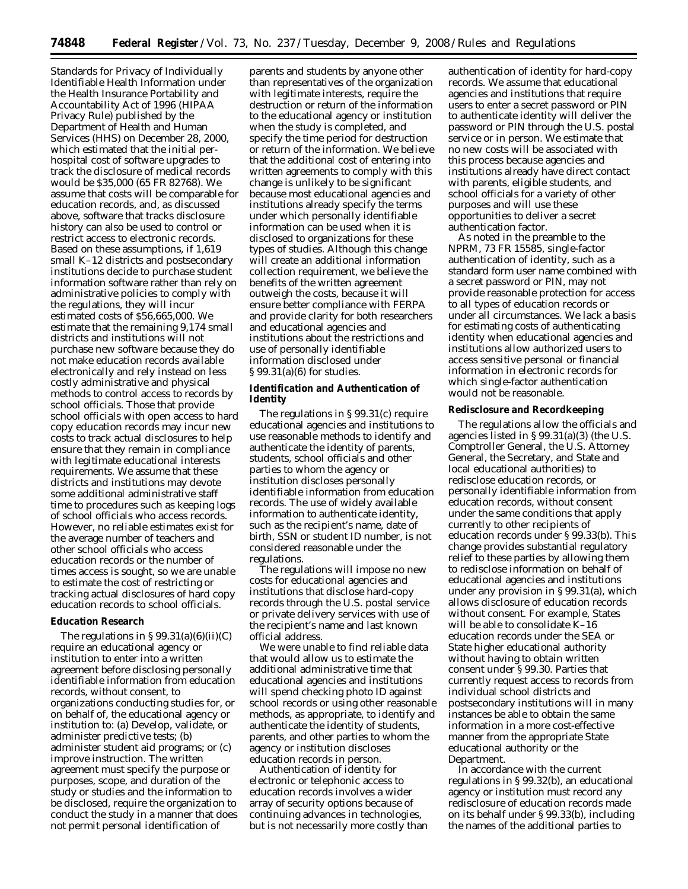Standards for Privacy of Individually Identifiable Health Information under the Health Insurance Portability and Accountability Act of 1996 (HIPAA Privacy Rule) published by the Department of Health and Human Services (HHS) on December 28, 2000, which estimated that the initial perhospital cost of software upgrades to track the disclosure of medical records would be \$35,000 (65 FR 82768). We assume that costs will be comparable for education records, and, as discussed above, software that tracks disclosure history can also be used to control or restrict access to electronic records. Based on these assumptions, if 1,619 small K–12 districts and postsecondary institutions decide to purchase student information software rather than rely on administrative policies to comply with the regulations, they will incur estimated costs of \$56,665,000. We estimate that the remaining 9,174 small districts and institutions will not purchase new software because they do not make education records available electronically and rely instead on less costly administrative and physical methods to control access to records by school officials. Those that provide school officials with open access to hard copy education records may incur new costs to track actual disclosures to help ensure that they remain in compliance with legitimate educational interests requirements. We assume that these districts and institutions may devote some additional administrative staff time to procedures such as keeping logs of school officials who access records. However, no reliable estimates exist for the average number of teachers and other school officials who access education records or the number of times access is sought, so we are unable to estimate the cost of restricting or tracking actual disclosures of hard copy education records to school officials.

# **Education Research**

The regulations in  $\S 99.31(a)(6)(ii)(C)$ require an educational agency or institution to enter into a written agreement before disclosing personally identifiable information from education records, without consent, to organizations conducting studies for, or on behalf of, the educational agency or institution to: (a) Develop, validate, or administer predictive tests; (b) administer student aid programs; or (c) improve instruction. The written agreement must specify the purpose or purposes, scope, and duration of the study or studies and the information to be disclosed, require the organization to conduct the study in a manner that does not permit personal identification of

parents and students by anyone other than representatives of the organization with legitimate interests, require the destruction or return of the information to the educational agency or institution when the study is completed, and specify the time period for destruction or return of the information. We believe that the additional cost of entering into written agreements to comply with this change is unlikely to be significant because most educational agencies and institutions already specify the terms under which personally identifiable information can be used when it is disclosed to organizations for these types of studies. Although this change will create an additional information collection requirement, we believe the benefits of the written agreement outweigh the costs, because it will ensure better compliance with FERPA and provide clarity for both researchers and educational agencies and institutions about the restrictions and use of personally identifiable information disclosed under § 99.31(a)(6) for studies.

# **Identification and Authentication of Identity**

The regulations in § 99.31(c) require educational agencies and institutions to use reasonable methods to identify and authenticate the identity of parents, students, school officials and other parties to whom the agency or institution discloses personally identifiable information from education records. The use of widely available information to authenticate identity, such as the recipient's name, date of birth, SSN or student ID number, is not considered reasonable under the regulations.

The regulations will impose no new costs for educational agencies and institutions that disclose hard-copy records through the U.S. postal service or private delivery services with use of the recipient's name and last known official address.

We were unable to find reliable data that would allow us to estimate the additional administrative time that educational agencies and institutions will spend checking photo ID against school records or using other reasonable methods, as appropriate, to identify and authenticate the identity of students, parents, and other parties to whom the agency or institution discloses education records in person.

Authentication of identity for electronic or telephonic access to education records involves a wider array of security options because of continuing advances in technologies, but is not necessarily more costly than authentication of identity for hard-copy records. We assume that educational agencies and institutions that require users to enter a secret password or PIN to authenticate identity will deliver the password or PIN through the U.S. postal service or in person. We estimate that no new costs will be associated with this process because agencies and institutions already have direct contact with parents, eligible students, and school officials for a variety of other purposes and will use these opportunities to deliver a secret authentication factor.

As noted in the preamble to the NPRM, 73 FR 15585, single-factor authentication of identity, such as a standard form user name combined with a secret password or PIN, may not provide reasonable protection for access to all types of education records or under all circumstances. We lack a basis for estimating costs of authenticating identity when educational agencies and institutions allow authorized users to access sensitive personal or financial information in electronic records for which single-factor authentication would not be reasonable.

#### **Redisclosure and Recordkeeping**

The regulations allow the officials and agencies listed in § 99.31(a)(3) (the U.S. Comptroller General, the U.S. Attorney General, the Secretary, and State and local educational authorities) to redisclose education records, or personally identifiable information from education records, without consent under the same conditions that apply currently to other recipients of education records under § 99.33(b). This change provides substantial regulatory relief to these parties by allowing them to redisclose information on behalf of educational agencies and institutions under any provision in § 99.31(a), which allows disclosure of education records without consent. For example, States will be able to consolidate K–16 education records under the SEA or State higher educational authority without having to obtain written consent under § 99.30. Parties that currently request access to records from individual school districts and postsecondary institutions will in many instances be able to obtain the same information in a more cost-effective manner from the appropriate State educational authority or the Department.

In accordance with the current regulations in § 99.32(b), an educational agency or institution must record any redisclosure of education records made on its behalf under § 99.33(b), including the names of the additional parties to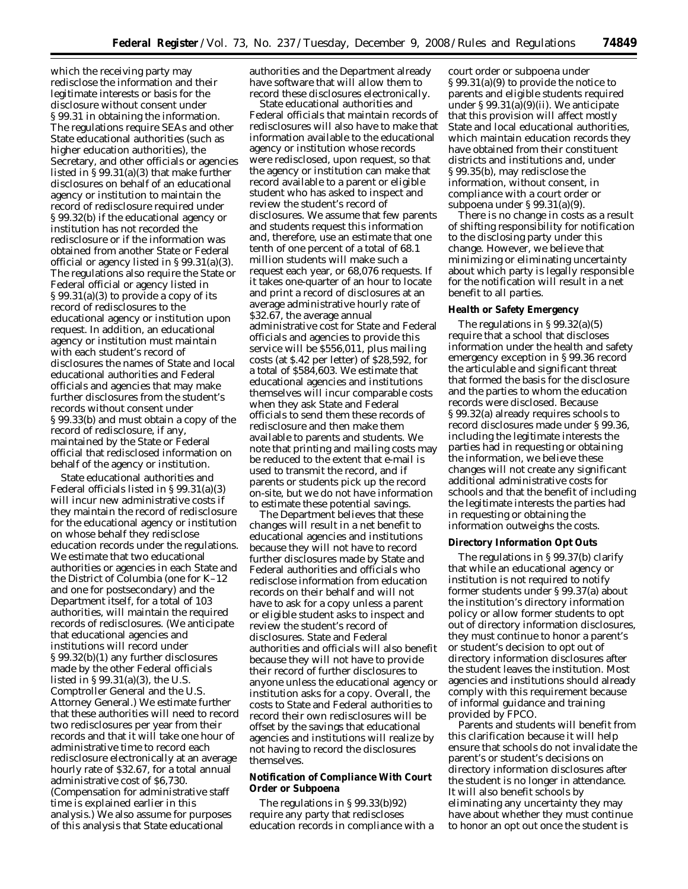which the receiving party may redisclose the information and their legitimate interests or basis for the disclosure without consent under § 99.31 in obtaining the information. The regulations require SEAs and other State educational authorities (such as higher education authorities), the Secretary, and other officials or agencies listed in § 99.31(a)(3) that make further disclosures on behalf of an educational agency or institution to maintain the record of redisclosure required under § 99.32(b) if the educational agency or institution has not recorded the redisclosure or if the information was obtained from another State or Federal official or agency listed in § 99.31(a)(3). The regulations also require the State or Federal official or agency listed in § 99.31(a)(3) to provide a copy of its record of redisclosures to the educational agency or institution upon request. In addition, an educational agency or institution must maintain with each student's record of disclosures the names of State and local educational authorities and Federal officials and agencies that may make further disclosures from the student's records without consent under § 99.33(b) and must obtain a copy of the record of redisclosure, if any, maintained by the State or Federal official that redisclosed information on behalf of the agency or institution.

State educational authorities and Federal officials listed in § 99.31(a)(3) will incur new administrative costs if they maintain the record of redisclosure for the educational agency or institution on whose behalf they redisclose education records under the regulations. We estimate that two educational authorities or agencies in each State and the District of Columbia (one for K–12 and one for postsecondary) and the Department itself, for a total of 103 authorities, will maintain the required records of redisclosures. (We anticipate that educational agencies and institutions will record under § 99.32(b)(1) any further disclosures made by the other Federal officials listed in § 99.31(a)(3), the U.S. Comptroller General and the U.S. Attorney General.) We estimate further that these authorities will need to record two redisclosures per year from their records and that it will take one hour of administrative time to record each redisclosure electronically at an average hourly rate of \$32.67, for a total annual administrative cost of \$6,730. (Compensation for administrative staff time is explained earlier in this analysis.) We also assume for purposes of this analysis that State educational

authorities and the Department already have software that will allow them to record these disclosures electronically.

State educational authorities and Federal officials that maintain records of redisclosures will also have to make that information available to the educational agency or institution whose records were redisclosed, upon request, so that the agency or institution can make that record available to a parent or eligible student who has asked to inspect and review the student's record of disclosures. We assume that few parents and students request this information and, therefore, use an estimate that one tenth of one percent of a total of 68.1 million students will make such a request each year, or 68,076 requests. If it takes one-quarter of an hour to locate and print a record of disclosures at an average administrative hourly rate of \$32.67, the average annual administrative cost for State and Federal officials and agencies to provide this service will be \$556,011, plus mailing costs (at \$.42 per letter) of \$28,592, for a total of \$584,603. We estimate that educational agencies and institutions themselves will incur comparable costs when they ask State and Federal officials to send them these records of redisclosure and then make them available to parents and students. We note that printing and mailing costs may be reduced to the extent that e-mail is used to transmit the record, and if parents or students pick up the record on-site, but we do not have information to estimate these potential savings.

The Department believes that these changes will result in a net benefit to educational agencies and institutions because they will not have to record further disclosures made by State and Federal authorities and officials who redisclose information from education records on their behalf and will not have to ask for a copy unless a parent or eligible student asks to inspect and review the student's record of disclosures. State and Federal authorities and officials will also benefit because they will not have to provide their record of further disclosures to anyone unless the educational agency or institution asks for a copy. Overall, the costs to State and Federal authorities to record their own redisclosures will be offset by the savings that educational agencies and institutions will realize by not having to record the disclosures themselves.

# **Notification of Compliance With Court Order or Subpoena**

The regulations in § 99.33(b)92) require any party that rediscloses education records in compliance with a

court order or subpoena under § 99.31(a)(9) to provide the notice to parents and eligible students required under § 99.31(a)(9)(ii). We anticipate that this provision will affect mostly State and local educational authorities, which maintain education records they have obtained from their constituent districts and institutions and, under § 99.35(b), may redisclose the information, without consent, in compliance with a court order or subpoena under § 99.31(a)(9).

There is no change in costs as a result of shifting responsibility for notification to the disclosing party under this change. However, we believe that minimizing or eliminating uncertainty about which party is legally responsible for the notification will result in a net benefit to all parties.

#### **Health or Safety Emergency**

The regulations in  $\S 99.32(a)(5)$ require that a school that discloses information under the health and safety emergency exception in § 99.36 record the articulable and significant threat that formed the basis for the disclosure and the parties to whom the education records were disclosed. Because § 99.32(a) already requires schools to record disclosures made under § 99.36, including the legitimate interests the parties had in requesting or obtaining the information, we believe these changes will not create any significant additional administrative costs for schools and that the benefit of including the legitimate interests the parties had in requesting or obtaining the information outweighs the costs.

### **Directory Information Opt Outs**

The regulations in § 99.37(b) clarify that while an educational agency or institution is not required to notify former students under § 99.37(a) about the institution's directory information policy or allow former students to opt out of directory information disclosures, they must continue to honor a parent's or student's decision to opt out of directory information disclosures after the student leaves the institution. Most agencies and institutions should already comply with this requirement because of informal guidance and training provided by FPCO.

Parents and students will benefit from this clarification because it will help ensure that schools do not invalidate the parent's or student's decisions on directory information disclosures after the student is no longer in attendance. It will also benefit schools by eliminating any uncertainty they may have about whether they must continue to honor an opt out once the student is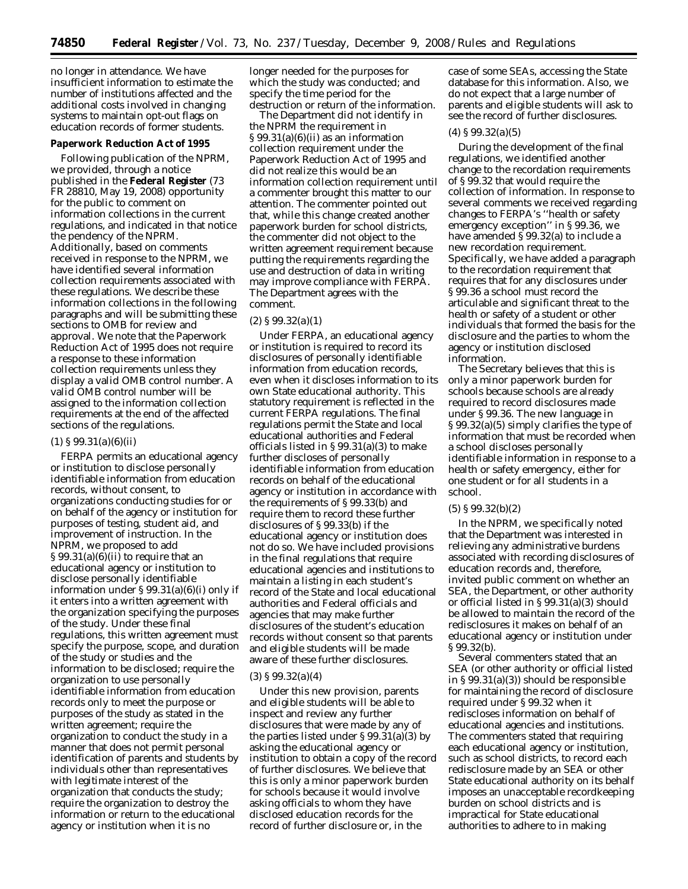no longer in attendance. We have insufficient information to estimate the number of institutions affected and the additional costs involved in changing systems to maintain opt-out flags on education records of former students.

#### **Paperwork Reduction Act of 1995**

Following publication of the NPRM, we provided, through a notice published in the **Federal Register** (73 FR 28810, May 19, 2008) opportunity for the public to comment on information collections in the current regulations, and indicated in that notice the pendency of the NPRM. Additionally, based on comments received in response to the NPRM, we have identified several information collection requirements associated with these regulations. We describe these information collections in the following paragraphs and will be submitting these sections to OMB for review and approval. We note that the Paperwork Reduction Act of 1995 does not require a response to these information collection requirements unless they display a valid OMB control number. A valid OMB control number will be assigned to the information collection requirements at the end of the affected sections of the regulations.

# *(1) § 99.31(a)(6)(ii)*

FERPA permits an educational agency or institution to disclose personally identifiable information from education records, without consent, to organizations conducting studies for or on behalf of the agency or institution for purposes of testing, student aid, and improvement of instruction. In the NPRM, we proposed to add  $\S 99.31(a)(6)(ii)$  to require that an educational agency or institution to disclose personally identifiable information under § 99.31(a)(6)(i) only if it enters into a written agreement with the organization specifying the purposes of the study. Under these final regulations, this written agreement must specify the purpose, scope, and duration of the study or studies and the information to be disclosed; require the organization to use personally identifiable information from education records only to meet the purpose or purposes of the study as stated in the written agreement; require the organization to conduct the study in a manner that does not permit personal identification of parents and students by individuals other than representatives with legitimate interest of the organization that conducts the study; require the organization to destroy the information or return to the educational agency or institution when it is no

longer needed for the purposes for which the study was conducted; and specify the time period for the destruction or return of the information.

The Department did not identify in the NPRM the requirement in § 99.31(a)(6)(ii) as an information collection requirement under the Paperwork Reduction Act of 1995 and did not realize this would be an information collection requirement until a commenter brought this matter to our attention. The commenter pointed out that, while this change created another paperwork burden for school districts, the commenter did not object to the written agreement requirement because putting the requirements regarding the use and destruction of data in writing may improve compliance with FERPA. The Department agrees with the comment.

### *(2) § 99.32(a)(1)*

Under FERPA, an educational agency or institution is required to record its disclosures of personally identifiable information from education records, even when it discloses information to its own State educational authority. This statutory requirement is reflected in the current FERPA regulations. The final regulations permit the State and local educational authorities and Federal officials listed in § 99.31(a)(3) to make further discloses of personally identifiable information from education records on behalf of the educational agency or institution in accordance with the requirements of § 99.33(b) and require them to record these further disclosures of § 99.33(b) if the educational agency or institution does not do so. We have included provisions in the final regulations that require educational agencies and institutions to maintain a listing in each student's record of the State and local educational authorities and Federal officials and agencies that may make further disclosures of the student's education records without consent so that parents and eligible students will be made aware of these further disclosures.

#### *(3) § 99.32(a)(4)*

Under this new provision, parents and eligible students will be able to inspect and review any further disclosures that were made by any of the parties listed under § 99.31(a)(3) by asking the educational agency or institution to obtain a copy of the record of further disclosures. We believe that this is only a minor paperwork burden for schools because it would involve asking officials to whom they have disclosed education records for the record of further disclosure or, in the

case of some SEAs, accessing the State database for this information. Also, we do not expect that a large number of parents and eligible students will ask to see the record of further disclosures.

# *(4) § 99.32(a)(5)*

During the development of the final regulations, we identified another change to the recordation requirements of § 99.32 that would require the collection of information. In response to several comments we received regarding changes to FERPA's ''health or safety emergency exception'' in § 99.36, we have amended § 99.32(a) to include a new recordation requirement. Specifically, we have added a paragraph to the recordation requirement that requires that for any disclosures under § 99.36 a school must record the articulable and significant threat to the health or safety of a student or other individuals that formed the basis for the disclosure and the parties to whom the agency or institution disclosed information.

The Secretary believes that this is only a minor paperwork burden for schools because schools are already required to record disclosures made under § 99.36. The new language in § 99.32(a)(5) simply clarifies the type of information that must be recorded when a school discloses personally identifiable information in response to a health or safety emergency, either for one student or for all students in a school.

### *(5) § 99.32(b)(2)*

In the NPRM, we specifically noted that the Department was interested in relieving any administrative burdens associated with recording disclosures of education records and, therefore, invited public comment on whether an SEA, the Department, or other authority or official listed in § 99.31(a)(3) should be allowed to maintain the record of the redisclosures it makes on behalf of an educational agency or institution under § 99.32(b).

Several commenters stated that an SEA (or other authority or official listed in § 99.31(a)(3)) should be responsible for maintaining the record of disclosure required under § 99.32 when it rediscloses information on behalf of educational agencies and institutions. The commenters stated that requiring each educational agency or institution, such as school districts, to record each redisclosure made by an SEA or other State educational authority on its behalf imposes an unacceptable recordkeeping burden on school districts and is impractical for State educational authorities to adhere to in making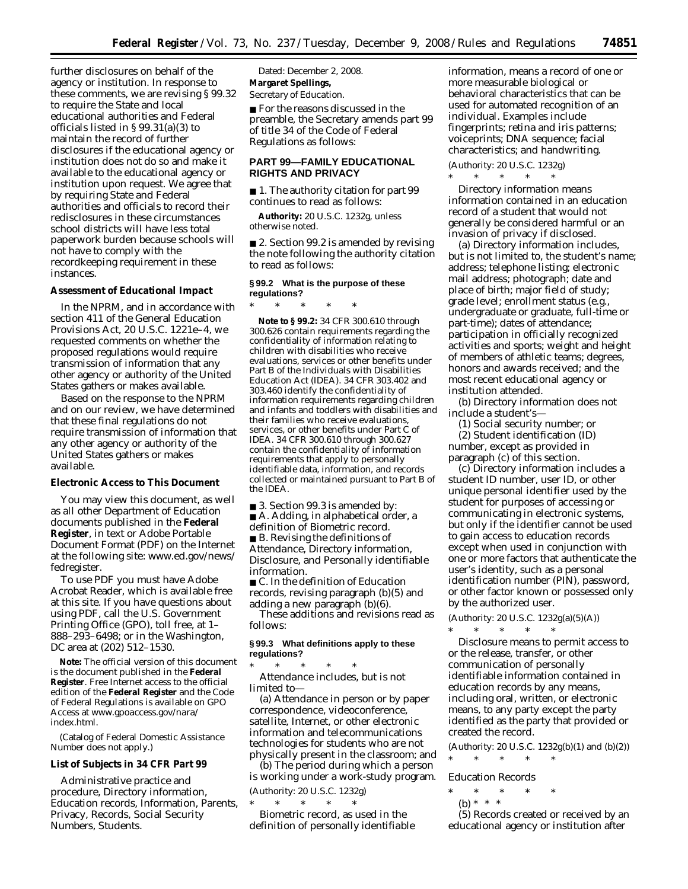further disclosures on behalf of the agency or institution. In response to these comments, we are revising § 99.32 to require the State and local educational authorities and Federal officials listed in § 99.31(a)(3) to maintain the record of further disclosures if the educational agency or institution does not do so and make it available to the educational agency or institution upon request. We agree that by requiring State and Federal authorities and officials to record their redisclosures in these circumstances school districts will have less total paperwork burden because schools will not have to comply with the recordkeeping requirement in these instances.

# **Assessment of Educational Impact**

In the NPRM, and in accordance with section 411 of the General Education Provisions Act, 20 U.S.C. 1221e–4, we requested comments on whether the proposed regulations would require transmission of information that any other agency or authority of the United States gathers or makes available.

Based on the response to the NPRM and on our review, we have determined that these final regulations do not require transmission of information that any other agency or authority of the United States gathers or makes available.

### **Electronic Access to This Document**

You may view this document, as well as all other Department of Education documents published in the **Federal Register**, in text or Adobe Portable Document Format (PDF) on the Internet at the following site: *www.ed.gov/news/ fedregister.* 

To use PDF you must have Adobe Acrobat Reader, which is available free at this site. If you have questions about using PDF, call the U.S. Government Printing Office (GPO), toll free, at 1– 888–293–6498; or in the Washington, DC area at (202) 512–1530.

**Note:** The official version of this document is the document published in the **Federal Register**. Free Internet access to the official edition of the **Federal Register** and the Code of Federal Regulations is available on GPO Access at *www.gpoaccess.gov/nara/ index.html.* 

(Catalog of Federal Domestic Assistance Number does not apply.)

# **List of Subjects in 34 CFR Part 99**

Administrative practice and procedure, Directory information, Education records, Information, Parents, Privacy, Records, Social Security Numbers, Students.

Dated: December 2, 2008. **Margaret Spellings,**  *Secretary of Education.* 

■ For the reasons discussed in the preamble, the Secretary amends part 99 of title 34 of the Code of Federal Regulations as follows:

## **PART 99—FAMILY EDUCATIONAL RIGHTS AND PRIVACY**

■ 1. The authority citation for part 99 continues to read as follows:

**Authority:** 20 U.S.C. 1232g, unless otherwise noted.

■ 2. Section 99.2 is amended by revising the note following the authority citation to read as follows:

## **§ 99.2 What is the purpose of these regulations?**

\* \* \* \* \*

**Note to § 99.2:** 34 CFR 300.610 through 300.626 contain requirements regarding the confidentiality of information relating to children with disabilities who receive evaluations, services or other benefits under Part B of the Individuals with Disabilities Education Act (IDEA). 34 CFR 303.402 and 303.460 identify the confidentiality of information requirements regarding children and infants and toddlers with disabilities and their families who receive evaluations, services, or other benefits under Part C of IDEA. 34 CFR 300.610 through 300.627 contain the confidentiality of information requirements that apply to personally identifiable data, information, and records collected or maintained pursuant to Part B of the IDEA.

■ 3. Section 99.3 is amended by: ■ A. Adding, in alphabetical order, a definition of *Biometric record.*  ■ B. Revising the definitions of *Attendance, Directory information, Disclosure,* and *Personally identifiable information.* 

■ C. In the definition of *Education records,* revising paragraph (b)(5) and adding a new paragraph (b)(6). These additions and revisions read as

follows:

# **§ 99.3 What definitions apply to these regulations?**

\* \* \* \* \* *Attendance* includes, but is not limited to—

(a) Attendance in person or by paper correspondence, videoconference, satellite, Internet, or other electronic information and telecommunications technologies for students who are not physically present in the classroom; and

(b) The period during which a person is working under a work-study program.

(Authority: 20 U.S.C. 1232g) \* \* \* \* \*

*Biometric record,* as used in the definition of *personally identifiable* 

*information,* means a record of one or more measurable biological or behavioral characteristics that can be used for automated recognition of an individual. Examples include fingerprints; retina and iris patterns; voiceprints; DNA sequence; facial characteristics; and handwriting.

(Authority: 20 U.S.C. 1232g) \* \* \* \* \*

*Directory information* means information contained in an education record of a student that would not generally be considered harmful or an invasion of privacy if disclosed.

(a) Directory information includes, but is not limited to, the student's name; address; telephone listing; electronic mail address; photograph; date and place of birth; major field of study; grade level; enrollment status (*e.g.*, undergraduate or graduate, full-time or part-time); dates of attendance; participation in officially recognized activities and sports; weight and height of members of athletic teams; degrees, honors and awards received; and the most recent educational agency or institution attended.

(b) Directory information does not include a student's—

(1) Social security number; or (2) Student identification (ID) number, except as provided in paragraph (c) of this section.

(c) Directory information includes a student ID number, user ID, or other unique personal identifier used by the student for purposes of accessing or communicating in electronic systems, but only if the identifier cannot be used to gain access to education records except when used in conjunction with one or more factors that authenticate the user's identity, such as a personal identification number (PIN), password, or other factor known or possessed only by the authorized user.

(Authority: 20 U.S.C. 1232g(a)(5)(A)) \* \* \* \* \*

*Disclosure* means to permit access to or the release, transfer, or other communication of personally identifiable information contained in education records by any means, including oral, written, or electronic means, to any party except the party identified as the party that provided or created the record.

(Authority: 20 U.S.C. 1232g(b)(1) and (b)(2)) \* \* \* \* \*

# Education Records

- \* \* \* \* \*
	- (b) \* \* \*

(5) Records created or received by an educational agency or institution after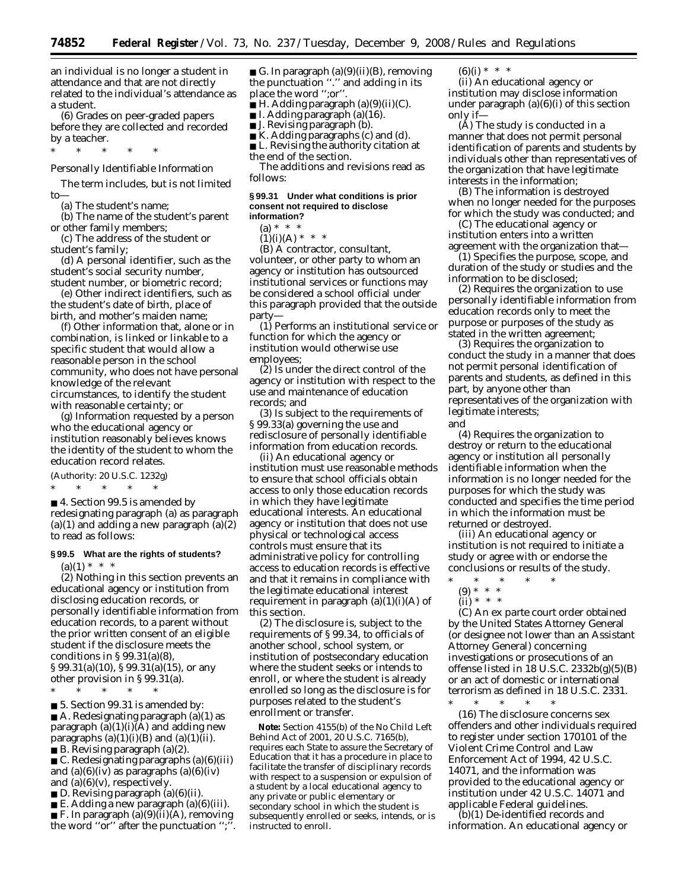an individual is no longer a student in attendance and that are not directly related to the individual's attendance as a student.

(6) Grades on peer-graded papers before they are collected and recorded by a teacher.

\* \* \* \* \*

Personally Identifiable Information

The term includes, but is not limited to—

(a) The student's name;

(b) The name of the student's parent or other family members; (c) The address of the student or

student's family;

(d) A personal identifier, such as the student's social security number, student number, or biometric record;

(e) Other indirect identifiers, such as the student's date of birth, place of birth, and mother's maiden name;

(f) Other information that, alone or in combination, is linked or linkable to a specific student that would allow a reasonable person in the school community, who does not have personal knowledge of the relevant circumstances, to identify the student with reasonable certainty; or

(g) Information requested by a person who the educational agency or institution reasonably believes knows the identity of the student to whom the education record relates.

(Authority: 20 U.S.C. 1232g)

\* \* \* \* \* ■ 4. Section 99.5 is amended by

redesignating paragraph (a) as paragraph  $(a)(1)$  and adding a new paragraph  $(a)(2)$ to read as follows:

# **§ 99.5 What are the rights of students?**   $(a)(1) * * * *$

(2) Nothing in this section prevents an educational agency or institution from disclosing education records, or personally identifiable information from education records, to a parent without the prior written consent of an eligible student if the disclosure meets the conditions in  $\S 99.31(a)(8)$ , § 99.31(a)(10), § 99.31(a)(15), or any other provision in § 99.31(a).

\* \* \* \* \*

■ 5. Section 99.31 is amended by: ■ A. Redesignating paragraph (a)(1) as paragraph  $(a)(1)(i)(A)$  and adding new paragraphs  $(a)(1)(i)(B)$  and  $(a)(1)(ii)$ . ■ B. Revising paragraph  $(a)(2)$ .

 $\blacksquare$  C. Redesignating paragraphs (a)(6)(iii) and  $(a)(6)(iv)$  as paragraphs  $(a)(6)(iv)$ and  $(a)(6)(v)$ , respectively.

■ D. Revising paragraph (a)(6)(ii).

■ E. Adding a new paragraph  $(a)(6)(iii)$ .  $\blacksquare$  F. In paragraph (a)(9)(ii)(A), removing the word ''or'' after the punctuation '';''.

G. In paragraph  $(a)(9)(ii)(B)$ , removing the punctuation ''.'' and adding in its place the word ";or".

■ H. Adding paragraph (a)(9)(ii)(C).

- I. Adding paragraph  $(a)(16)$ .
- J. Revising paragraph (b).

■ K. Adding paragraphs (c) and (d).

■ L. Revising the authority citation at the end of the section.

The additions and revisions read as follows:

### **§ 99.31 Under what conditions is prior consent not required to disclose information?**

 $(a) * * * *$ 

 $(1)(i)(A) * * * *$ 

(B) A contractor, consultant, volunteer, or other party to whom an agency or institution has outsourced institutional services or functions may be considered a school official under this paragraph provided that the outside party—

(*1*) Performs an institutional service or function for which the agency or institution would otherwise use employees;

(*2*) Is under the direct control of the agency or institution with respect to the use and maintenance of education records; and

(*3*) Is subject to the requirements of § 99.33(a) governing the use and redisclosure of personally identifiable information from education records.

(ii) An educational agency or institution must use reasonable methods to ensure that school officials obtain access to only those education records in which they have legitimate educational interests. An educational agency or institution that does not use physical or technological access controls must ensure that its administrative policy for controlling access to education records is effective and that it remains in compliance with the legitimate educational interest requirement in paragraph  $(a)(1)(i)(A)$  of this section.

(2) The disclosure is, subject to the requirements of § 99.34, to officials of another school, school system, or institution of postsecondary education where the student seeks or intends to enroll, or where the student is already enrolled so long as the disclosure is for purposes related to the student's enrollment or transfer.

**Note:** Section 4155(b) of the No Child Left Behind Act of 2001, 20 U.S.C. 7165(b), requires each State to assure the Secretary of Education that it has a procedure in place to facilitate the transfer of disciplinary records with respect to a suspension or expulsion of a student by a local educational agency to any private or public elementary or secondary school in which the student is subsequently enrolled or seeks, intends, or is instructed to enroll.

 $(6)(i) * * * *$ 

(ii) An educational agency or institution may disclose information under paragraph  $(a)(6)(i)$  of this section only if—

(A) The study is conducted in a manner that does not permit personal identification of parents and students by individuals other than representatives of the organization that have legitimate interests in the information;

(B) The information is destroyed when no longer needed for the purposes for which the study was conducted; and

(C) The educational agency or institution enters into a written agreement with the organization that—

(*1*) Specifies the purpose, scope, and duration of the study or studies and the information to be disclosed;

(*2*) Requires the organization to use personally identifiable information from education records only to meet the purpose or purposes of the study as stated in the written agreement;

(*3*) Requires the organization to conduct the study in a manner that does not permit personal identification of parents and students, as defined in this part, by anyone other than representatives of the organization with legitimate interests; and

(*4*) Requires the organization to destroy or return to the educational agency or institution all personally identifiable information when the information is no longer needed for the purposes for which the study was conducted and specifies the time period in which the information must be returned or destroyed.

(iii) An educational agency or institution is not required to initiate a study or agree with or endorse the conclusions or results of the study.

- $*$  \* (9) \* \* \*
- $(ii) * * * *$

(C) An *ex parte* court order obtained by the United States Attorney General (or designee not lower than an Assistant Attorney General) concerning investigations or prosecutions of an offense listed in 18 U.S.C.  $2332b(g)(5)(B)$ or an act of domestic or international terrorism as defined in 18 U.S.C. 2331.

\* \* \* \* \* (16) The disclosure concerns sex offenders and other individuals required to register under section 170101 of the Violent Crime Control and Law Enforcement Act of 1994, 42 U.S.C. 14071, and the information was provided to the educational agency or institution under 42 U.S.C. 14071 and applicable Federal guidelines.

(b)(1) *De-identified records and information.* An educational agency or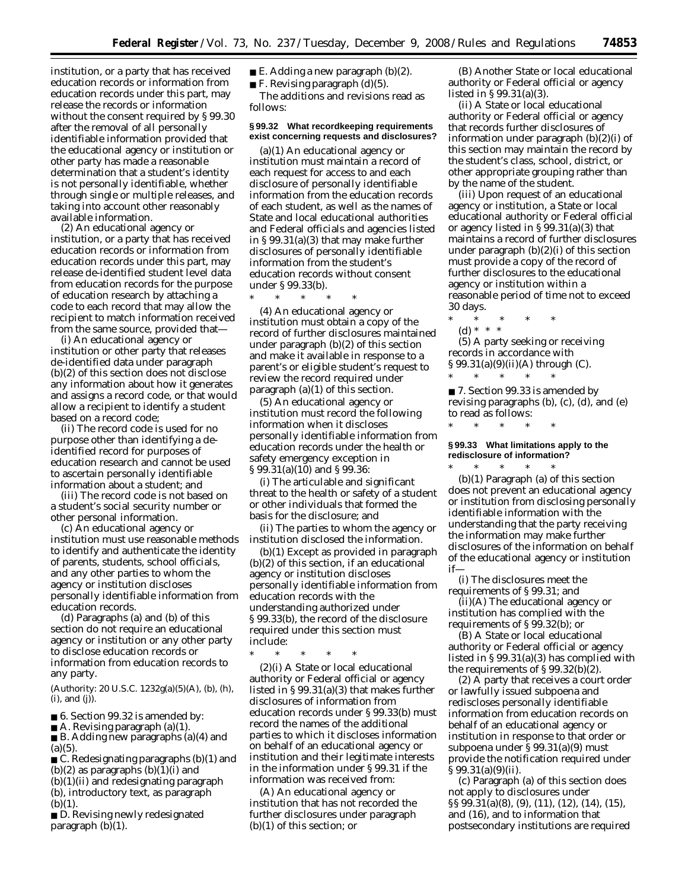institution, or a party that has received education records or information from education records under this part, may release the records or information without the consent required by § 99.30 after the removal of all personally identifiable information provided that the educational agency or institution or other party has made a reasonable determination that a student's identity is not personally identifiable, whether through single or multiple releases, and taking into account other reasonably available information.

(2) An educational agency or institution, or a party that has received education records or information from education records under this part, may release de-identified student level data from education records for the purpose of education research by attaching a code to each record that may allow the recipient to match information received from the same source, provided that—

(i) An educational agency or institution or other party that releases de-identified data under paragraph (b)(2) of this section does not disclose any information about how it generates and assigns a record code, or that would allow a recipient to identify a student based on a record code;

(ii) The record code is used for no purpose other than identifying a deidentified record for purposes of education research and cannot be used to ascertain personally identifiable information about a student; and

(iii) The record code is not based on a student's social security number or other personal information.

(c) An educational agency or institution must use reasonable methods to identify and authenticate the identity of parents, students, school officials, and any other parties to whom the agency or institution discloses personally identifiable information from education records.

(d) Paragraphs (a) and (b) of this section do not require an educational agency or institution or any other party to disclose education records or information from education records to any party.

(Authority: 20 U.S.C. 1232g(a)(5)(A), (b), (h), (i), and (j)).

■ 6. Section 99.32 is amended by:

 $\blacksquare$  A. Revising paragraph (a)(1).

■ B. Adding new paragraphs (a)(4) and  $(a)(5)$ .

■ C. Redesignating paragraphs (b)(1) and  $(b)(2)$  as paragraphs  $(b)(1)(i)$  and  $(b)(1)(ii)$  and redesignating paragraph (b), introductory text, as paragraph (b)(1).

■ D. Revising newly redesignated paragraph (b)(1).

 $\blacksquare$  E. Adding a new paragraph (b)(2).

 $\blacksquare$  F. Revising paragraph (d)(5).

The additions and revisions read as follows:

# **§ 99.32 What recordkeeping requirements exist concerning requests and disclosures?**

(a)(1) An educational agency or institution must maintain a record of each request for access to and each disclosure of personally identifiable information from the education records of each student, as well as the names of State and local educational authorities and Federal officials and agencies listed in § 99.31(a)(3) that may make further disclosures of personally identifiable information from the student's education records without consent under § 99.33(b).

\* \* \* \* \* (4) An educational agency or institution must obtain a copy of the

record of further disclosures maintained under paragraph (b)(2) of this section and make it available in response to a parent's or eligible student's request to review the record required under paragraph (a)(1) of this section.

(5) An educational agency or institution must record the following information when it discloses personally identifiable information from education records under the health or safety emergency exception in § 99.31(a)(10) and § 99.36:

(i) The articulable and significant threat to the health or safety of a student or other individuals that formed the basis for the disclosure; and

(ii) The parties to whom the agency or institution disclosed the information.

(b)(1) Except as provided in paragraph (b)(2) of this section, if an educational agency or institution discloses personally identifiable information from education records with the understanding authorized under § 99.33(b), the record of the disclosure required under this section must include:

\* \* \* \* \*

(2)(i) A State or local educational authority or Federal official or agency listed in § 99.31(a)(3) that makes further disclosures of information from education records under § 99.33(b) must record the names of the additional parties to which it discloses information on behalf of an educational agency or institution and their legitimate interests in the information under § 99.31 if the information was received from:

(A) An educational agency or institution that has not recorded the further disclosures under paragraph (b)(1) of this section; or

(B) Another State or local educational authority or Federal official or agency listed in § 99.31(a)(3).

(ii) A State or local educational authority or Federal official or agency that records further disclosures of information under paragraph (b)(2)(i) of this section may maintain the record by the student's class, school, district, or other appropriate grouping rather than by the name of the student.

(iii) Upon request of an educational agency or institution, a State or local educational authority or Federal official or agency listed in § 99.31(a)(3) that maintains a record of further disclosures under paragraph (b)(2)(i) of this section must provide a copy of the record of further disclosures to the educational agency or institution within a reasonable period of time not to exceed 30 days.

\* \* \* \* \* (d) \* \* \*

(5) A party seeking or receiving records in accordance with § 99.31(a)(9)(ii)(A) through (C).

\* \* \* \* \*

\* \* \* \* \*

■ 7. Section 99.33 is amended by revising paragraphs (b), (c), (d), and (e) to read as follows:

**§ 99.33 What limitations apply to the redisclosure of information?** 

\* \* \* \* \* (b)(1) Paragraph (a) of this section does not prevent an educational agency or institution from disclosing personally identifiable information with the understanding that the party receiving the information may make further disclosures of the information on behalf of the educational agency or institution if—

(i) The disclosures meet the requirements of § 99.31; and

(ii)(A) The educational agency or institution has complied with the requirements of § 99.32(b); or

(B) A State or local educational authority or Federal official or agency listed in § 99.31(a)(3) has complied with the requirements of § 99.32(b)(2).

(2) A party that receives a court order or lawfully issued subpoena and rediscloses personally identifiable information from education records on behalf of an educational agency or institution in response to that order or subpoena under § 99.31(a)(9) must provide the notification required under § 99.31(a)(9)(ii).

(c) Paragraph (a) of this section does not apply to disclosures under §§ 99.31(a)(8), (9), (11), (12), (14), (15), and (16), and to information that postsecondary institutions are required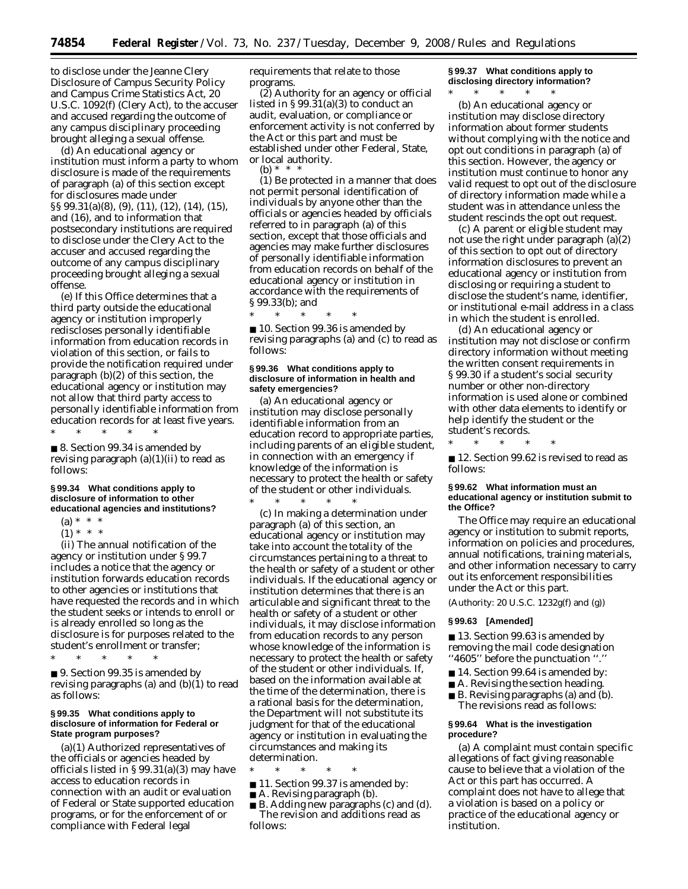to disclose under the Jeanne Clery Disclosure of Campus Security Policy and Campus Crime Statistics Act, 20 U.S.C. 1092(f) (Clery Act), to the accuser and accused regarding the outcome of any campus disciplinary proceeding brought alleging a sexual offense.

(d) An educational agency or institution must inform a party to whom disclosure is made of the requirements of paragraph (a) of this section except for disclosures made under §§ 99.31(a)(8), (9), (11), (12), (14), (15), and (16), and to information that postsecondary institutions are required to disclose under the Clery Act to the accuser and accused regarding the outcome of any campus disciplinary proceeding brought alleging a sexual offense.

(e) If this Office determines that a third party outside the educational agency or institution improperly rediscloses personally identifiable information from education records in violation of this section, or fails to provide the notification required under paragraph (b)(2) of this section, the educational agency or institution may not allow that third party access to personally identifiable information from education records for at least five years.

\* \* \* \* \*

■ 8. Section 99.34 is amended by revising paragraph  $(a)(1)(ii)$  to read as follows:

#### **§ 99.34 What conditions apply to disclosure of information to other educational agencies and institutions?**

- $(a) * * * *$
- $(1) * * * *$

(ii) The annual notification of the agency or institution under § 99.7 includes a notice that the agency or institution forwards education records to other agencies or institutions that have requested the records and in which the student seeks or intends to enroll or is already enrolled so long as the disclosure is for purposes related to the student's enrollment or transfer;

\* \* \* \* \*

■ 9. Section 99.35 is amended by revising paragraphs (a) and (b)(1) to read as follows:

### **§ 99.35 What conditions apply to disclosure of information for Federal or State program purposes?**

(a)(1) Authorized representatives of the officials or agencies headed by officials listed in § 99.31(a)(3) may have access to education records in connection with an audit or evaluation of Federal or State supported education programs, or for the enforcement of or compliance with Federal legal

requirements that relate to those programs.

(2) Authority for an agency or official listed in  $\S 99.31(a)(3)$  to conduct an audit, evaluation, or compliance or enforcement activity is not conferred by the Act or this part and must be established under other Federal, State, or local authority. (b)  $* * * *$ 

(1) Be protected in a manner that does not permit personal identification of individuals by anyone other than the officials or agencies headed by officials referred to in paragraph (a) of this section, except that those officials and agencies may make further disclosures of personally identifiable information from education records on behalf of the educational agency or institution in accordance with the requirements of § 99.33(b); and

■ 10. Section 99.36 is amended by revising paragraphs (a) and (c) to read as follows:

## **§ 99.36 What conditions apply to disclosure of information in health and safety emergencies?**

\* \* \* \* \*

(a) An educational agency or institution may disclose personally identifiable information from an education record to appropriate parties, including parents of an eligible student, in connection with an emergency if knowledge of the information is necessary to protect the health or safety of the student or other individuals. \* \* \* \* \*

(c) In making a determination under paragraph (a) of this section, an educational agency or institution may take into account the totality of the circumstances pertaining to a threat to the health or safety of a student or other individuals. If the educational agency or institution determines that there is an articulable and significant threat to the health or safety of a student or other individuals, it may disclose information from education records to any person whose knowledge of the information is necessary to protect the health or safety of the student or other individuals. If, based on the information available at the time of the determination, there is a rational basis for the determination, the Department will not substitute its judgment for that of the educational agency or institution in evaluating the circumstances and making its determination.

\* \* \* \* \*

- 11. Section 99.37 is amended by:
- A. Revising paragraph (b).
- B. Adding new paragraphs (c) and (d). The revision and additions read as follows:

# **§ 99.37 What conditions apply to disclosing directory information?**  \* \* \* \* \*

(b) An educational agency or institution may disclose directory information about former students without complying with the notice and opt out conditions in paragraph (a) of this section. However, the agency or institution must continue to honor any valid request to opt out of the disclosure of directory information made while a student was in attendance unless the student rescinds the opt out request.

(c) A parent or eligible student may not use the right under paragraph (a)(2) of this section to opt out of directory information disclosures to prevent an educational agency or institution from disclosing or requiring a student to disclose the student's name, identifier, or institutional e-mail address in a class in which the student is enrolled.

(d) An educational agency or institution may not disclose or confirm directory information without meeting the written consent requirements in § 99.30 if a student's social security number or other non-directory information is used alone or combined with other data elements to identify or help identify the student or the student's records.

\* \* \* \* \*

■ 12. Section 99.62 is revised to read as follows:

### **§ 99.62 What information must an educational agency or institution submit to the Office?**

The Office may require an educational agency or institution to submit reports, information on policies and procedures, annual notifications, training materials, and other information necessary to carry out its enforcement responsibilities under the Act or this part.

(Authority: 20 U.S.C. 1232g(f) and (g))

### **§ 99.63 [Amended]**

■ 13. Section 99.63 is amended by removing the mail code designation ''4605'' before the punctuation ''.''

- 14. Section 99.64 is amended by:
- A. Revising the section heading.
- B. Revising paragraphs (a) and (b). The revisions read as follows:

### **§ 99.64 What is the investigation procedure?**

(a) A complaint must contain specific allegations of fact giving reasonable cause to believe that a violation of the Act or this part has occurred. A complaint does not have to allege that a violation is based on a policy or practice of the educational agency or institution.